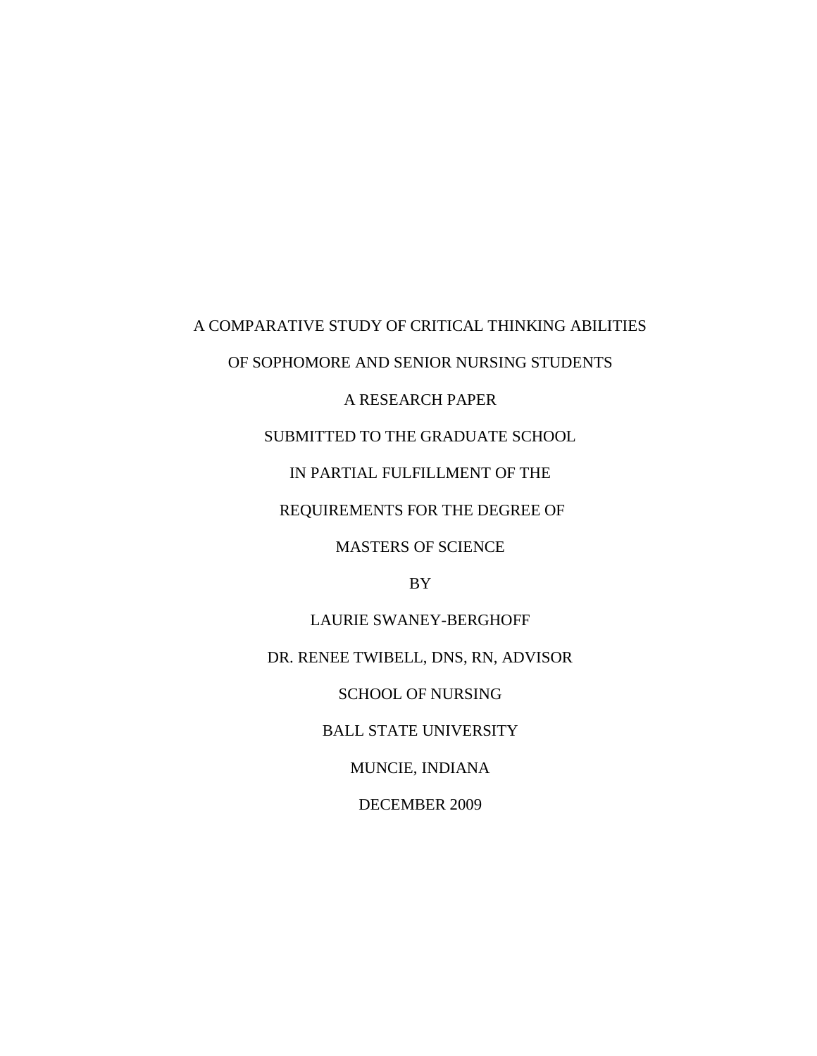# A COMPARATIVE STUDY OF CRITICAL THINKING ABILITIES

OF SOPHOMORE AND SENIOR NURSING STUDENTS

# A RESEARCH PAPER

SUBMITTED TO THE GRADUATE SCHOOL

IN PARTIAL FULFILLMENT OF THE

REQUIREMENTS FOR THE DEGREE OF

MASTERS OF SCIENCE

BY

LAURIE SWANEY-BERGHOFF DR. RENEE TWIBELL, DNS, RN, ADVISOR SCHOOL OF NURSING BALL STATE UNIVERSITY MUNCIE, INDIANA DECEMBER 2009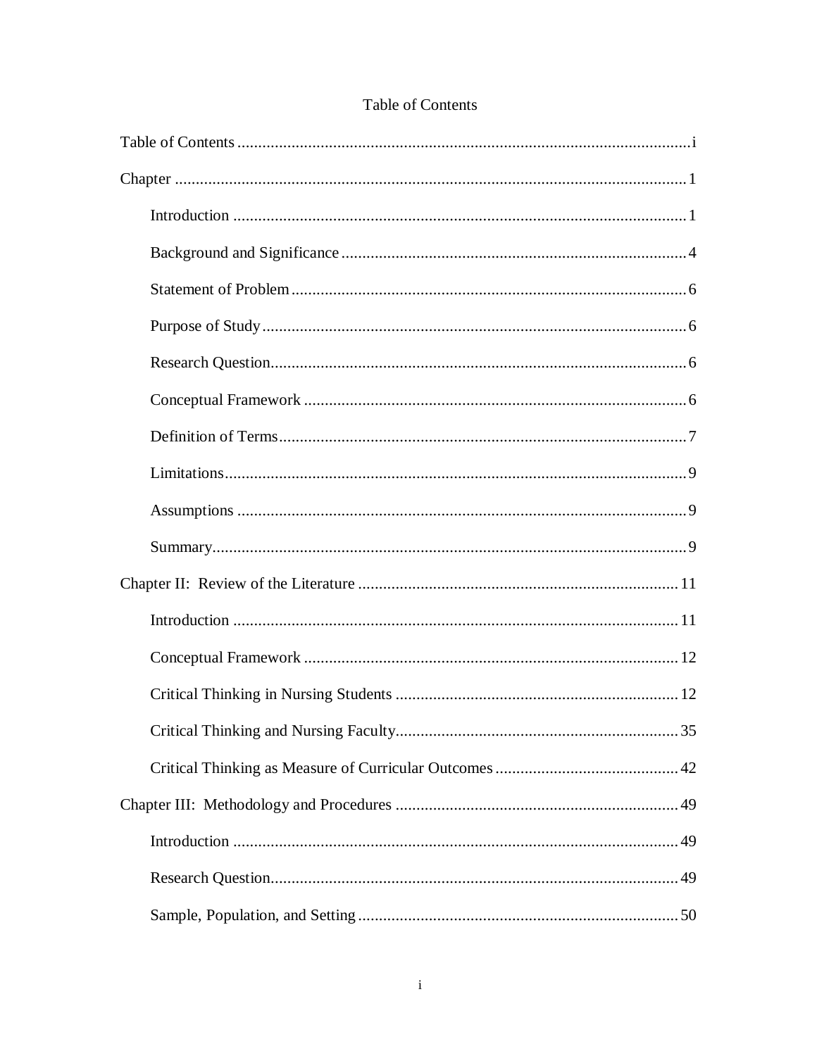# Table of Contents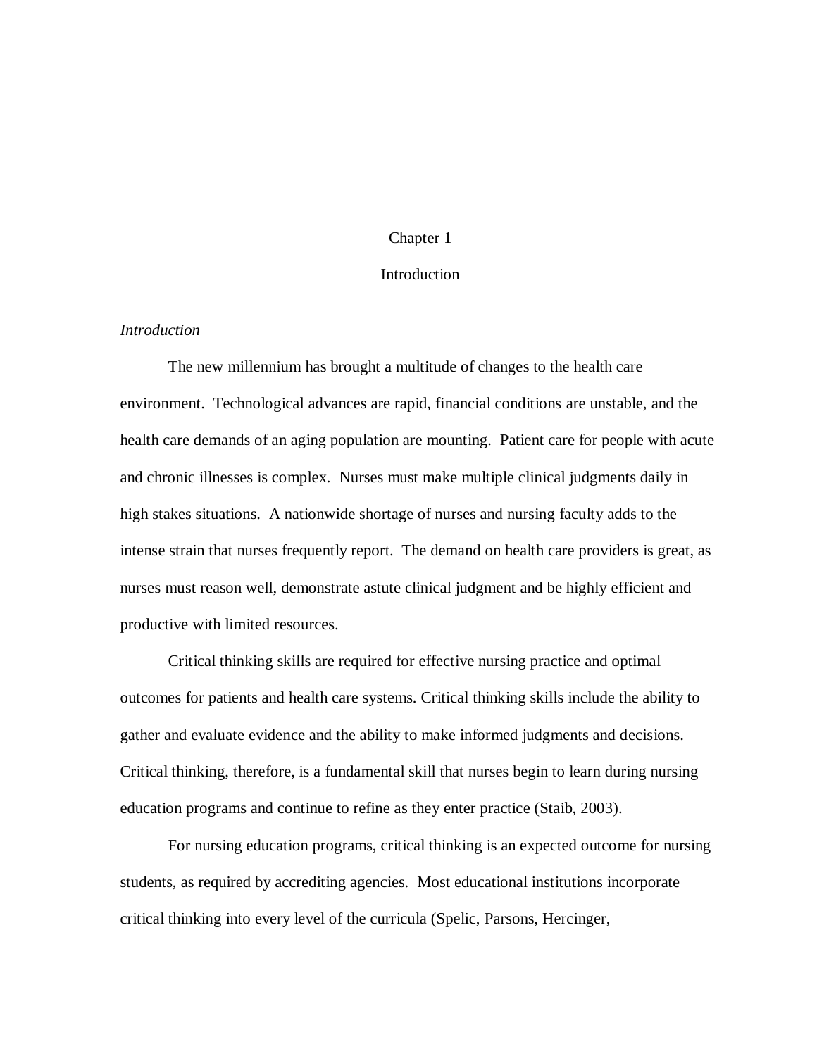## Chapter 1

### **Introduction**

# *Introduction*

The new millennium has brought a multitude of changes to the health care environment. Technological advances are rapid, financial conditions are unstable, and the health care demands of an aging population are mounting. Patient care for people with acute and chronic illnesses is complex. Nurses must make multiple clinical judgments daily in high stakes situations. A nationwide shortage of nurses and nursing faculty adds to the intense strain that nurses frequently report. The demand on health care providers is great, as nurses must reason well, demonstrate astute clinical judgment and be highly efficient and productive with limited resources.

Critical thinking skills are required for effective nursing practice and optimal outcomes for patients and health care systems. Critical thinking skills include the ability to gather and evaluate evidence and the ability to make informed judgments and decisions. Critical thinking, therefore, is a fundamental skill that nurses begin to learn during nursing education programs and continue to refine as they enter practice (Staib, 2003).

For nursing education programs, critical thinking is an expected outcome for nursing students, as required by accrediting agencies. Most educational institutions incorporate critical thinking into every level of the curricula (Spelic, Parsons, Hercinger,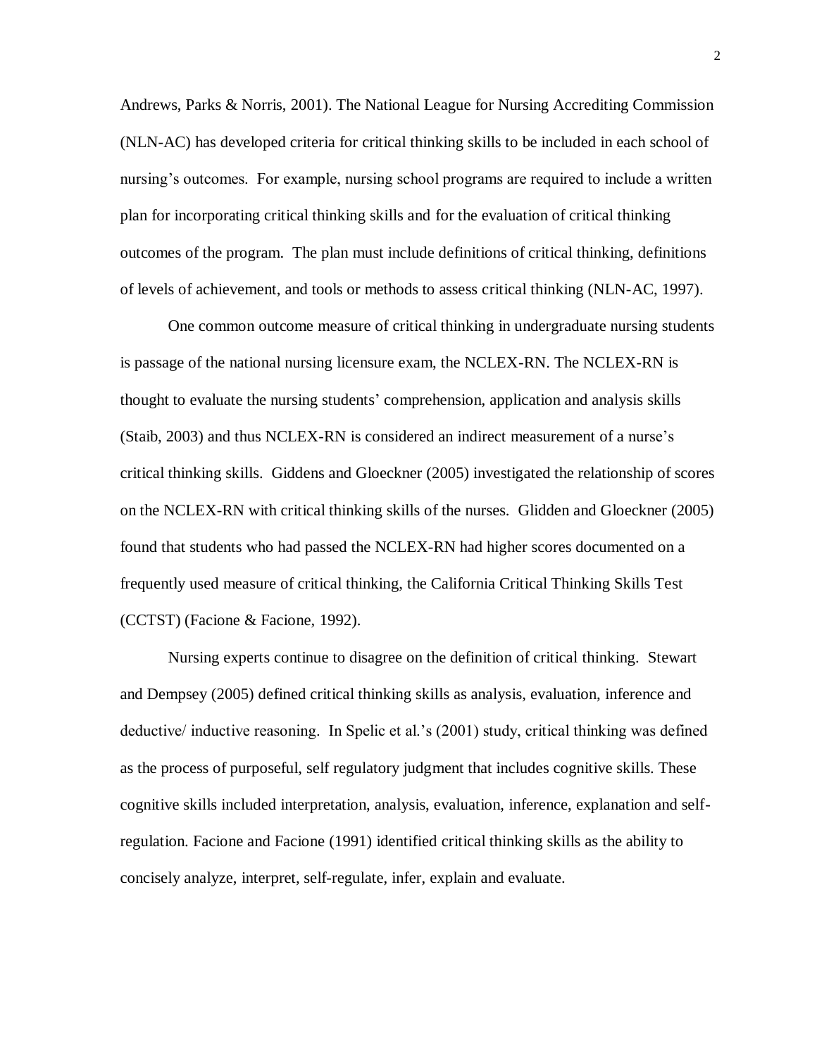Andrews, Parks & Norris, 2001). The National League for Nursing Accrediting Commission (NLN-AC) has developed criteria for critical thinking skills to be included in each school of nursing's outcomes. For example, nursing school programs are required to include a written plan for incorporating critical thinking skills and for the evaluation of critical thinking outcomes of the program. The plan must include definitions of critical thinking, definitions of levels of achievement, and tools or methods to assess critical thinking (NLN-AC, 1997).

One common outcome measure of critical thinking in undergraduate nursing students is passage of the national nursing licensure exam, the NCLEX-RN. The NCLEX-RN is thought to evaluate the nursing students' comprehension, application and analysis skills (Staib, 2003) and thus NCLEX-RN is considered an indirect measurement of a nurse's critical thinking skills. Giddens and Gloeckner (2005) investigated the relationship of scores on the NCLEX-RN with critical thinking skills of the nurses. Glidden and Gloeckner (2005) found that students who had passed the NCLEX-RN had higher scores documented on a frequently used measure of critical thinking, the California Critical Thinking Skills Test (CCTST) (Facione & Facione, 1992).

Nursing experts continue to disagree on the definition of critical thinking. Stewart and Dempsey (2005) defined critical thinking skills as analysis, evaluation, inference and deductive/ inductive reasoning. In Spelic et al.'s (2001) study, critical thinking was defined as the process of purposeful, self regulatory judgment that includes cognitive skills. These cognitive skills included interpretation, analysis, evaluation, inference, explanation and selfregulation. Facione and Facione (1991) identified critical thinking skills as the ability to concisely analyze, interpret, self-regulate, infer, explain and evaluate.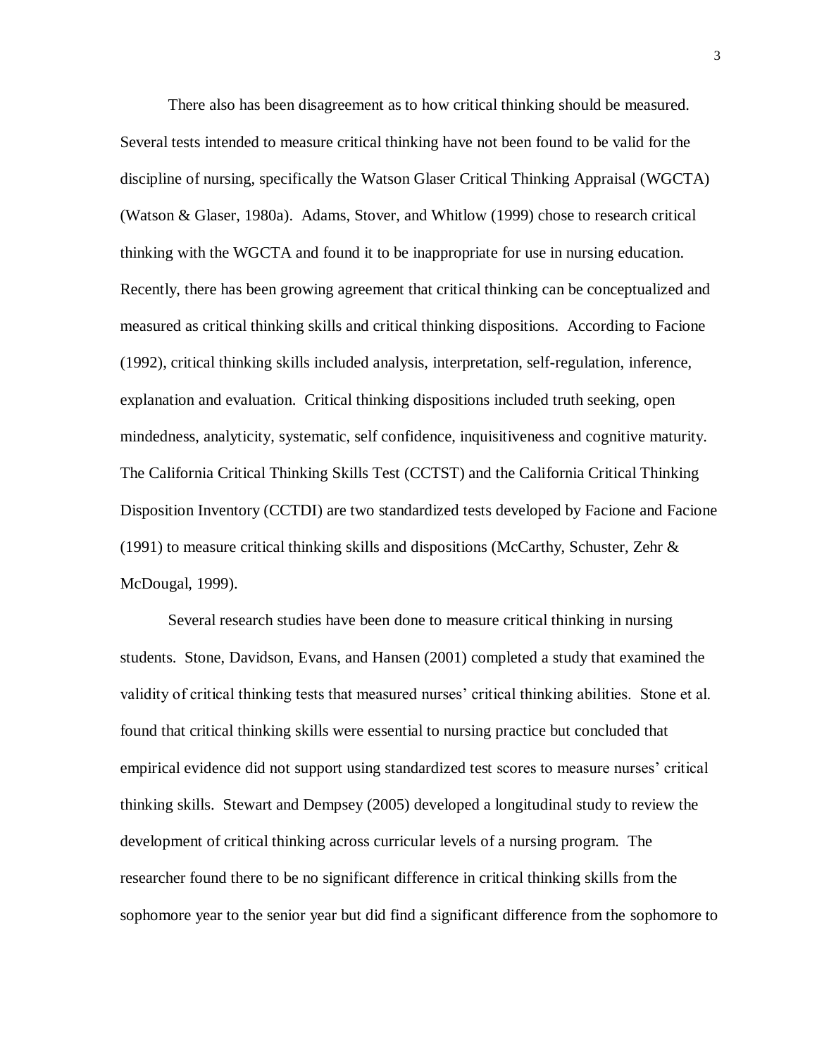There also has been disagreement as to how critical thinking should be measured. Several tests intended to measure critical thinking have not been found to be valid for the discipline of nursing, specifically the Watson Glaser Critical Thinking Appraisal (WGCTA) (Watson & Glaser, 1980a). Adams, Stover, and Whitlow (1999) chose to research critical thinking with the WGCTA and found it to be inappropriate for use in nursing education. Recently, there has been growing agreement that critical thinking can be conceptualized and measured as critical thinking skills and critical thinking dispositions. According to Facione (1992), critical thinking skills included analysis, interpretation, self-regulation, inference, explanation and evaluation. Critical thinking dispositions included truth seeking, open mindedness, analyticity, systematic, self confidence, inquisitiveness and cognitive maturity. The California Critical Thinking Skills Test (CCTST) and the California Critical Thinking Disposition Inventory (CCTDI) are two standardized tests developed by Facione and Facione (1991) to measure critical thinking skills and dispositions (McCarthy, Schuster, Zehr  $\&$ McDougal, 1999).

Several research studies have been done to measure critical thinking in nursing students. Stone, Davidson, Evans, and Hansen (2001) completed a study that examined the validity of critical thinking tests that measured nurses' critical thinking abilities. Stone et al. found that critical thinking skills were essential to nursing practice but concluded that empirical evidence did not support using standardized test scores to measure nurses' critical thinking skills. Stewart and Dempsey (2005) developed a longitudinal study to review the development of critical thinking across curricular levels of a nursing program. The researcher found there to be no significant difference in critical thinking skills from the sophomore year to the senior year but did find a significant difference from the sophomore to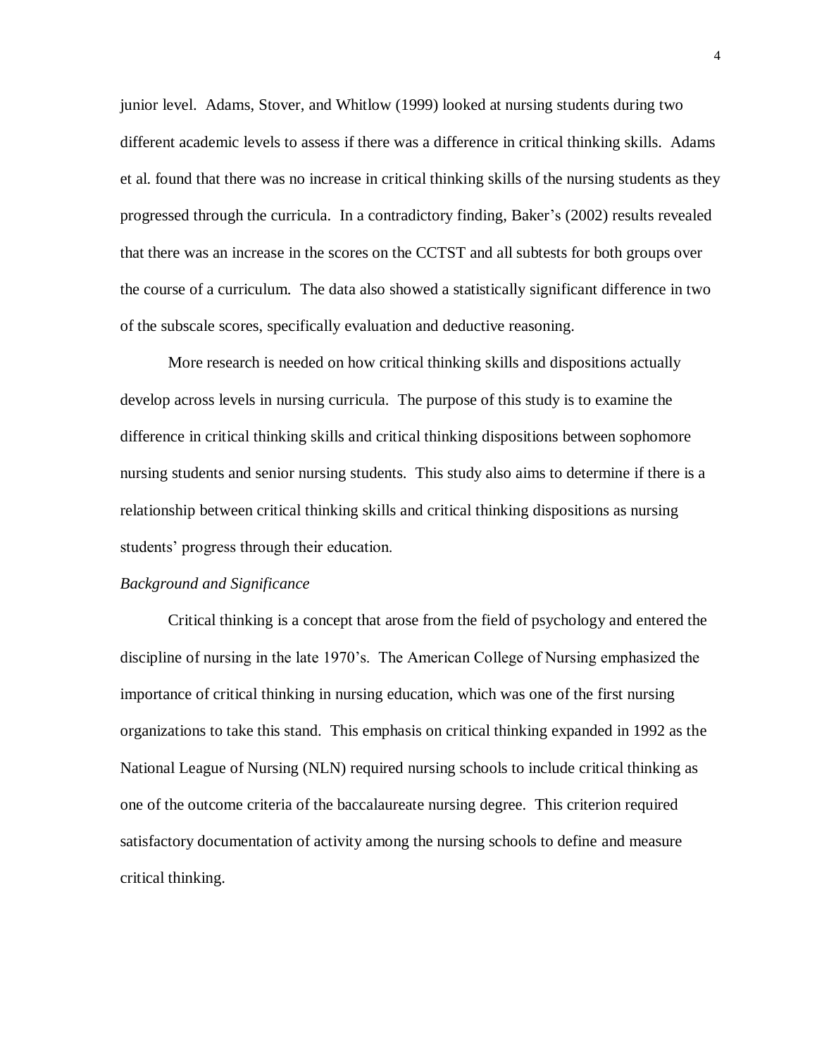junior level. Adams, Stover, and Whitlow (1999) looked at nursing students during two different academic levels to assess if there was a difference in critical thinking skills. Adams et al. found that there was no increase in critical thinking skills of the nursing students as they progressed through the curricula. In a contradictory finding, Baker's (2002) results revealed that there was an increase in the scores on the CCTST and all subtests for both groups over the course of a curriculum. The data also showed a statistically significant difference in two of the subscale scores, specifically evaluation and deductive reasoning.

More research is needed on how critical thinking skills and dispositions actually develop across levels in nursing curricula. The purpose of this study is to examine the difference in critical thinking skills and critical thinking dispositions between sophomore nursing students and senior nursing students. This study also aims to determine if there is a relationship between critical thinking skills and critical thinking dispositions as nursing students' progress through their education.

#### *Background and Significance*

Critical thinking is a concept that arose from the field of psychology and entered the discipline of nursing in the late 1970's. The American College of Nursing emphasized the importance of critical thinking in nursing education, which was one of the first nursing organizations to take this stand. This emphasis on critical thinking expanded in 1992 as the National League of Nursing (NLN) required nursing schools to include critical thinking as one of the outcome criteria of the baccalaureate nursing degree. This criterion required satisfactory documentation of activity among the nursing schools to define and measure critical thinking.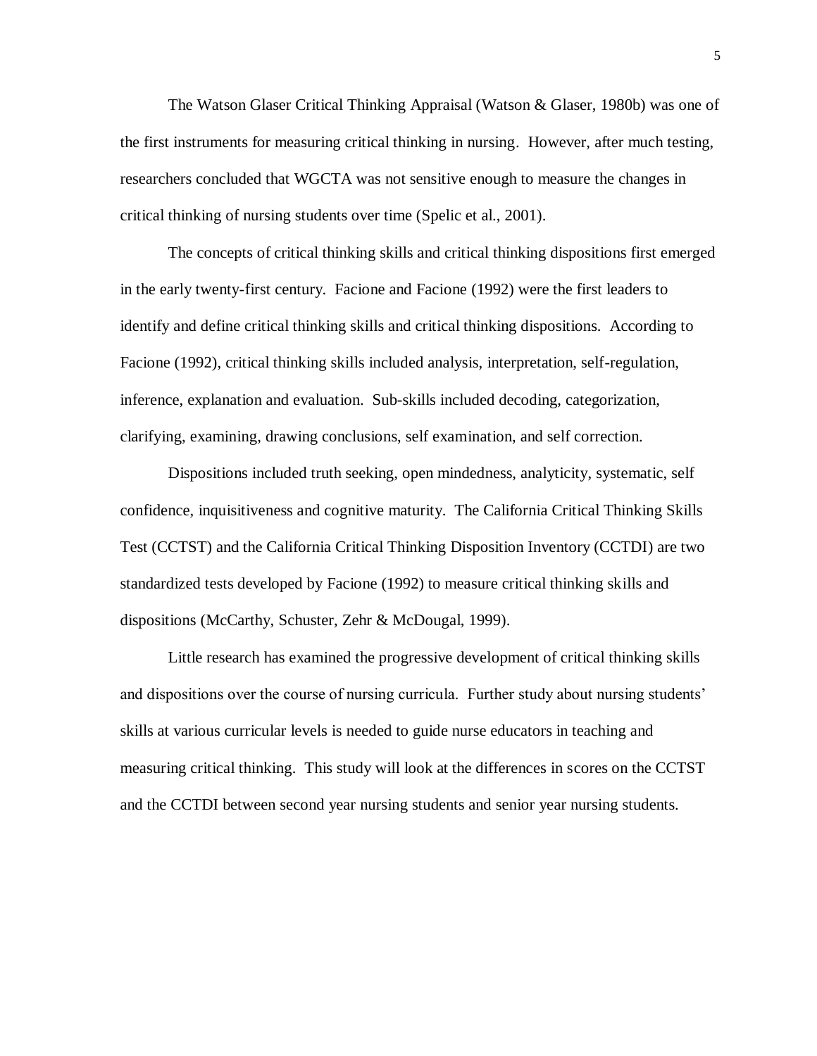The Watson Glaser Critical Thinking Appraisal (Watson & Glaser, 1980b) was one of the first instruments for measuring critical thinking in nursing. However, after much testing, researchers concluded that WGCTA was not sensitive enough to measure the changes in critical thinking of nursing students over time (Spelic et al., 2001).

The concepts of critical thinking skills and critical thinking dispositions first emerged in the early twenty-first century. Facione and Facione (1992) were the first leaders to identify and define critical thinking skills and critical thinking dispositions. According to Facione (1992), critical thinking skills included analysis, interpretation, self-regulation, inference, explanation and evaluation. Sub-skills included decoding, categorization, clarifying, examining, drawing conclusions, self examination, and self correction.

Dispositions included truth seeking, open mindedness, analyticity, systematic, self confidence, inquisitiveness and cognitive maturity. The California Critical Thinking Skills Test (CCTST) and the California Critical Thinking Disposition Inventory (CCTDI) are two standardized tests developed by Facione (1992) to measure critical thinking skills and dispositions (McCarthy, Schuster, Zehr & McDougal, 1999).

Little research has examined the progressive development of critical thinking skills and dispositions over the course of nursing curricula. Further study about nursing students' skills at various curricular levels is needed to guide nurse educators in teaching and measuring critical thinking. This study will look at the differences in scores on the CCTST and the CCTDI between second year nursing students and senior year nursing students.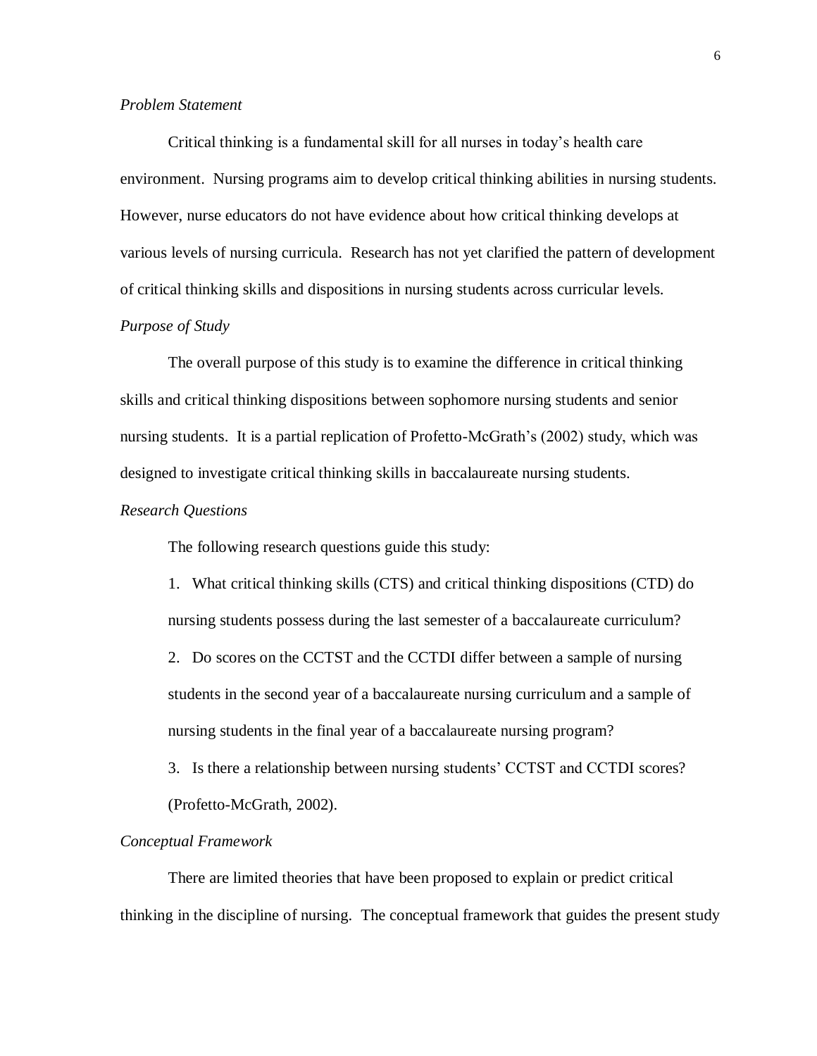## *Problem Statement*

Critical thinking is a fundamental skill for all nurses in today's health care environment. Nursing programs aim to develop critical thinking abilities in nursing students. However, nurse educators do not have evidence about how critical thinking develops at various levels of nursing curricula. Research has not yet clarified the pattern of development of critical thinking skills and dispositions in nursing students across curricular levels.

# *Purpose of Study*

The overall purpose of this study is to examine the difference in critical thinking skills and critical thinking dispositions between sophomore nursing students and senior nursing students. It is a partial replication of Profetto-McGrath's (2002) study, which was designed to investigate critical thinking skills in baccalaureate nursing students.

#### *Research Questions*

The following research questions guide this study:

1. What critical thinking skills (CTS) and critical thinking dispositions (CTD) do nursing students possess during the last semester of a baccalaureate curriculum?

2. Do scores on the CCTST and the CCTDI differ between a sample of nursing students in the second year of a baccalaureate nursing curriculum and a sample of nursing students in the final year of a baccalaureate nursing program?

3. Is there a relationship between nursing students' CCTST and CCTDI scores? (Profetto-McGrath, 2002).

#### *Conceptual Framework*

There are limited theories that have been proposed to explain or predict critical thinking in the discipline of nursing. The conceptual framework that guides the present study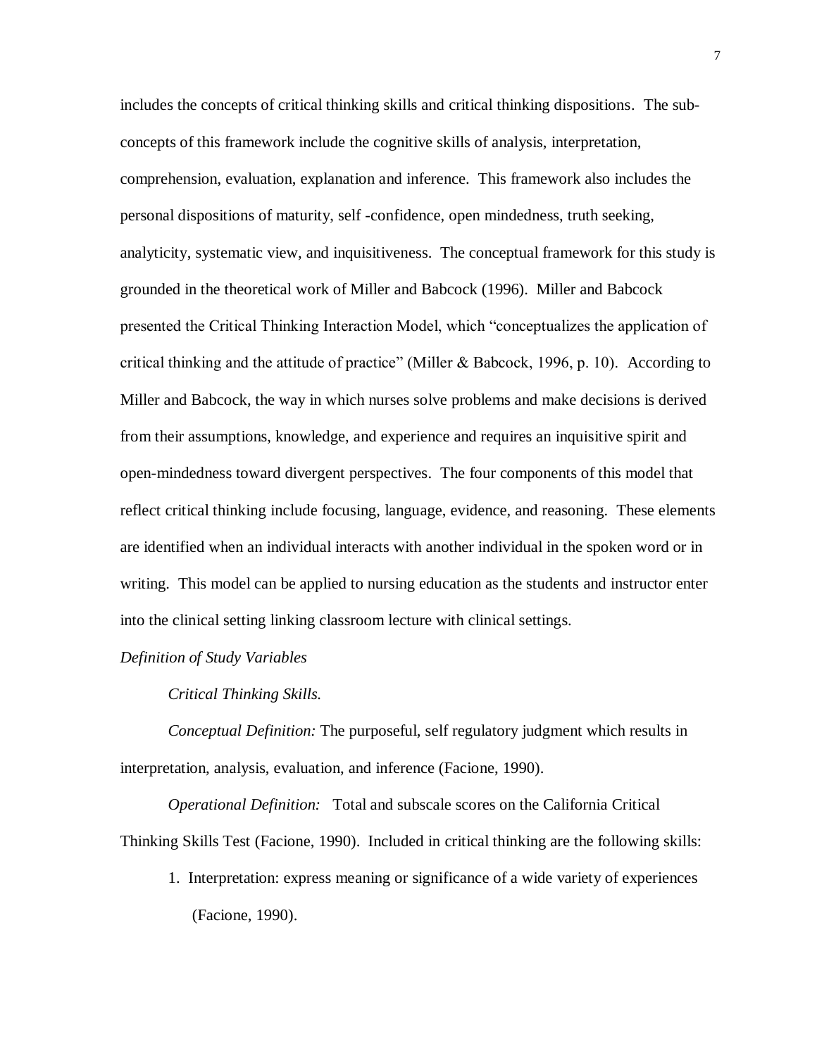includes the concepts of critical thinking skills and critical thinking dispositions. The subconcepts of this framework include the cognitive skills of analysis, interpretation, comprehension, evaluation, explanation and inference. This framework also includes the personal dispositions of maturity, self -confidence, open mindedness, truth seeking, analyticity, systematic view, and inquisitiveness. The conceptual framework for this study is grounded in the theoretical work of Miller and Babcock (1996). Miller and Babcock presented the Critical Thinking Interaction Model, which "conceptualizes the application of critical thinking and the attitude of practice" (Miller & Babcock, 1996, p. 10).According to Miller and Babcock, the way in which nurses solve problems and make decisions is derived from their assumptions, knowledge, and experience and requires an inquisitive spirit and open-mindedness toward divergent perspectives. The four components of this model that reflect critical thinking include focusing, language, evidence, and reasoning. These elements are identified when an individual interacts with another individual in the spoken word or in writing. This model can be applied to nursing education as the students and instructor enter into the clinical setting linking classroom lecture with clinical settings.

## *Definition of Study Variables*

*Critical Thinking Skills.*

*Conceptual Definition:* The purposeful, self regulatory judgment which results in interpretation, analysis, evaluation, and inference (Facione, 1990).

*Operational Definition:* Total and subscale scores on the California Critical Thinking Skills Test (Facione, 1990). Included in critical thinking are the following skills:

1. Interpretation: express meaning or significance of a wide variety of experiences (Facione, 1990).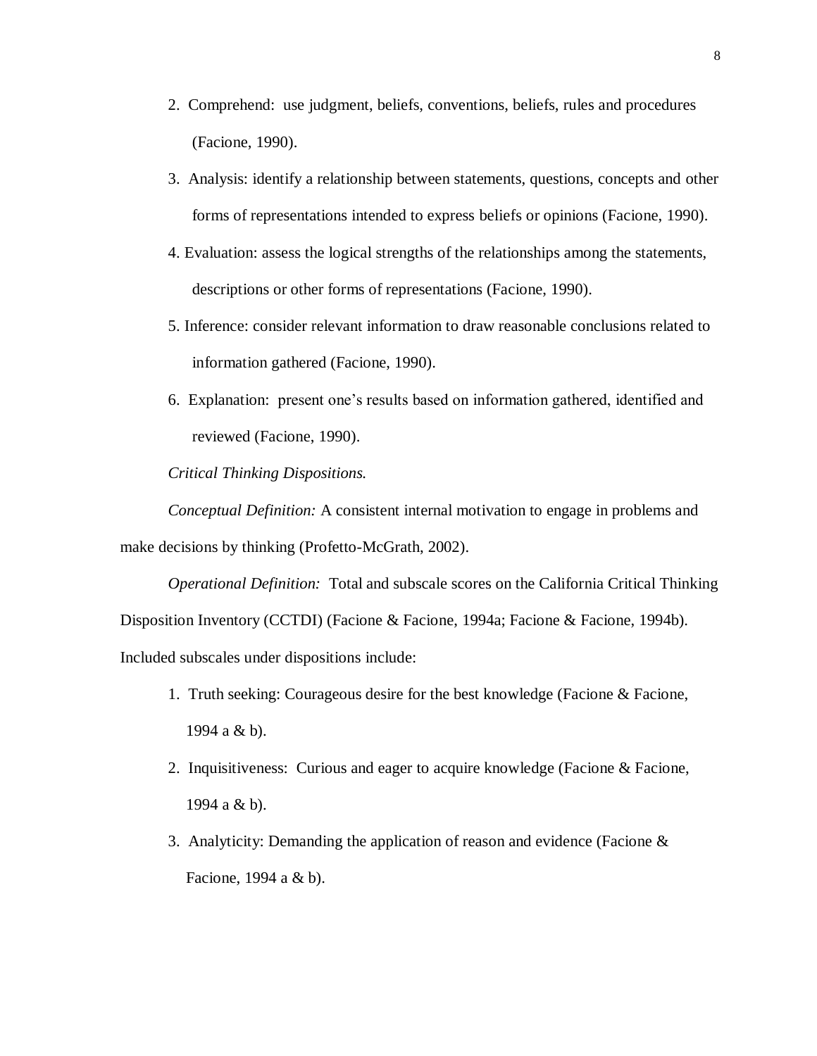- 2. Comprehend: use judgment, beliefs, conventions, beliefs, rules and procedures (Facione, 1990).
- 3. Analysis: identify a relationship between statements, questions, concepts and other forms of representations intended to express beliefs or opinions (Facione, 1990).
- 4. Evaluation: assess the logical strengths of the relationships among the statements, descriptions or other forms of representations (Facione, 1990).
- 5. Inference: consider relevant information to draw reasonable conclusions related to information gathered (Facione, 1990).
- 6. Explanation: present one's results based on information gathered, identified and reviewed (Facione, 1990).

*Critical Thinking Dispositions.* 

*Conceptual Definition:* A consistent internal motivation to engage in problems and make decisions by thinking (Profetto-McGrath, 2002).

*Operational Definition:* Total and subscale scores on the California Critical Thinking Disposition Inventory (CCTDI) (Facione & Facione, 1994a; Facione & Facione, 1994b). Included subscales under dispositions include:

- 1. Truth seeking: Courageous desire for the best knowledge (Facione & Facione, 1994 a & b).
- 2. Inquisitiveness: Curious and eager to acquire knowledge (Facione & Facione, 1994 a & b).
- 3. Analyticity: Demanding the application of reason and evidence (Facione & Facione, 1994 a & b).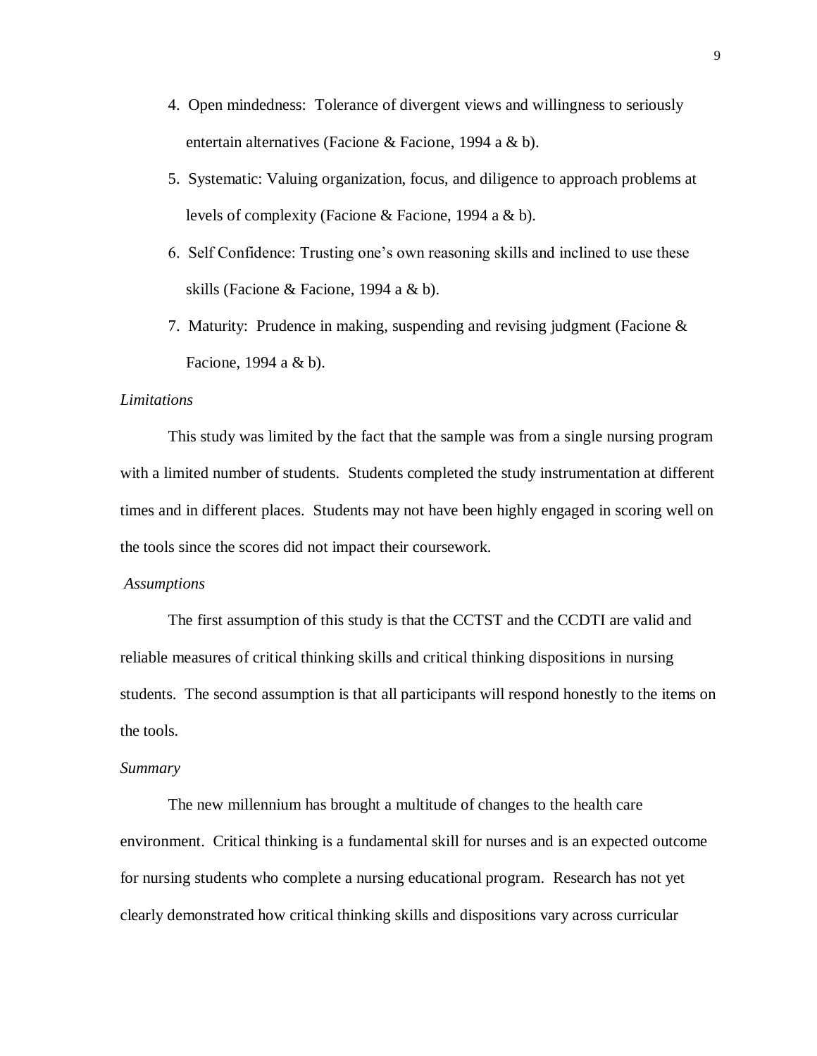- 4. Open mindedness: Tolerance of divergent views and willingness to seriously entertain alternatives (Facione & Facione, 1994 a & b).
- 5. Systematic: Valuing organization, focus, and diligence to approach problems at levels of complexity (Facione & Facione, 1994 a & b).
- 6. Self Confidence: Trusting one's own reasoning skills and inclined to use these skills (Facione & Facione, 1994 a & b).
- 7. Maturity: Prudence in making, suspending and revising judgment (Facione & Facione, 1994 a & b).

## *Limitations*

This study was limited by the fact that the sample was from a single nursing program with a limited number of students. Students completed the study instrumentation at different times and in different places. Students may not have been highly engaged in scoring well on the tools since the scores did not impact their coursework.

#### *Assumptions*

The first assumption of this study is that the CCTST and the CCDTI are valid and reliable measures of critical thinking skills and critical thinking dispositions in nursing students. The second assumption is that all participants will respond honestly to the items on the tools.

#### *Summary*

The new millennium has brought a multitude of changes to the health care environment. Critical thinking is a fundamental skill for nurses and is an expected outcome for nursing students who complete a nursing educational program. Research has not yet clearly demonstrated how critical thinking skills and dispositions vary across curricular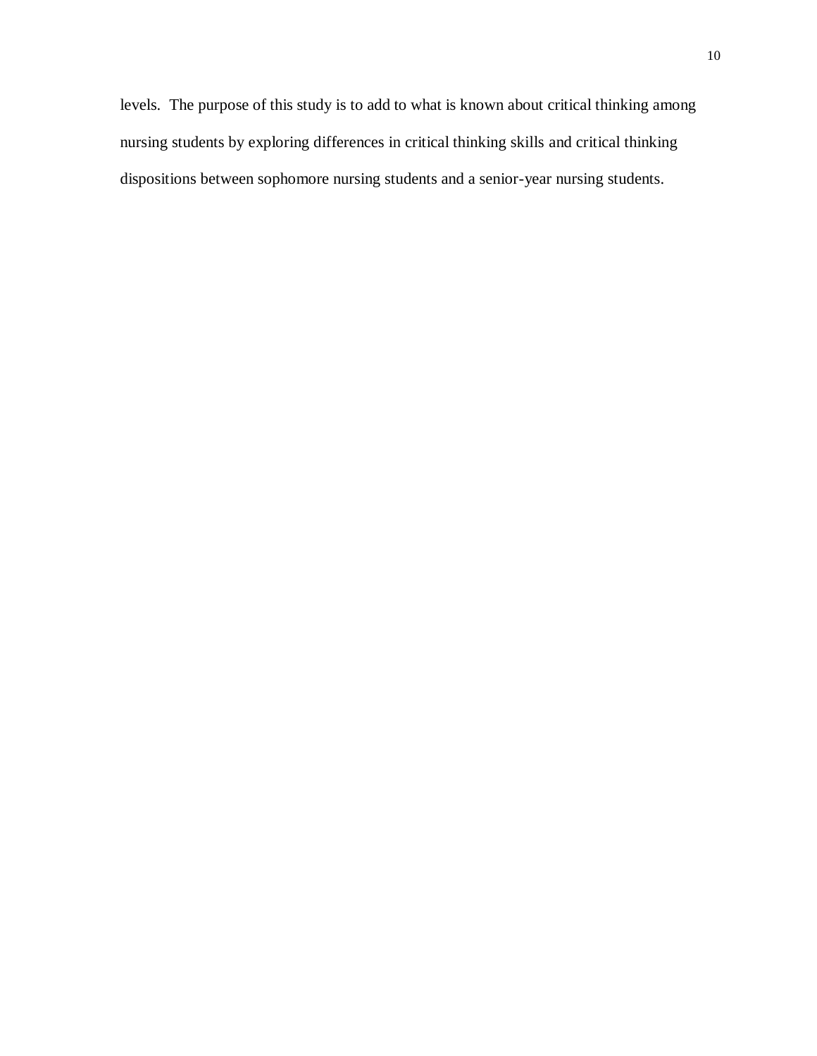levels. The purpose of this study is to add to what is known about critical thinking among nursing students by exploring differences in critical thinking skills and critical thinking dispositions between sophomore nursing students and a senior-year nursing students.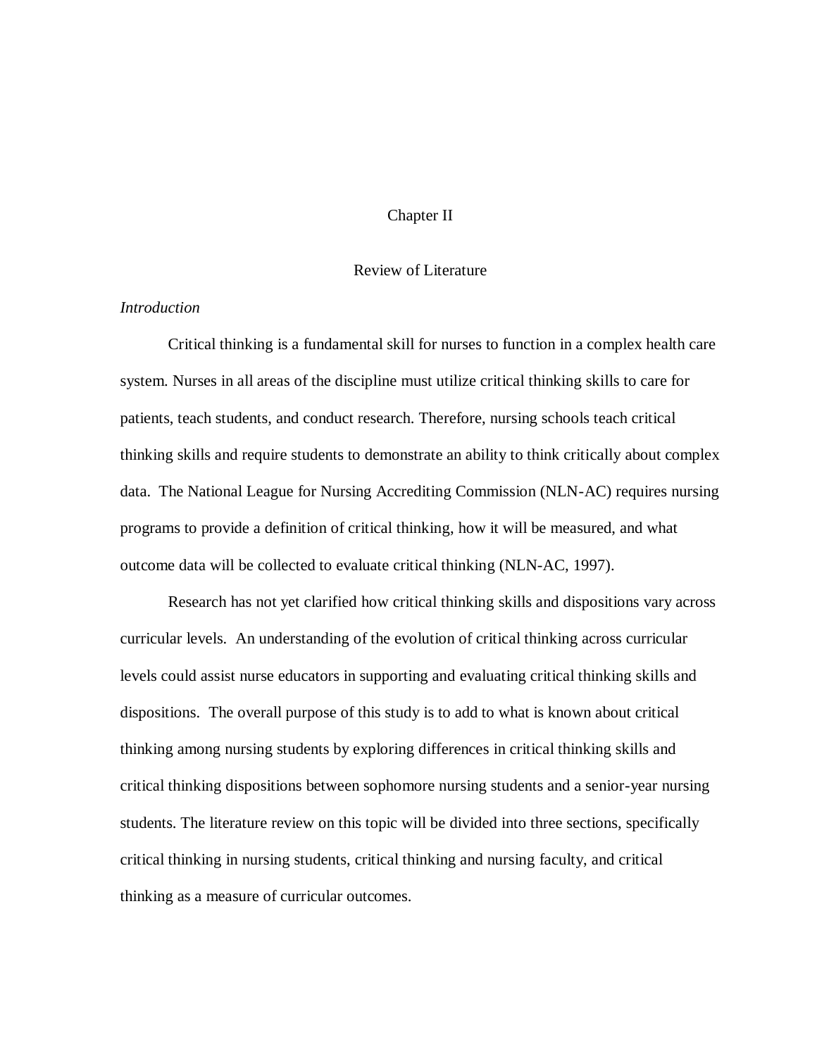## Chapter II

#### Review of Literature

# *Introduction*

Critical thinking is a fundamental skill for nurses to function in a complex health care system. Nurses in all areas of the discipline must utilize critical thinking skills to care for patients, teach students, and conduct research. Therefore, nursing schools teach critical thinking skills and require students to demonstrate an ability to think critically about complex data. The National League for Nursing Accrediting Commission (NLN-AC) requires nursing programs to provide a definition of critical thinking, how it will be measured, and what outcome data will be collected to evaluate critical thinking (NLN-AC, 1997).

Research has not yet clarified how critical thinking skills and dispositions vary across curricular levels. An understanding of the evolution of critical thinking across curricular levels could assist nurse educators in supporting and evaluating critical thinking skills and dispositions. The overall purpose of this study is to add to what is known about critical thinking among nursing students by exploring differences in critical thinking skills and critical thinking dispositions between sophomore nursing students and a senior-year nursing students. The literature review on this topic will be divided into three sections, specifically critical thinking in nursing students, critical thinking and nursing faculty, and critical thinking as a measure of curricular outcomes.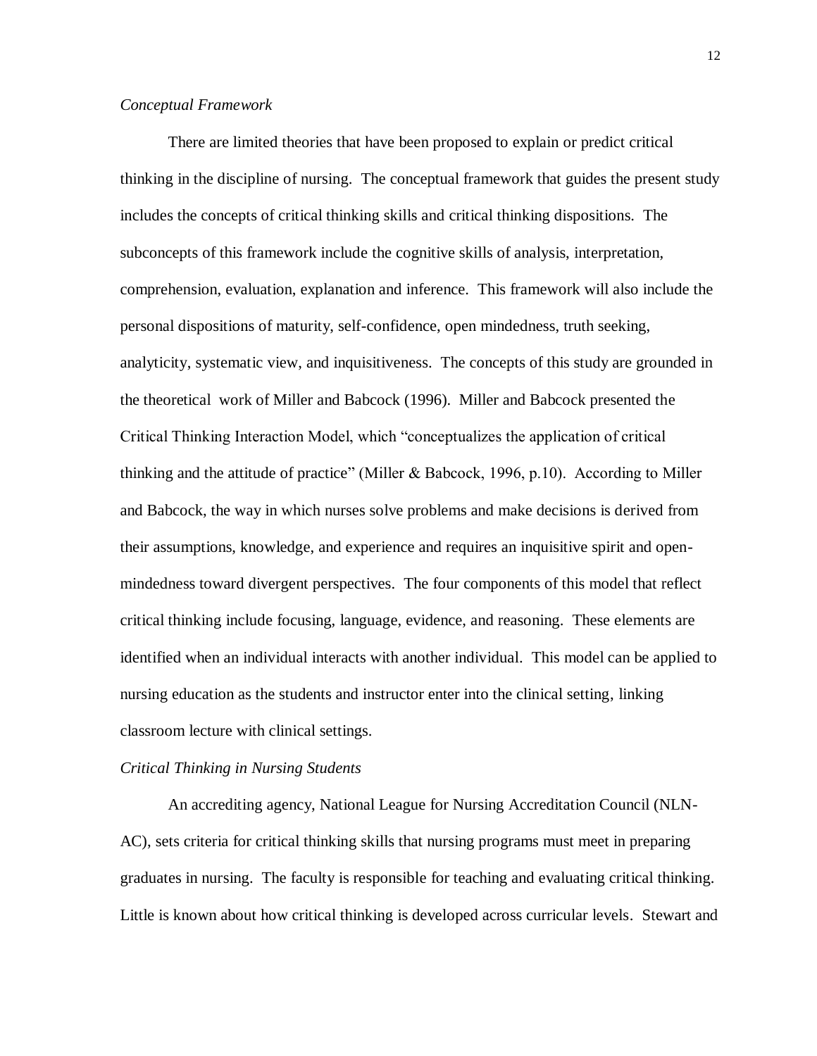## *Conceptual Framework*

There are limited theories that have been proposed to explain or predict critical thinking in the discipline of nursing. The conceptual framework that guides the present study includes the concepts of critical thinking skills and critical thinking dispositions. The subconcepts of this framework include the cognitive skills of analysis, interpretation, comprehension, evaluation, explanation and inference. This framework will also include the personal dispositions of maturity, self-confidence, open mindedness, truth seeking, analyticity, systematic view, and inquisitiveness. The concepts of this study are grounded in the theoretical work of Miller and Babcock (1996). Miller and Babcock presented the Critical Thinking Interaction Model, which "conceptualizes the application of critical thinking and the attitude of practice" (Miller & Babcock, 1996, p.10). According to Miller and Babcock, the way in which nurses solve problems and make decisions is derived from their assumptions, knowledge, and experience and requires an inquisitive spirit and openmindedness toward divergent perspectives. The four components of this model that reflect critical thinking include focusing, language, evidence, and reasoning. These elements are identified when an individual interacts with another individual. This model can be applied to nursing education as the students and instructor enter into the clinical setting, linking classroom lecture with clinical settings.

#### *Critical Thinking in Nursing Students*

An accrediting agency, National League for Nursing Accreditation Council (NLN-AC), sets criteria for critical thinking skills that nursing programs must meet in preparing graduates in nursing. The faculty is responsible for teaching and evaluating critical thinking. Little is known about how critical thinking is developed across curricular levels. Stewart and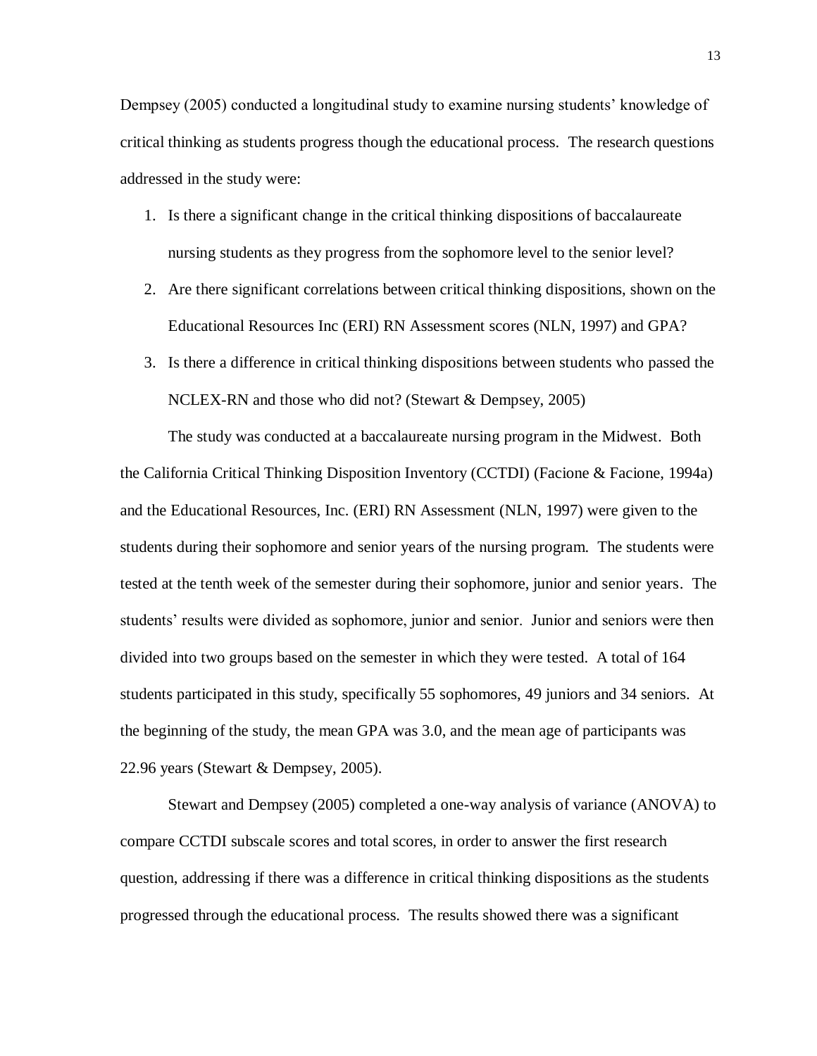Dempsey (2005) conducted a longitudinal study to examine nursing students' knowledge of critical thinking as students progress though the educational process. The research questions addressed in the study were:

- 1. Is there a significant change in the critical thinking dispositions of baccalaureate nursing students as they progress from the sophomore level to the senior level?
- 2. Are there significant correlations between critical thinking dispositions, shown on the Educational Resources Inc (ERI) RN Assessment scores (NLN, 1997) and GPA?
- 3. Is there a difference in critical thinking dispositions between students who passed the NCLEX-RN and those who did not? (Stewart & Dempsey, 2005)

The study was conducted at a baccalaureate nursing program in the Midwest. Both the California Critical Thinking Disposition Inventory (CCTDI) (Facione & Facione, 1994a) and the Educational Resources, Inc. (ERI) RN Assessment (NLN, 1997) were given to the students during their sophomore and senior years of the nursing program. The students were tested at the tenth week of the semester during their sophomore, junior and senior years. The students' results were divided as sophomore, junior and senior. Junior and seniors were then divided into two groups based on the semester in which they were tested. A total of 164 students participated in this study, specifically 55 sophomores, 49 juniors and 34 seniors. At the beginning of the study, the mean GPA was 3.0, and the mean age of participants was 22.96 years (Stewart & Dempsey, 2005).

Stewart and Dempsey (2005) completed a one-way analysis of variance (ANOVA) to compare CCTDI subscale scores and total scores, in order to answer the first research question, addressing if there was a difference in critical thinking dispositions as the students progressed through the educational process. The results showed there was a significant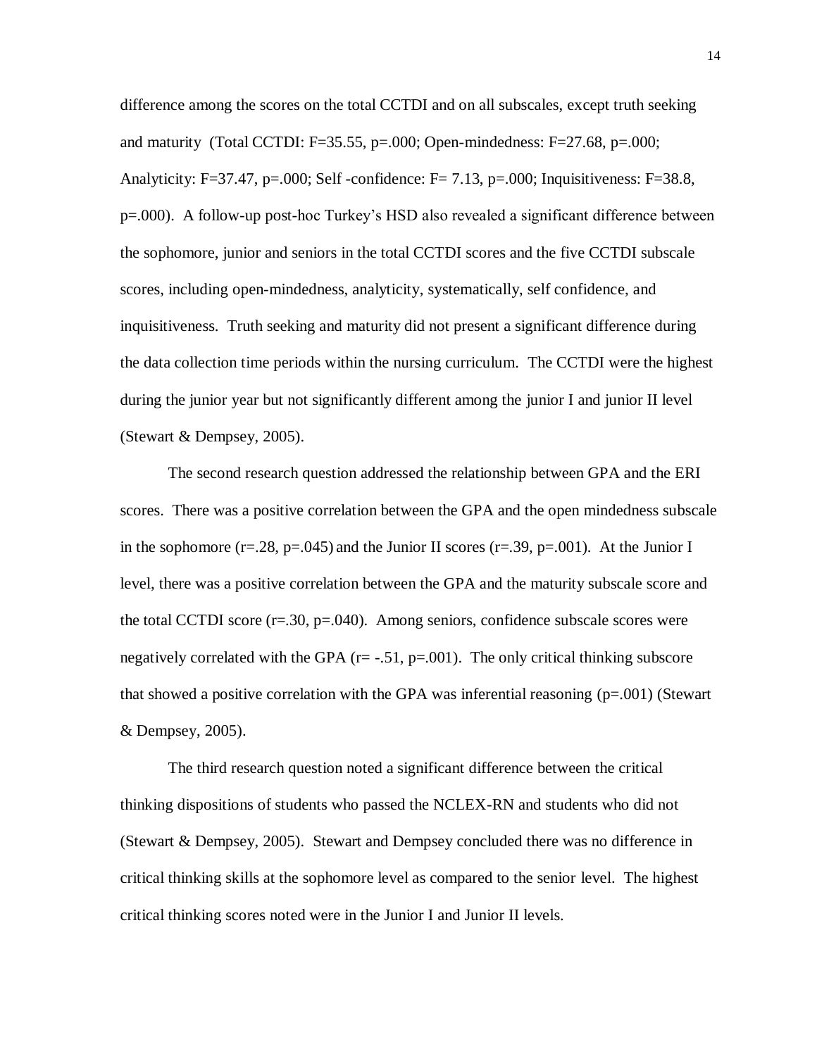difference among the scores on the total CCTDI and on all subscales, except truth seeking and maturity (Total CCTDI: F=35.55, p=.000; Open-mindedness: F=27.68, p=.000; Analyticity: F=37.47, p=.000; Self -confidence: F= 7.13, p=.000; Inquisitiveness: F=38.8, p=.000). A follow-up post-hoc Turkey's HSD also revealed a significant difference between the sophomore, junior and seniors in the total CCTDI scores and the five CCTDI subscale scores, including open-mindedness, analyticity, systematically, self confidence, and inquisitiveness. Truth seeking and maturity did not present a significant difference during the data collection time periods within the nursing curriculum. The CCTDI were the highest during the junior year but not significantly different among the junior I and junior II level (Stewart & Dempsey, 2005).

The second research question addressed the relationship between GPA and the ERI scores. There was a positive correlation between the GPA and the open mindedness subscale in the sophomore ( $r=.28$ ,  $p=.045$ ) and the Junior II scores ( $r=.39$ ,  $p=.001$ ). At the Junior I level, there was a positive correlation between the GPA and the maturity subscale score and the total CCTDI score  $(r=.30, p=.040)$ . Among seniors, confidence subscale scores were negatively correlated with the GPA  $(r=-.51, p=.001)$ . The only critical thinking subscore that showed a positive correlation with the GPA was inferential reasoning  $(p=.001)$  (Stewart & Dempsey, 2005).

The third research question noted a significant difference between the critical thinking dispositions of students who passed the NCLEX-RN and students who did not (Stewart & Dempsey, 2005). Stewart and Dempsey concluded there was no difference in critical thinking skills at the sophomore level as compared to the senior level. The highest critical thinking scores noted were in the Junior I and Junior II levels.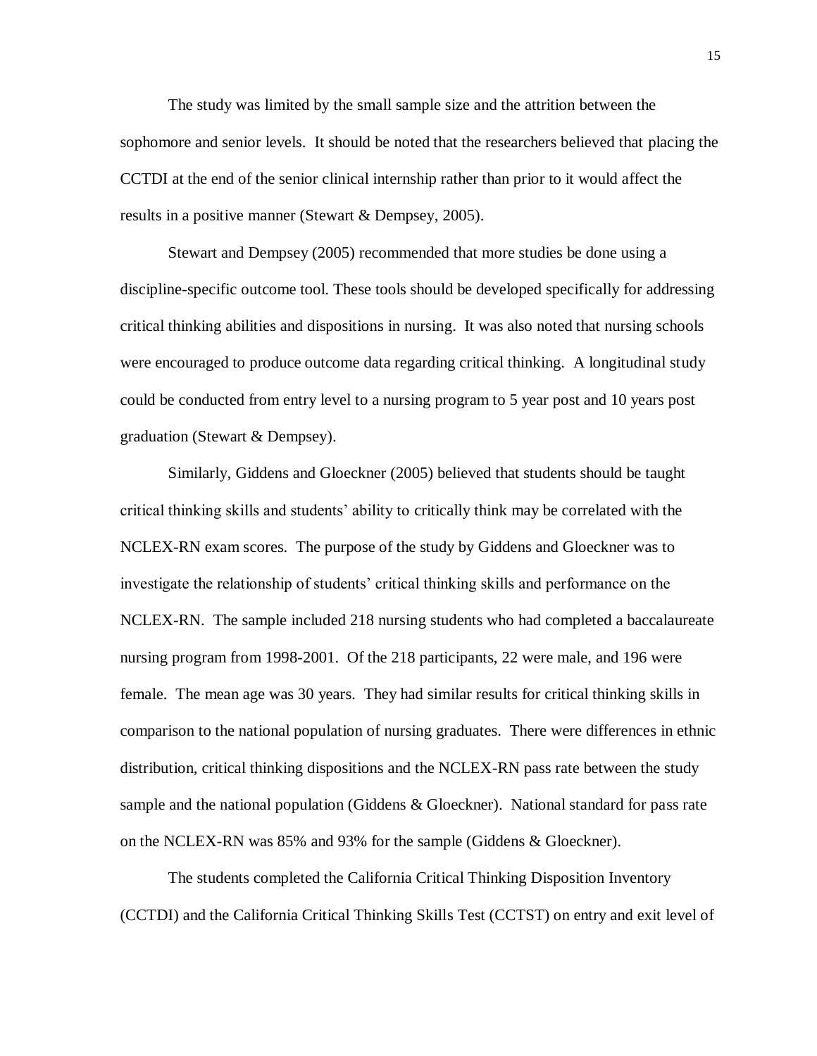The study was limited by the small sample size and the attrition between the sophomore and senior levels. It should be noted that the researchers believed that placing the CCTDI at the end of the senior clinical internship rather than prior to it would affect the results in a positive manner (Stewart & Dempsey, 2005).

Stewart and Dempsey (2005) recommended that more studies be done using a discipline-specific outcome tool. These tools should be developed specifically for addressing critical thinking abilities and dispositions in nursing. It was also noted that nursing schools were encouraged to produce outcome data regarding critical thinking. A longitudinal study could be conducted from entry level to a nursing program to 5 year post and 10 years post graduation (Stewart & Dempsey).

Similarly, Giddens and Gloeckner (2005) believed that students should be taught critical thinking skills and students' ability to critically think may be correlated with the NCLEX-RN exam scores. The purpose of the study by Giddens and Gloeckner was to investigate the relationship of students' critical thinking skills and performance on the NCLEX-RN. The sample included 218 nursing students who had completed a baccalaureate nursing program from 1998-2001. Of the 218 participants, 22 were male, and 196 were female. The mean age was 30 years. They had similar results for critical thinking skills in comparison to the national population of nursing graduates. There were differences in ethnic distribution, critical thinking dispositions and the NCLEX-RN pass rate between the study sample and the national population (Giddens & Gloeckner). National standard for pass rate on the NCLEX-RN was 85% and 93% for the sample (Giddens & Gloeckner).

The students completed the California Critical Thinking Disposition Inventory (CCTDI) and the California Critical Thinking Skills Test (CCTST) on entry and exit level of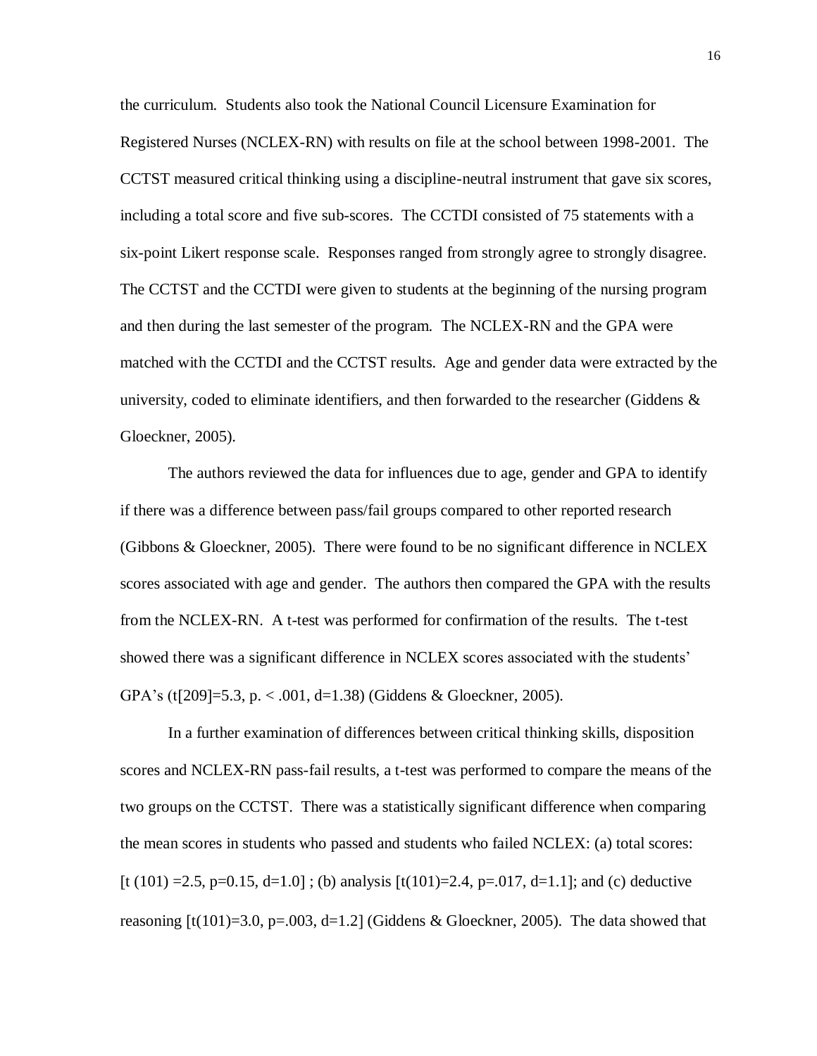the curriculum. Students also took the National Council Licensure Examination for Registered Nurses (NCLEX-RN) with results on file at the school between 1998-2001. The CCTST measured critical thinking using a discipline-neutral instrument that gave six scores, including a total score and five sub-scores. The CCTDI consisted of 75 statements with a six-point Likert response scale. Responses ranged from strongly agree to strongly disagree. The CCTST and the CCTDI were given to students at the beginning of the nursing program and then during the last semester of the program. The NCLEX-RN and the GPA were matched with the CCTDI and the CCTST results. Age and gender data were extracted by the university, coded to eliminate identifiers, and then forwarded to the researcher (Giddens  $\&$ Gloeckner, 2005).

The authors reviewed the data for influences due to age, gender and GPA to identify if there was a difference between pass/fail groups compared to other reported research (Gibbons & Gloeckner, 2005). There were found to be no significant difference in NCLEX scores associated with age and gender. The authors then compared the GPA with the results from the NCLEX-RN. A t-test was performed for confirmation of the results. The t-test showed there was a significant difference in NCLEX scores associated with the students' GPA's (t[209]=5.3, p. < .001, d=1.38) (Giddens & Gloeckner, 2005).

In a further examination of differences between critical thinking skills, disposition scores and NCLEX-RN pass-fail results, a t-test was performed to compare the means of the two groups on the CCTST. There was a statistically significant difference when comparing the mean scores in students who passed and students who failed NCLEX: (a) total scores: [t (101) = 2.5, p=0.15, d=1.0]; (b) analysis  $[t(101)=2.4, p=0.017, d=1.1]$ ; and (c) deductive reasoning  $[t(101)=3.0, p=.003, d=1.2]$  (Giddens & Gloeckner, 2005). The data showed that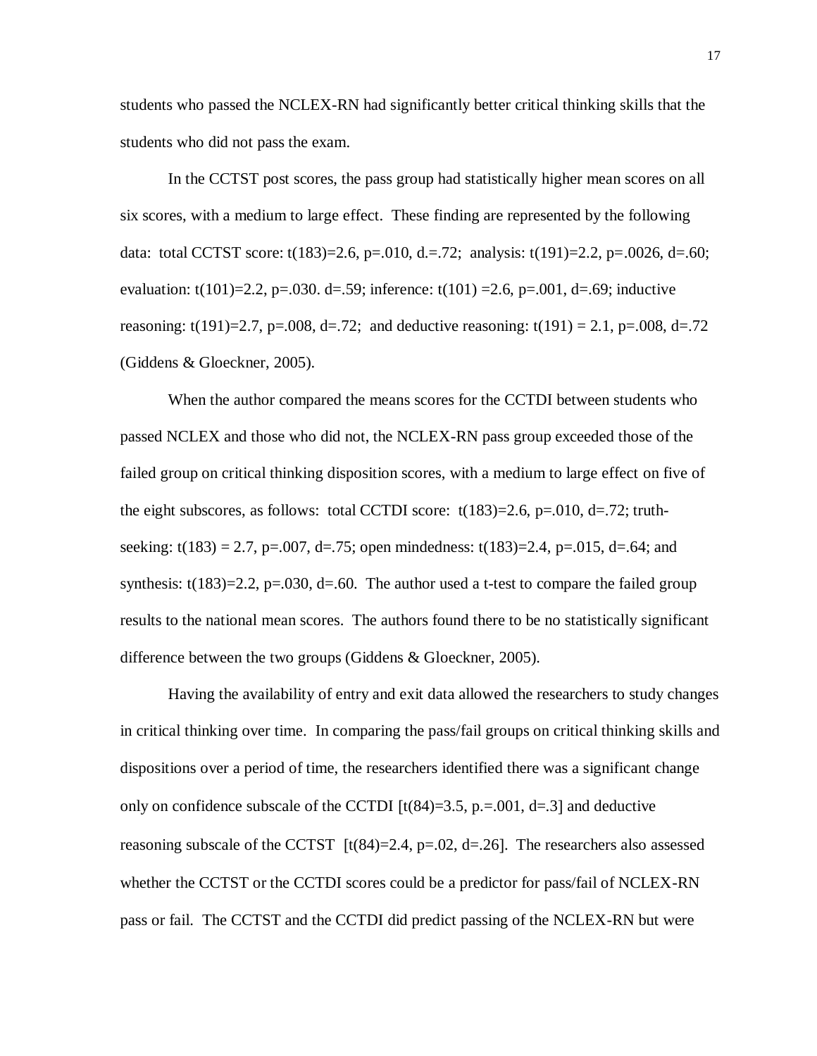students who passed the NCLEX-RN had significantly better critical thinking skills that the students who did not pass the exam.

In the CCTST post scores, the pass group had statistically higher mean scores on all six scores, with a medium to large effect. These finding are represented by the following data: total CCTST score: t(183)=2.6, p=.010, d. = .72; analysis: t(191)=2.2, p=.0026, d=.60; evaluation: t(101)=2.2, p=.030. d=.59; inference: t(101) =2.6, p=.001, d=.69; inductive reasoning: t(191)=2.7, p=.008, d=.72; and deductive reasoning: t(191) = 2.1, p=.008, d=.72 (Giddens & Gloeckner, 2005).

When the author compared the means scores for the CCTDI between students who passed NCLEX and those who did not, the NCLEX-RN pass group exceeded those of the failed group on critical thinking disposition scores, with a medium to large effect on five of the eight subscores, as follows: total CCTDI score:  $t(183)=2.6$ , p=.010, d=.72; truthseeking: t(183) = 2.7, p=.007, d=.75; open mindedness: t(183)=2.4, p=.015, d=.64; and synthesis:  $t(183)=2.2$ ,  $p=.030$ ,  $d=.60$ . The author used a t-test to compare the failed group results to the national mean scores. The authors found there to be no statistically significant difference between the two groups (Giddens & Gloeckner, 2005).

Having the availability of entry and exit data allowed the researchers to study changes in critical thinking over time. In comparing the pass/fail groups on critical thinking skills and dispositions over a period of time, the researchers identified there was a significant change only on confidence subscale of the CCTDI  $[t(84)=3.5, p=.001, d=.3]$  and deductive reasoning subscale of the CCTST  $[t(84)=2.4, p=.02, d=.26]$ . The researchers also assessed whether the CCTST or the CCTDI scores could be a predictor for pass/fail of NCLEX-RN pass or fail. The CCTST and the CCTDI did predict passing of the NCLEX-RN but were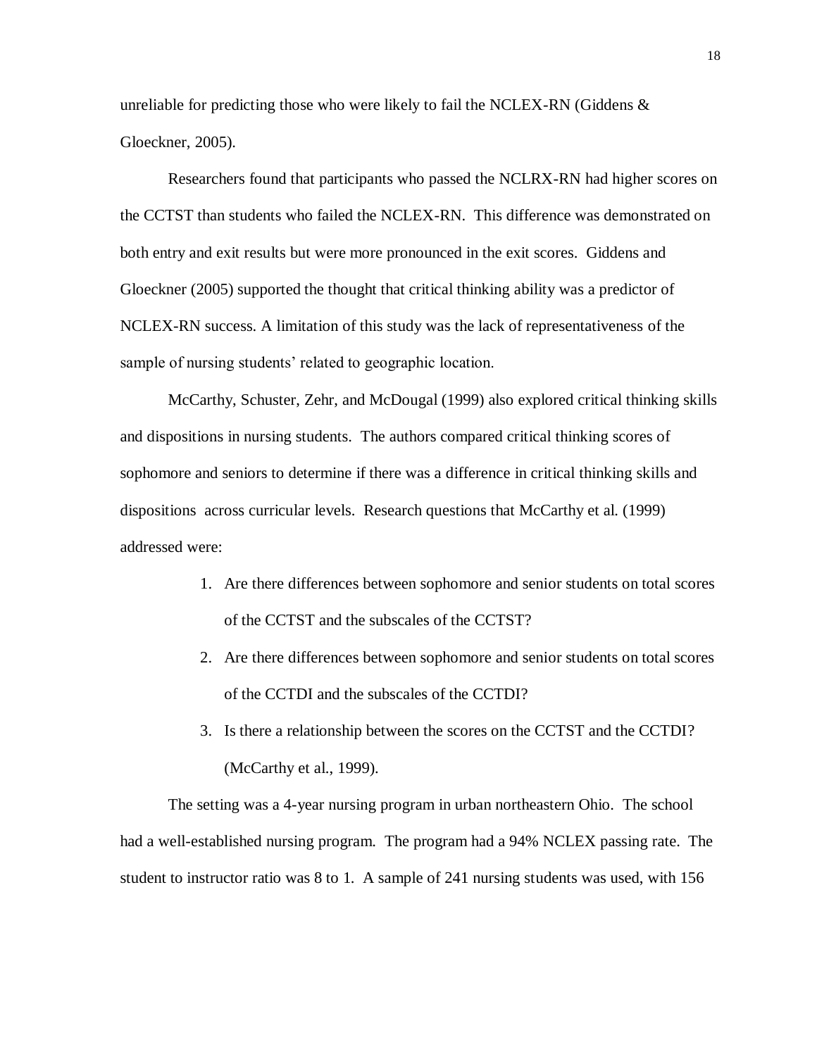unreliable for predicting those who were likely to fail the NCLEX-RN (Giddens  $\&$ Gloeckner, 2005).

Researchers found that participants who passed the NCLRX-RN had higher scores on the CCTST than students who failed the NCLEX-RN. This difference was demonstrated on both entry and exit results but were more pronounced in the exit scores. Giddens and Gloeckner (2005) supported the thought that critical thinking ability was a predictor of NCLEX-RN success. A limitation of this study was the lack of representativeness of the sample of nursing students' related to geographic location.

McCarthy, Schuster, Zehr, and McDougal (1999) also explored critical thinking skills and dispositions in nursing students. The authors compared critical thinking scores of sophomore and seniors to determine if there was a difference in critical thinking skills and dispositions across curricular levels. Research questions that McCarthy et al. (1999) addressed were:

- 1. Are there differences between sophomore and senior students on total scores of the CCTST and the subscales of the CCTST?
- 2. Are there differences between sophomore and senior students on total scores of the CCTDI and the subscales of the CCTDI?
- 3. Is there a relationship between the scores on the CCTST and the CCTDI? (McCarthy et al., 1999).

The setting was a 4-year nursing program in urban northeastern Ohio. The school had a well-established nursing program. The program had a 94% NCLEX passing rate. The student to instructor ratio was 8 to 1. A sample of 241 nursing students was used, with 156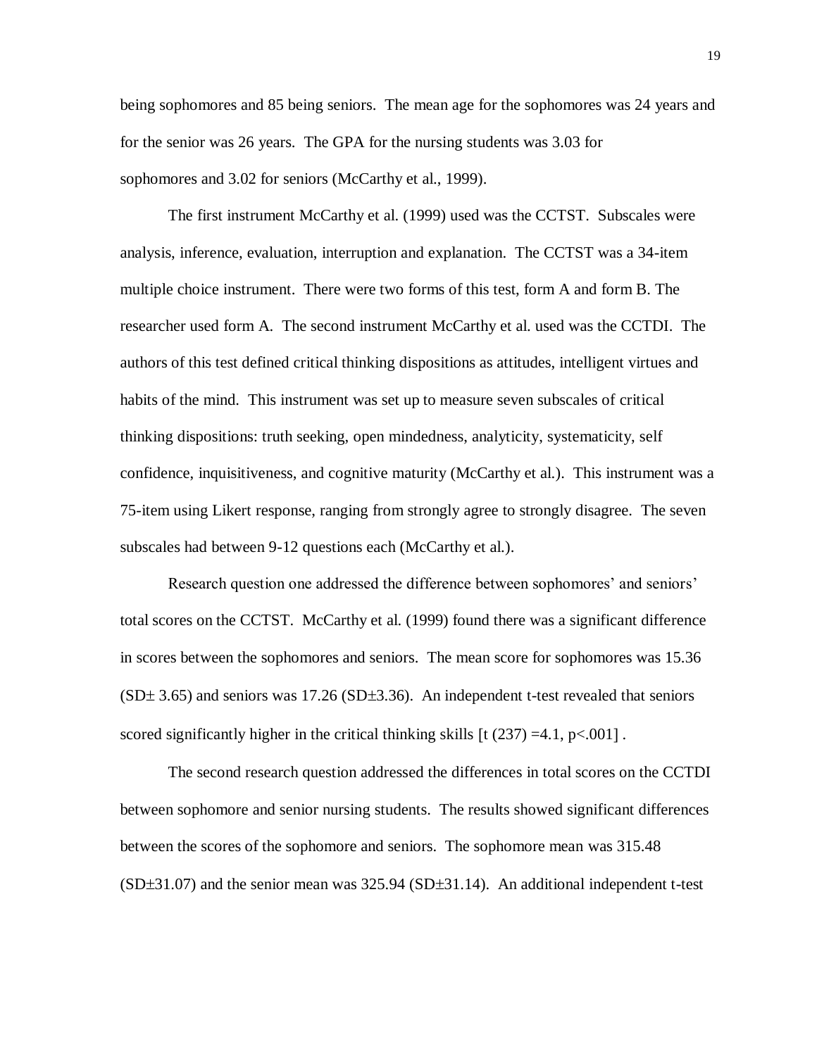being sophomores and 85 being seniors. The mean age for the sophomores was 24 years and for the senior was 26 years. The GPA for the nursing students was 3.03 for sophomores and 3.02 for seniors (McCarthy et al., 1999).

The first instrument McCarthy et al. (1999) used was the CCTST. Subscales were analysis, inference, evaluation, interruption and explanation. The CCTST was a 34-item multiple choice instrument. There were two forms of this test, form A and form B. The researcher used form A. The second instrument McCarthy et al. used was the CCTDI. The authors of this test defined critical thinking dispositions as attitudes, intelligent virtues and habits of the mind. This instrument was set up to measure seven subscales of critical thinking dispositions: truth seeking, open mindedness, analyticity, systematicity, self confidence, inquisitiveness, and cognitive maturity (McCarthy et al.). This instrument was a 75-item using Likert response, ranging from strongly agree to strongly disagree. The seven subscales had between 9-12 questions each (McCarthy et al.).

Research question one addressed the difference between sophomores' and seniors' total scores on the CCTST. McCarthy et al. (1999) found there was a significant difference in scores between the sophomores and seniors. The mean score for sophomores was 15.36  $(SD<sup>±</sup> 3.65)$  and seniors was 17.26 (SD $<sup>±</sup>3.36$ ). An independent t-test revealed that seniors</sup> scored significantly higher in the critical thinking skills  $\left[ \frac{1}{237} \right] = 4.1$ , p<0.01.

The second research question addressed the differences in total scores on the CCTDI between sophomore and senior nursing students. The results showed significant differences between the scores of the sophomore and seniors. The sophomore mean was 315.48  $(SD\pm31.07)$  and the senior mean was 325.94  $(SD\pm31.14)$ . An additional independent t-test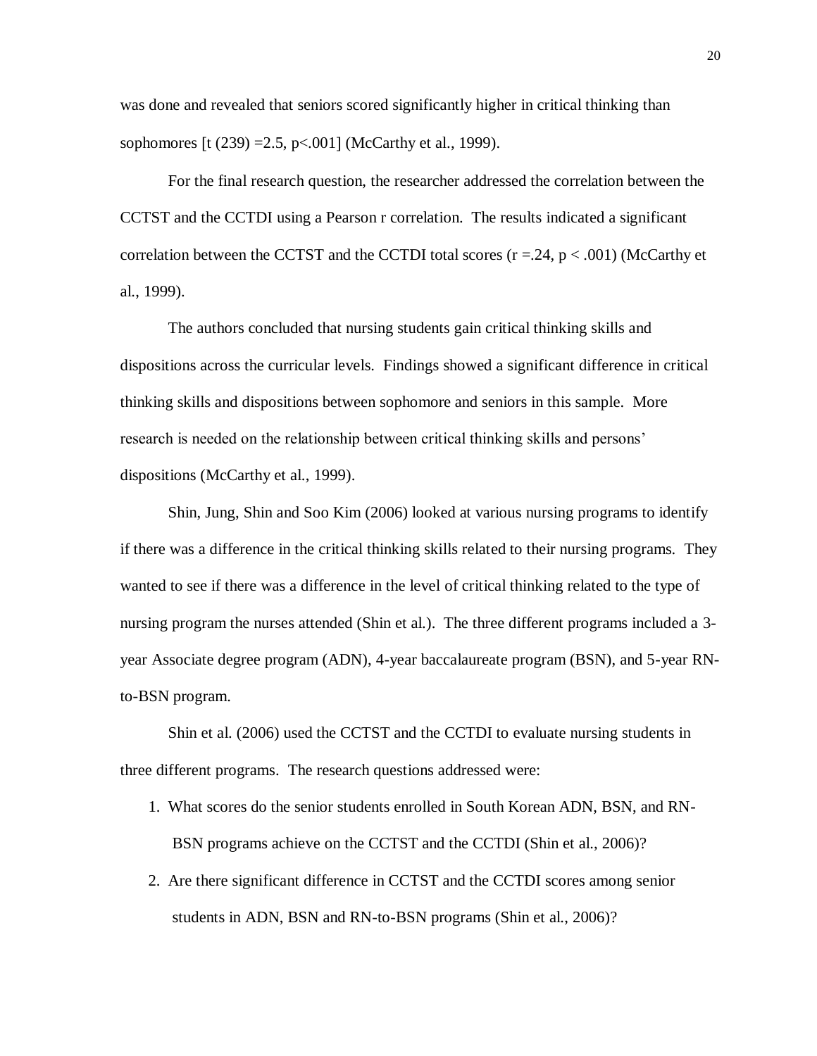was done and revealed that seniors scored significantly higher in critical thinking than sophomores  $\lbrack t \ (239) = 2.5, \ p < .001 \rbrack$  (McCarthy et al., 1999).

For the final research question, the researcher addressed the correlation between the CCTST and the CCTDI using a Pearson r correlation. The results indicated a significant correlation between the CCTST and the CCTDI total scores  $(r = .24, p < .001)$  (McCarthy et al., 1999).

The authors concluded that nursing students gain critical thinking skills and dispositions across the curricular levels. Findings showed a significant difference in critical thinking skills and dispositions between sophomore and seniors in this sample. More research is needed on the relationship between critical thinking skills and persons' dispositions (McCarthy et al., 1999).

Shin, Jung, Shin and Soo Kim (2006) looked at various nursing programs to identify if there was a difference in the critical thinking skills related to their nursing programs. They wanted to see if there was a difference in the level of critical thinking related to the type of nursing program the nurses attended (Shin et al.). The three different programs included a 3 year Associate degree program (ADN), 4-year baccalaureate program (BSN), and 5-year RNto-BSN program.

Shin et al. (2006) used the CCTST and the CCTDI to evaluate nursing students in three different programs. The research questions addressed were:

- 1. What scores do the senior students enrolled in South Korean ADN, BSN, and RN-BSN programs achieve on the CCTST and the CCTDI (Shin et al., 2006)?
- 2. Are there significant difference in CCTST and the CCTDI scores among senior students in ADN, BSN and RN-to-BSN programs (Shin et al., 2006)?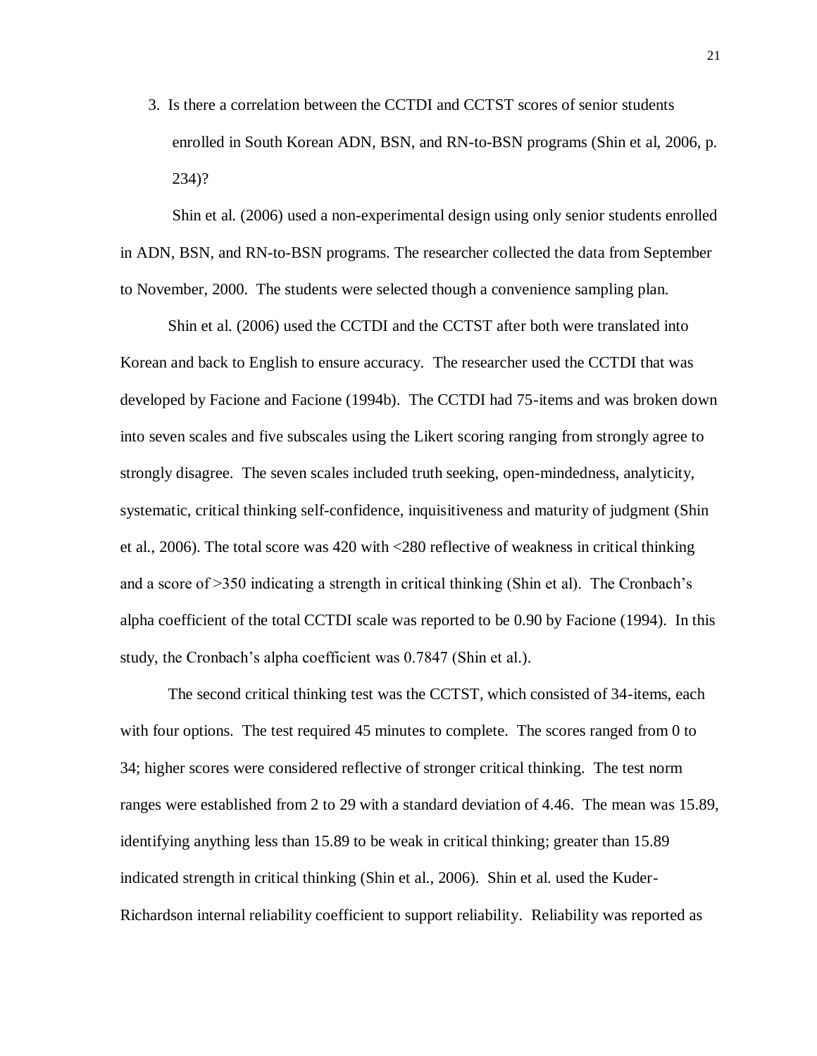3. Is there a correlation between the CCTDI and CCTST scores of senior students enrolled in South Korean ADN, BSN, and RN-to-BSN programs (Shin et al, 2006, p. 234)?

Shin et al. (2006) used a non-experimental design using only senior students enrolled in ADN, BSN, and RN-to-BSN programs. The researcher collected the data from September to November, 2000. The students were selected though a convenience sampling plan.

Shin et al. (2006) used the CCTDI and the CCTST after both were translated into Korean and back to English to ensure accuracy. The researcher used the CCTDI that was developed by Facione and Facione (1994b). The CCTDI had 75-items and was broken down into seven scales and five subscales using the Likert scoring ranging from strongly agree to strongly disagree. The seven scales included truth seeking, open-mindedness, analyticity, systematic, critical thinking self-confidence, inquisitiveness and maturity of judgment (Shin et al., 2006). The total score was 420 with <280 reflective of weakness in critical thinking and a score of >350 indicating a strength in critical thinking (Shin et al). The Cronbach's alpha coefficient of the total CCTDI scale was reported to be 0.90 by Facione (1994). In this study, the Cronbach's alpha coefficient was 0.7847 (Shin et al.).

The second critical thinking test was the CCTST, which consisted of 34-items, each with four options. The test required 45 minutes to complete. The scores ranged from 0 to 34; higher scores were considered reflective of stronger critical thinking. The test norm ranges were established from 2 to 29 with a standard deviation of 4.46. The mean was 15.89, identifying anything less than 15.89 to be weak in critical thinking; greater than 15.89 indicated strength in critical thinking (Shin et al., 2006). Shin et al. used the Kuder-Richardson internal reliability coefficient to support reliability. Reliability was reported as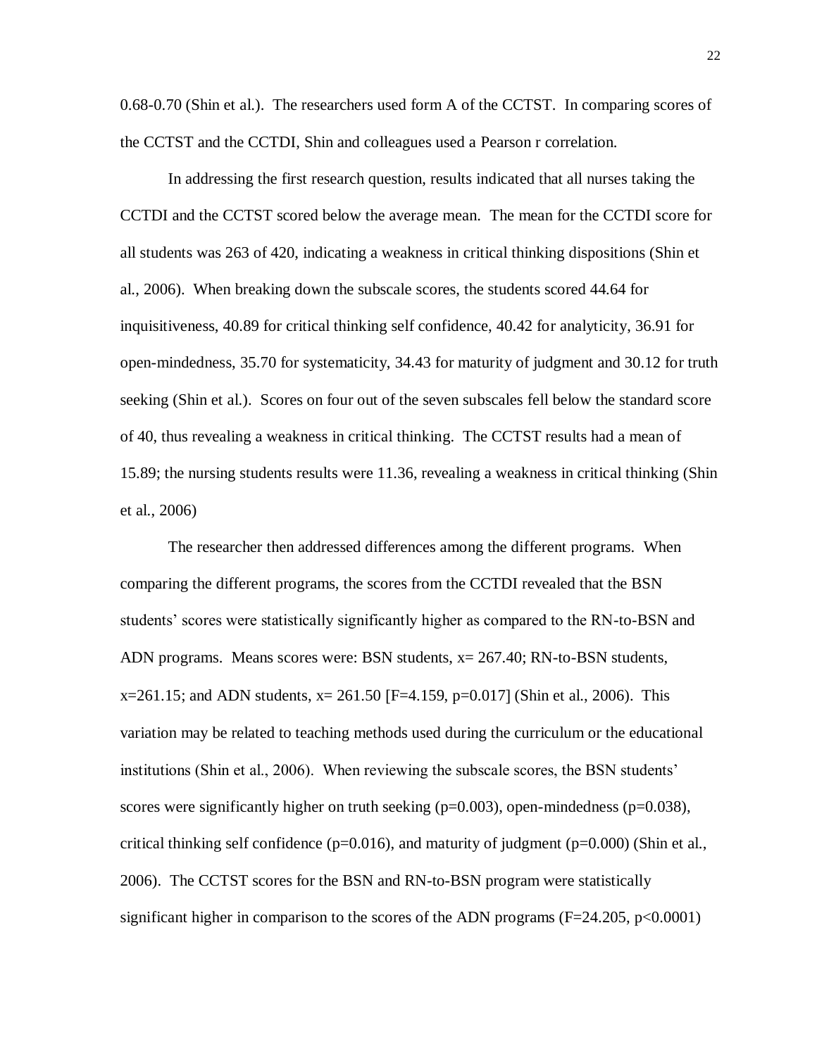0.68-0.70 (Shin et al.). The researchers used form A of the CCTST. In comparing scores of the CCTST and the CCTDI, Shin and colleagues used a Pearson r correlation.

In addressing the first research question, results indicated that all nurses taking the CCTDI and the CCTST scored below the average mean. The mean for the CCTDI score for all students was 263 of 420, indicating a weakness in critical thinking dispositions (Shin et al., 2006). When breaking down the subscale scores, the students scored 44.64 for inquisitiveness, 40.89 for critical thinking self confidence, 40.42 for analyticity, 36.91 for open-mindedness, 35.70 for systematicity, 34.43 for maturity of judgment and 30.12 for truth seeking (Shin et al.). Scores on four out of the seven subscales fell below the standard score of 40, thus revealing a weakness in critical thinking. The CCTST results had a mean of 15.89; the nursing students results were 11.36, revealing a weakness in critical thinking (Shin et al., 2006)

The researcher then addressed differences among the different programs. When comparing the different programs, the scores from the CCTDI revealed that the BSN students' scores were statistically significantly higher as compared to the RN-to-BSN and ADN programs. Means scores were: BSN students, x= 267.40; RN-to-BSN students,  $x=261.15$ ; and ADN students,  $x=261.50$  [F=4.159, p=0.017] (Shin et al., 2006). This variation may be related to teaching methods used during the curriculum or the educational institutions (Shin et al., 2006). When reviewing the subscale scores, the BSN students' scores were significantly higher on truth seeking  $(p=0.003)$ , open-mindedness  $(p=0.038)$ , critical thinking self confidence ( $p=0.016$ ), and maturity of judgment ( $p=0.000$ ) (Shin et al., 2006). The CCTST scores for the BSN and RN-to-BSN program were statistically significant higher in comparison to the scores of the ADN programs  $(F=24.205, p<0.0001)$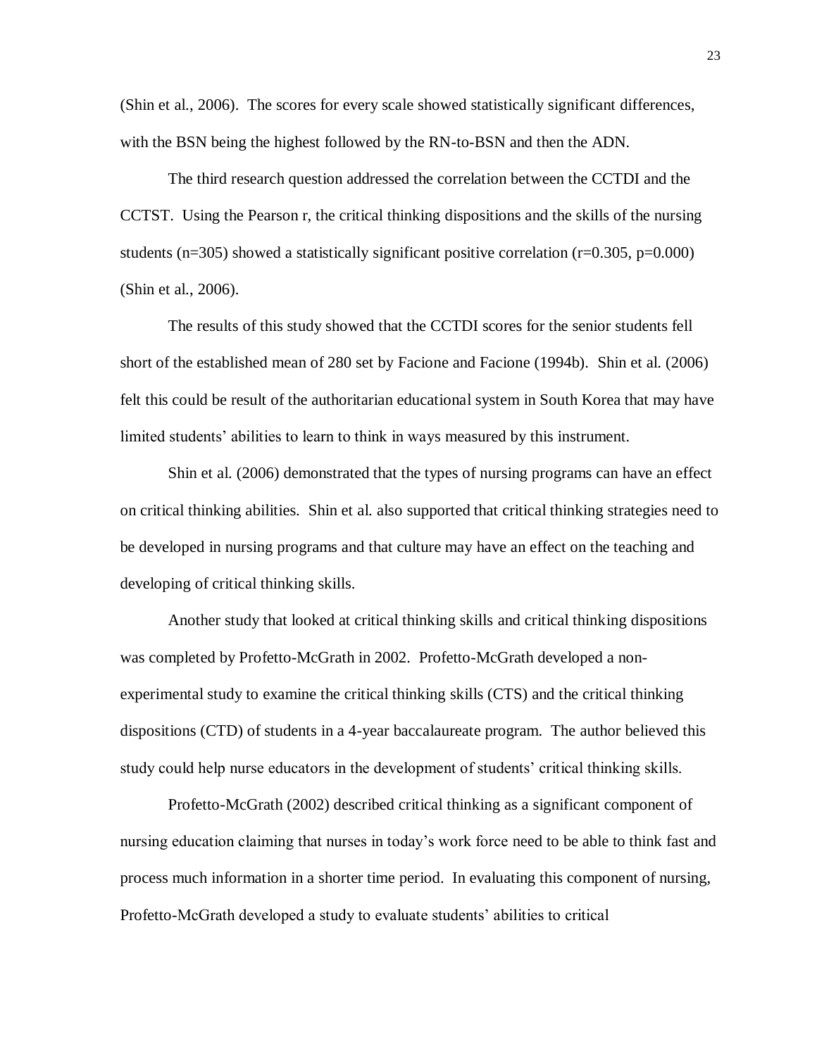(Shin et al., 2006). The scores for every scale showed statistically significant differences, with the BSN being the highest followed by the RN-to-BSN and then the ADN.

The third research question addressed the correlation between the CCTDI and the CCTST. Using the Pearson r, the critical thinking dispositions and the skills of the nursing students ( $n=305$ ) showed a statistically significant positive correlation ( $r=0.305$ ,  $p=0.000$ ) (Shin et al., 2006).

The results of this study showed that the CCTDI scores for the senior students fell short of the established mean of 280 set by Facione and Facione (1994b). Shin et al. (2006) felt this could be result of the authoritarian educational system in South Korea that may have limited students' abilities to learn to think in ways measured by this instrument.

Shin et al. (2006) demonstrated that the types of nursing programs can have an effect on critical thinking abilities. Shin et al. also supported that critical thinking strategies need to be developed in nursing programs and that culture may have an effect on the teaching and developing of critical thinking skills.

Another study that looked at critical thinking skills and critical thinking dispositions was completed by Profetto-McGrath in 2002. Profetto-McGrath developed a nonexperimental study to examine the critical thinking skills (CTS) and the critical thinking dispositions (CTD) of students in a 4-year baccalaureate program. The author believed this study could help nurse educators in the development of students' critical thinking skills.

Profetto-McGrath (2002) described critical thinking as a significant component of nursing education claiming that nurses in today's work force need to be able to think fast and process much information in a shorter time period. In evaluating this component of nursing, Profetto-McGrath developed a study to evaluate students' abilities to critical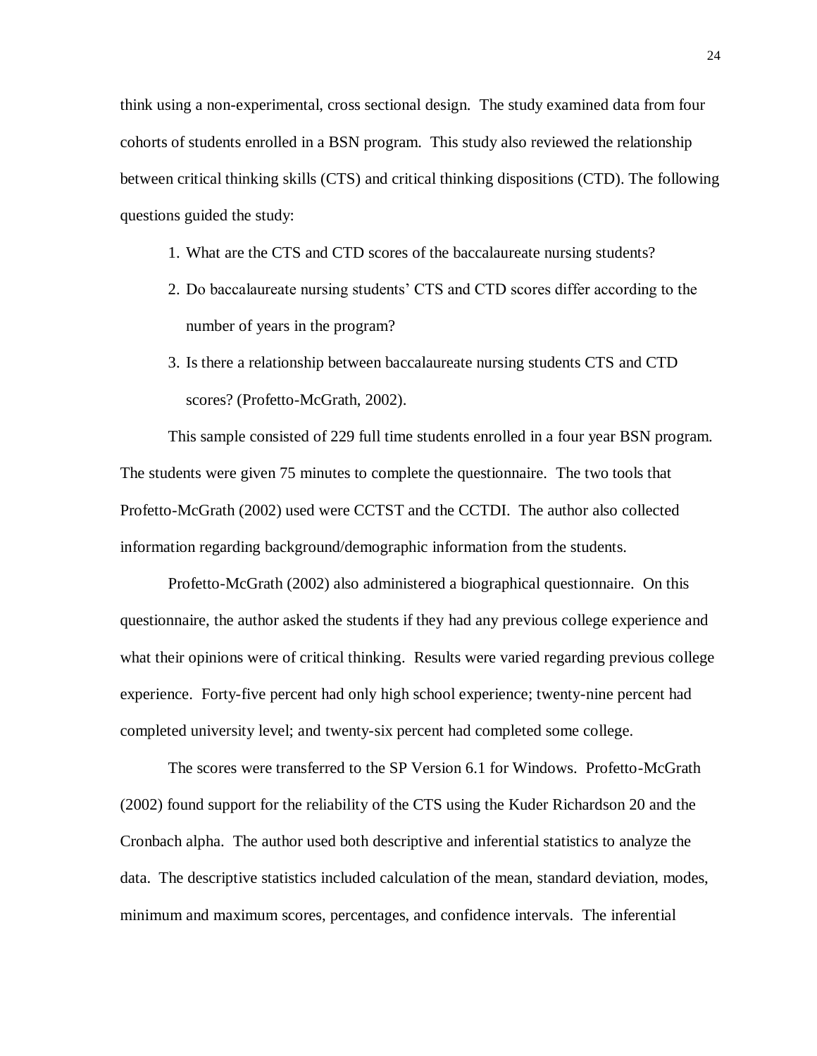think using a non-experimental, cross sectional design. The study examined data from four cohorts of students enrolled in a BSN program. This study also reviewed the relationship between critical thinking skills (CTS) and critical thinking dispositions (CTD). The following questions guided the study:

- 1. What are the CTS and CTD scores of the baccalaureate nursing students?
- 2. Do baccalaureate nursing students' CTS and CTD scores differ according to the number of years in the program?
- 3. Is there a relationship between baccalaureate nursing students CTS and CTD scores? (Profetto-McGrath, 2002).

This sample consisted of 229 full time students enrolled in a four year BSN program. The students were given 75 minutes to complete the questionnaire. The two tools that Profetto-McGrath (2002) used were CCTST and the CCTDI. The author also collected information regarding background/demographic information from the students.

Profetto-McGrath (2002) also administered a biographical questionnaire. On this questionnaire, the author asked the students if they had any previous college experience and what their opinions were of critical thinking. Results were varied regarding previous college experience. Forty-five percent had only high school experience; twenty-nine percent had completed university level; and twenty-six percent had completed some college.

The scores were transferred to the SP Version 6.1 for Windows. Profetto-McGrath (2002) found support for the reliability of the CTS using the Kuder Richardson 20 and the Cronbach alpha. The author used both descriptive and inferential statistics to analyze the data. The descriptive statistics included calculation of the mean, standard deviation, modes, minimum and maximum scores, percentages, and confidence intervals. The inferential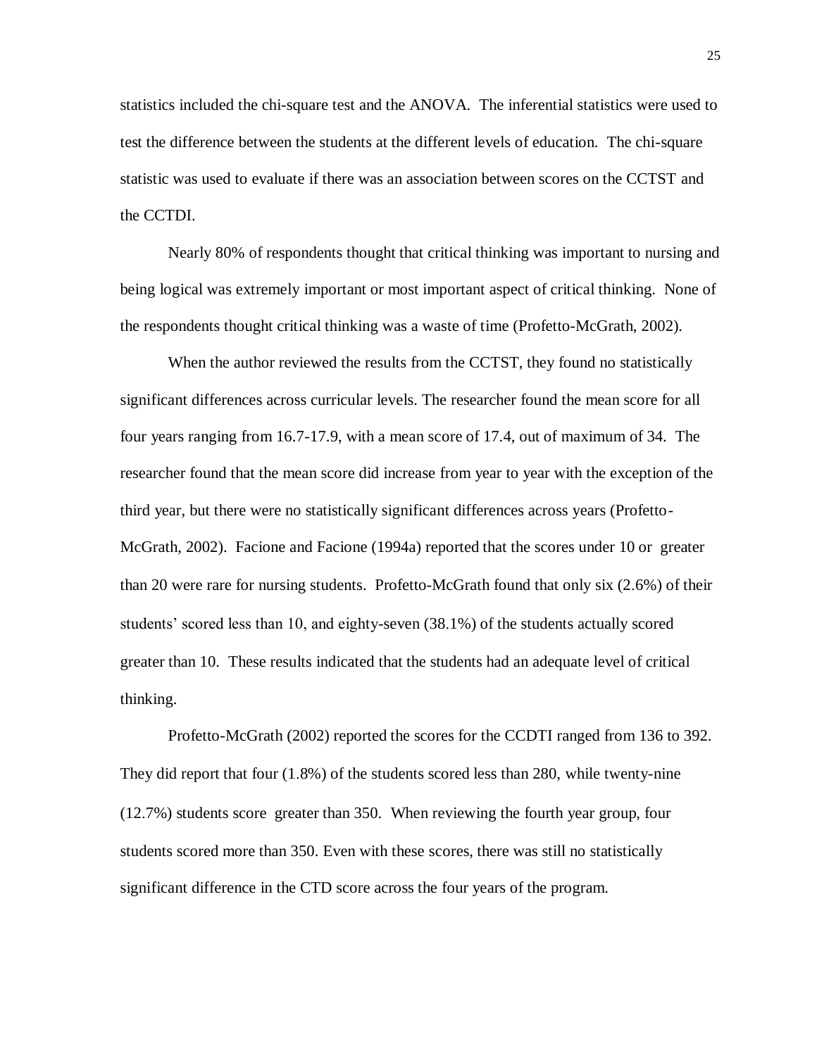statistics included the chi-square test and the ANOVA. The inferential statistics were used to test the difference between the students at the different levels of education. The chi-square statistic was used to evaluate if there was an association between scores on the CCTST and the CCTDI.

Nearly 80% of respondents thought that critical thinking was important to nursing and being logical was extremely important or most important aspect of critical thinking. None of the respondents thought critical thinking was a waste of time (Profetto-McGrath, 2002).

When the author reviewed the results from the CCTST, they found no statistically significant differences across curricular levels. The researcher found the mean score for all four years ranging from 16.7-17.9, with a mean score of 17.4, out of maximum of 34. The researcher found that the mean score did increase from year to year with the exception of the third year, but there were no statistically significant differences across years (Profetto-McGrath, 2002). Facione and Facione (1994a) reported that the scores under 10 or greater than 20 were rare for nursing students. Profetto-McGrath found that only six (26%) of their students' scored less than 10, and eighty-seven (381%) of the students actually scored greater than 10. These results indicated that the students had an adequate level of critical thinking.

Profetto-McGrath (2002) reported the scores for the CCDTI ranged from 136 to 392. They did report that four (18%) of the students scored less than 280, while twenty-nine (127%) students score greater than 350. When reviewing the fourth year group, four students scored more than 350. Even with these scores, there was still no statistically significant difference in the CTD score across the four years of the program.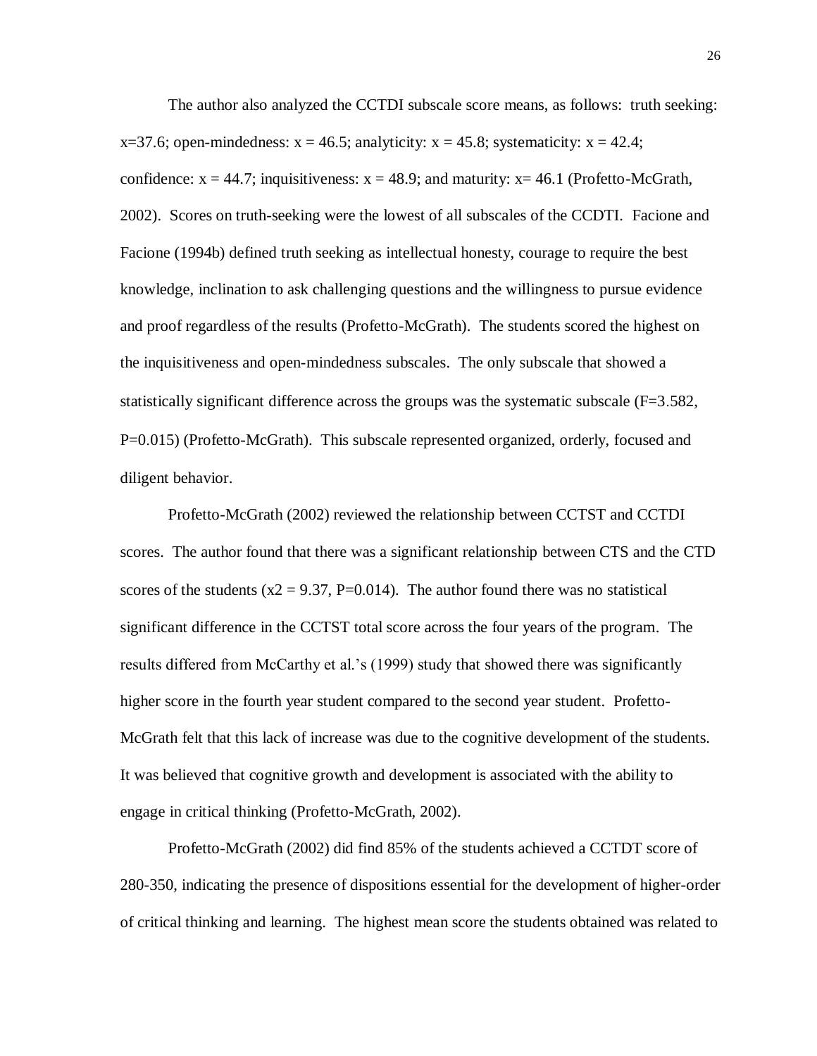The author also analyzed the CCTDI subscale score means, as follows: truth seeking:  $x=37.6$ ; open-mindedness:  $x = 46.5$ ; analyticity:  $x = 45.8$ ; systematicity:  $x = 42.4$ ; confidence:  $x = 44.7$ ; inquisitiveness:  $x = 48.9$ ; and maturity:  $x = 46.1$  (Profetto-McGrath, 2002). Scores on truth-seeking were the lowest of all subscales of the CCDTI. Facione and Facione (1994b) defined truth seeking as intellectual honesty, courage to require the best knowledge, inclination to ask challenging questions and the willingness to pursue evidence and proof regardless of the results (Profetto-McGrath). The students scored the highest on the inquisitiveness and open-mindedness subscales. The only subscale that showed a statistically significant difference across the groups was the systematic subscale  $(F=3.582)$ , P=0.015) (Profetto-McGrath). This subscale represented organized, orderly, focused and diligent behavior.

Profetto-McGrath (2002) reviewed the relationship between CCTST and CCTDI scores. The author found that there was a significant relationship between CTS and the CTD scores of the students ( $x2 = 9.37$ , P=0.014). The author found there was no statistical significant difference in the CCTST total score across the four years of the program. The results differed from McCarthy et al.'s (1999) study that showed there was significantly higher score in the fourth year student compared to the second year student. Profetto-McGrath felt that this lack of increase was due to the cognitive development of the students. It was believed that cognitive growth and development is associated with the ability to engage in critical thinking (Profetto-McGrath, 2002).

Profetto-McGrath (2002) did find 85% of the students achieved a CCTDT score of 280-350, indicating the presence of dispositions essential for the development of higher-order of critical thinking and learning. The highest mean score the students obtained was related to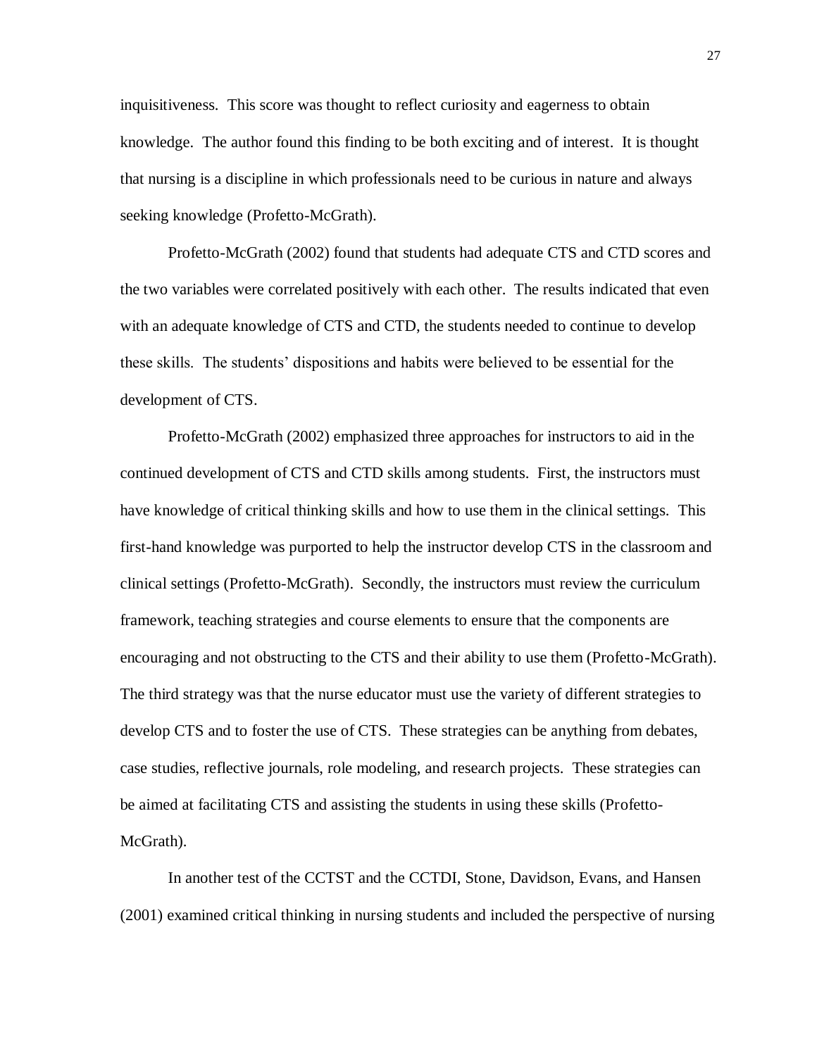inquisitiveness. This score was thought to reflect curiosity and eagerness to obtain knowledge. The author found this finding to be both exciting and of interest. It is thought that nursing is a discipline in which professionals need to be curious in nature and always seeking knowledge (Profetto-McGrath).

Profetto-McGrath (2002) found that students had adequate CTS and CTD scores and the two variables were correlated positively with each other. The results indicated that even with an adequate knowledge of CTS and CTD, the students needed to continue to develop these skills. The students' dispositions and habits were believed to be essential for the development of CTS.

Profetto-McGrath (2002) emphasized three approaches for instructors to aid in the continued development of CTS and CTD skills among students. First, the instructors must have knowledge of critical thinking skills and how to use them in the clinical settings. This first-hand knowledge was purported to help the instructor develop CTS in the classroom and clinical settings (Profetto-McGrath). Secondly, the instructors must review the curriculum framework, teaching strategies and course elements to ensure that the components are encouraging and not obstructing to the CTS and their ability to use them (Profetto-McGrath). The third strategy was that the nurse educator must use the variety of different strategies to develop CTS and to foster the use of CTS. These strategies can be anything from debates, case studies, reflective journals, role modeling, and research projects. These strategies can be aimed at facilitating CTS and assisting the students in using these skills (Profetto-McGrath).

In another test of the CCTST and the CCTDI, Stone, Davidson, Evans, and Hansen (2001) examined critical thinking in nursing students and included the perspective of nursing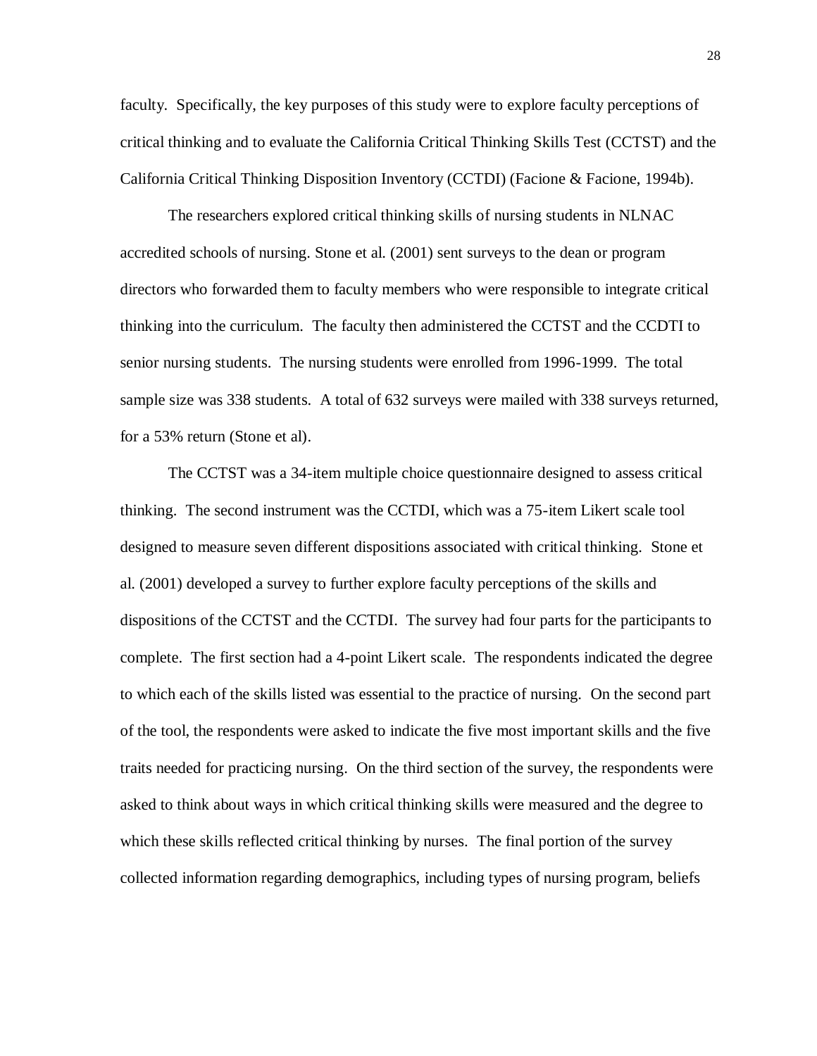faculty. Specifically, the key purposes of this study were to explore faculty perceptions of critical thinking and to evaluate the California Critical Thinking Skills Test (CCTST) and the California Critical Thinking Disposition Inventory (CCTDI) (Facione & Facione, 1994b).

The researchers explored critical thinking skills of nursing students in NLNAC accredited schools of nursing. Stone et al. (2001) sent surveys to the dean or program directors who forwarded them to faculty members who were responsible to integrate critical thinking into the curriculum. The faculty then administered the CCTST and the CCDTI to senior nursing students. The nursing students were enrolled from 1996-1999. The total sample size was 338 students. A total of 632 surveys were mailed with 338 surveys returned, for a 53% return (Stone et al).

The CCTST was a 34-item multiple choice questionnaire designed to assess critical thinking. The second instrument was the CCTDI, which was a 75-item Likert scale tool designed to measure seven different dispositions associated with critical thinking. Stone et al. (2001) developed a survey to further explore faculty perceptions of the skills and dispositions of the CCTST and the CCTDI. The survey had four parts for the participants to complete. The first section had a 4-point Likert scale. The respondents indicated the degree to which each of the skills listed was essential to the practice of nursing. On the second part of the tool, the respondents were asked to indicate the five most important skills and the five traits needed for practicing nursing. On the third section of the survey, the respondents were asked to think about ways in which critical thinking skills were measured and the degree to which these skills reflected critical thinking by nurses. The final portion of the survey collected information regarding demographics, including types of nursing program, beliefs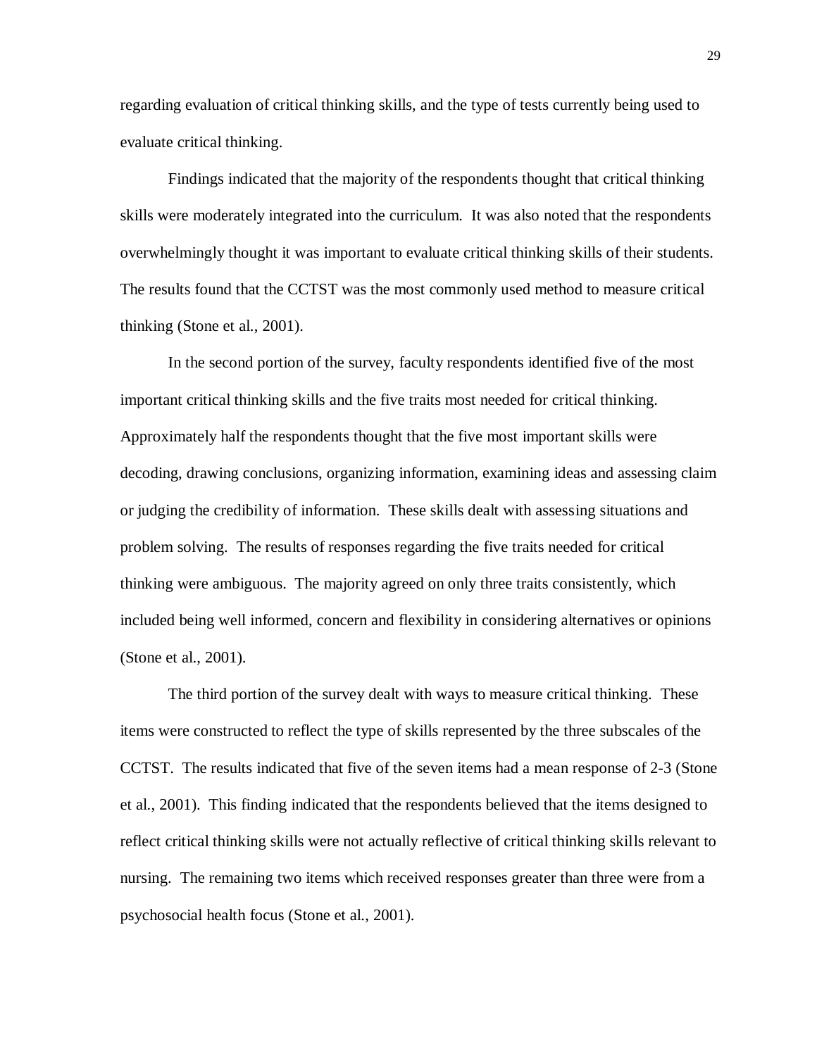regarding evaluation of critical thinking skills, and the type of tests currently being used to evaluate critical thinking.

Findings indicated that the majority of the respondents thought that critical thinking skills were moderately integrated into the curriculum. It was also noted that the respondents overwhelmingly thought it was important to evaluate critical thinking skills of their students. The results found that the CCTST was the most commonly used method to measure critical thinking (Stone et al., 2001).

In the second portion of the survey, faculty respondents identified five of the most important critical thinking skills and the five traits most needed for critical thinking. Approximately half the respondents thought that the five most important skills were decoding, drawing conclusions, organizing information, examining ideas and assessing claim or judging the credibility of information. These skills dealt with assessing situations and problem solving. The results of responses regarding the five traits needed for critical thinking were ambiguous. The majority agreed on only three traits consistently, which included being well informed, concern and flexibility in considering alternatives or opinions (Stone et al., 2001).

The third portion of the survey dealt with ways to measure critical thinking. These items were constructed to reflect the type of skills represented by the three subscales of the CCTST. The results indicated that five of the seven items had a mean response of 2-3 (Stone et al., 2001). This finding indicated that the respondents believed that the items designed to reflect critical thinking skills were not actually reflective of critical thinking skills relevant to nursing. The remaining two items which received responses greater than three were from a psychosocial health focus (Stone et al., 2001).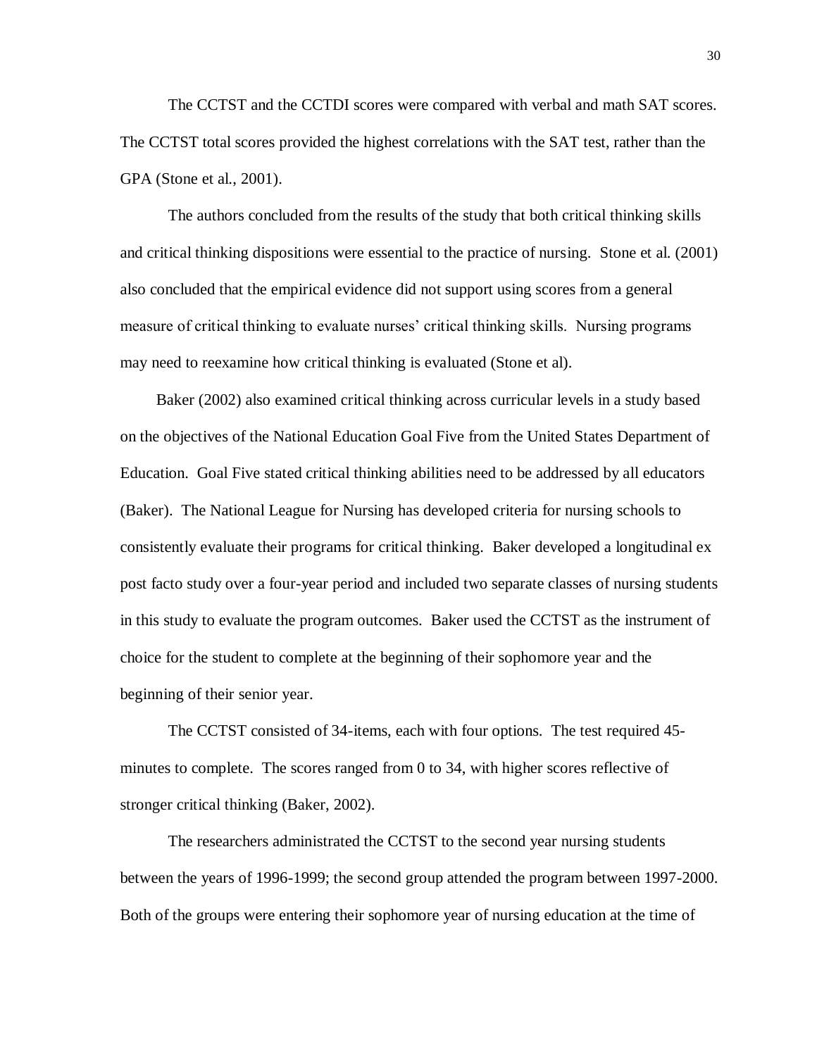The CCTST and the CCTDI scores were compared with verbal and math SAT scores. The CCTST total scores provided the highest correlations with the SAT test, rather than the GPA (Stone et al., 2001).

The authors concluded from the results of the study that both critical thinking skills and critical thinking dispositions were essential to the practice of nursing. Stone et al. (2001) also concluded that the empirical evidence did not support using scores from a general measure of critical thinking to evaluate nurses' critical thinking skills. Nursing programs may need to reexamine how critical thinking is evaluated (Stone et al).

Baker (2002) also examined critical thinking across curricular levels in a study based on the objectives of the National Education Goal Five from the United States Department of Education. Goal Five stated critical thinking abilities need to be addressed by all educators (Baker). The National League for Nursing has developed criteria for nursing schools to consistently evaluate their programs for critical thinking. Baker developed a longitudinal ex post facto study over a four-year period and included two separate classes of nursing students in this study to evaluate the program outcomes. Baker used the CCTST as the instrument of choice for the student to complete at the beginning of their sophomore year and the beginning of their senior year.

The CCTST consisted of 34-items, each with four options. The test required 45 minutes to complete. The scores ranged from 0 to 34, with higher scores reflective of stronger critical thinking (Baker, 2002).

The researchers administrated the CCTST to the second year nursing students between the years of 1996-1999; the second group attended the program between 1997-2000. Both of the groups were entering their sophomore year of nursing education at the time of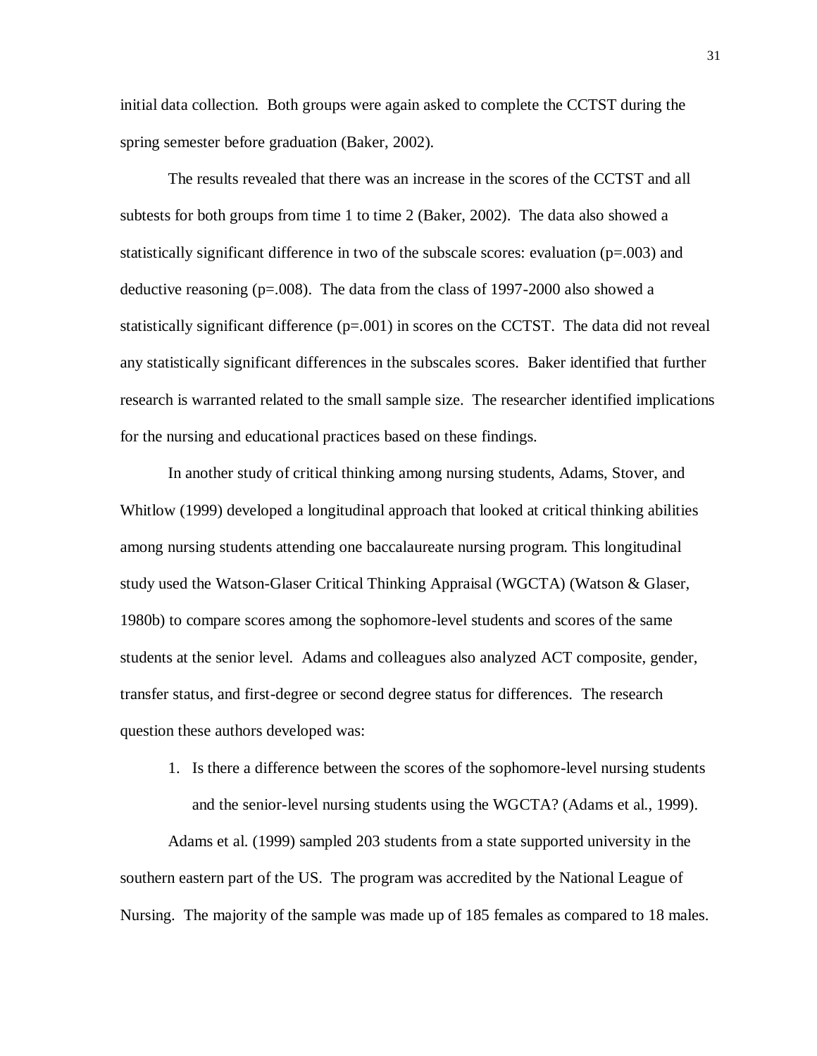initial data collection. Both groups were again asked to complete the CCTST during the spring semester before graduation (Baker, 2002).

The results revealed that there was an increase in the scores of the CCTST and all subtests for both groups from time 1 to time 2 (Baker, 2002). The data also showed a statistically significant difference in two of the subscale scores: evaluation  $(p=0.003)$  and deductive reasoning  $(p=0.008)$ . The data from the class of 1997-2000 also showed a statistically significant difference  $(p=.001)$  in scores on the CCTST. The data did not reveal any statistically significant differences in the subscales scores. Baker identified that further research is warranted related to the small sample size. The researcher identified implications for the nursing and educational practices based on these findings.

In another study of critical thinking among nursing students, Adams, Stover, and Whitlow (1999) developed a longitudinal approach that looked at critical thinking abilities among nursing students attending one baccalaureate nursing program. This longitudinal study used the Watson-Glaser Critical Thinking Appraisal (WGCTA) (Watson & Glaser, 1980b) to compare scores among the sophomore-level students and scores of the same students at the senior level. Adams and colleagues also analyzed ACT composite, gender, transfer status, and first-degree or second degree status for differences. The research question these authors developed was:

1. Is there a difference between the scores of the sophomore-level nursing students and the senior-level nursing students using the WGCTA? (Adams et al., 1999).

Adams et al. (1999) sampled 203 students from a state supported university in the southern eastern part of the US. The program was accredited by the National League of Nursing. The majority of the sample was made up of 185 females as compared to 18 males.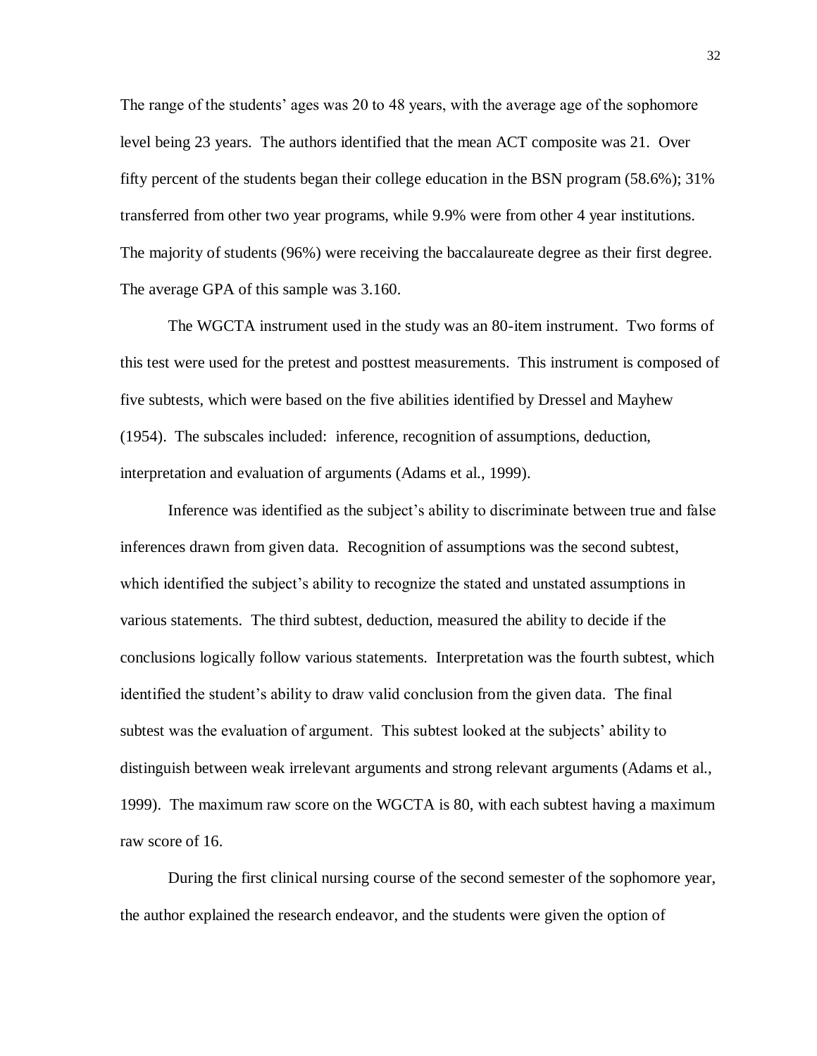The range of the students' ages was 20 to 48 years, with the average age of the sophomore level being 23 years. The authors identified that the mean ACT composite was 21. Over fifty percent of the students began their college education in the BSN program (58.6%); 31% transferred from other two year programs, while 9.9% were from other 4 year institutions. The majority of students (96%) were receiving the baccalaureate degree as their first degree. The average GPA of this sample was 3.160.

The WGCTA instrument used in the study was an 80-item instrument. Two forms of this test were used for the pretest and posttest measurements. This instrument is composed of five subtests, which were based on the five abilities identified by Dressel and Mayhew (1954). The subscales included: inference, recognition of assumptions, deduction, interpretation and evaluation of arguments (Adams et al., 1999).

Inference was identified as the subject's ability to discriminate between true and false inferences drawn from given data. Recognition of assumptions was the second subtest, which identified the subject's ability to recognize the stated and unstated assumptions in various statements. The third subtest, deduction, measured the ability to decide if the conclusions logically follow various statements. Interpretation was the fourth subtest, which identified the student's ability to draw valid conclusion from the given data. The final subtest was the evaluation of argument. This subtest looked at the subjects' ability to distinguish between weak irrelevant arguments and strong relevant arguments (Adams et al., 1999). The maximum raw score on the WGCTA is 80, with each subtest having a maximum raw score of 16.

During the first clinical nursing course of the second semester of the sophomore year, the author explained the research endeavor, and the students were given the option of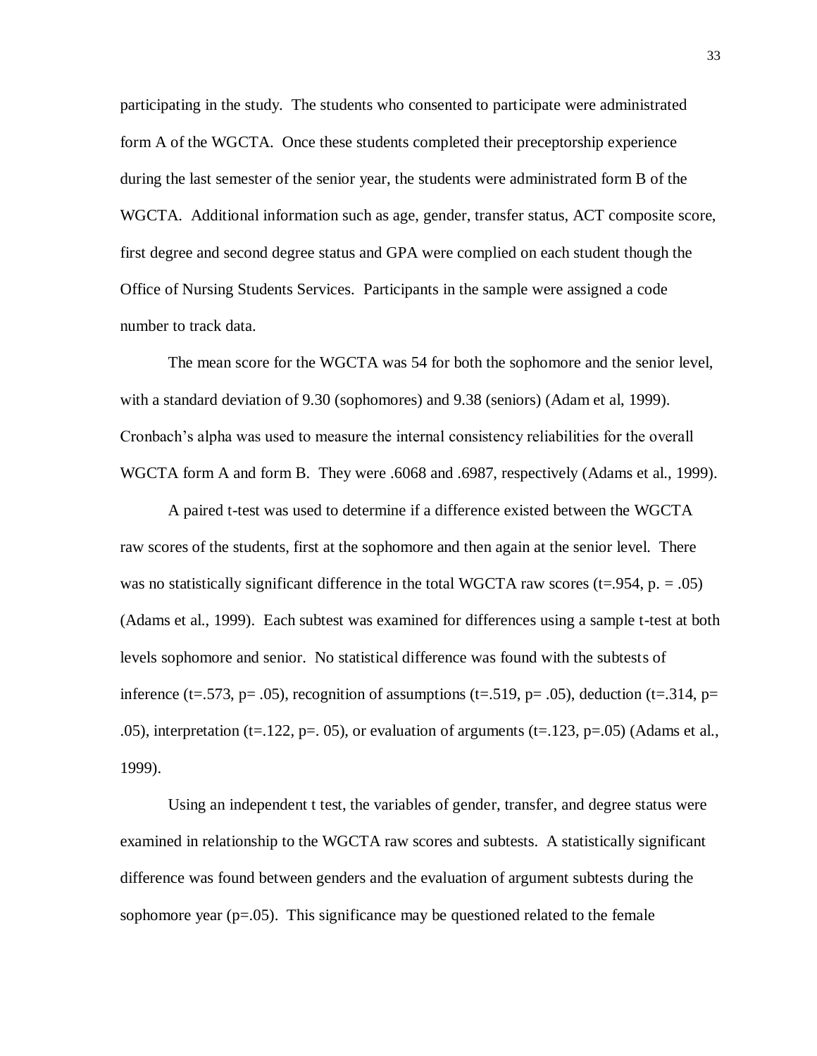participating in the study. The students who consented to participate were administrated form A of the WGCTA. Once these students completed their preceptorship experience during the last semester of the senior year, the students were administrated form B of the WGCTA. Additional information such as age, gender, transfer status, ACT composite score, first degree and second degree status and GPA were complied on each student though the Office of Nursing Students Services. Participants in the sample were assigned a code number to track data.

The mean score for the WGCTA was 54 for both the sophomore and the senior level, with a standard deviation of 9.30 (sophomores) and 9.38 (seniors) (Adam et al, 1999). Cronbach's alpha was used to measure the internal consistency reliabilities for the overall WGCTA form A and form B. They were .6068 and .6987, respectively (Adams et al., 1999).

A paired t-test was used to determine if a difference existed between the WGCTA raw scores of the students, first at the sophomore and then again at the senior level. There was no statistically significant difference in the total WGCTA raw scores ( $t=0.954$ ,  $p = 0.05$ ) (Adams et al., 1999). Each subtest was examined for differences using a sample t-test at both levels sophomore and senior. No statistical difference was found with the subtests of inference (t=.573, p= .05), recognition of assumptions (t=.519, p= .05), deduction (t=.314, p= .05), interpretation (t=.122, p=. 05), or evaluation of arguments (t=.123, p=.05) (Adams et al., 1999).

Using an independent t test, the variables of gender, transfer, and degree status were examined in relationship to the WGCTA raw scores and subtests. A statistically significant difference was found between genders and the evaluation of argument subtests during the sophomore year  $(p=.05)$ . This significance may be questioned related to the female

33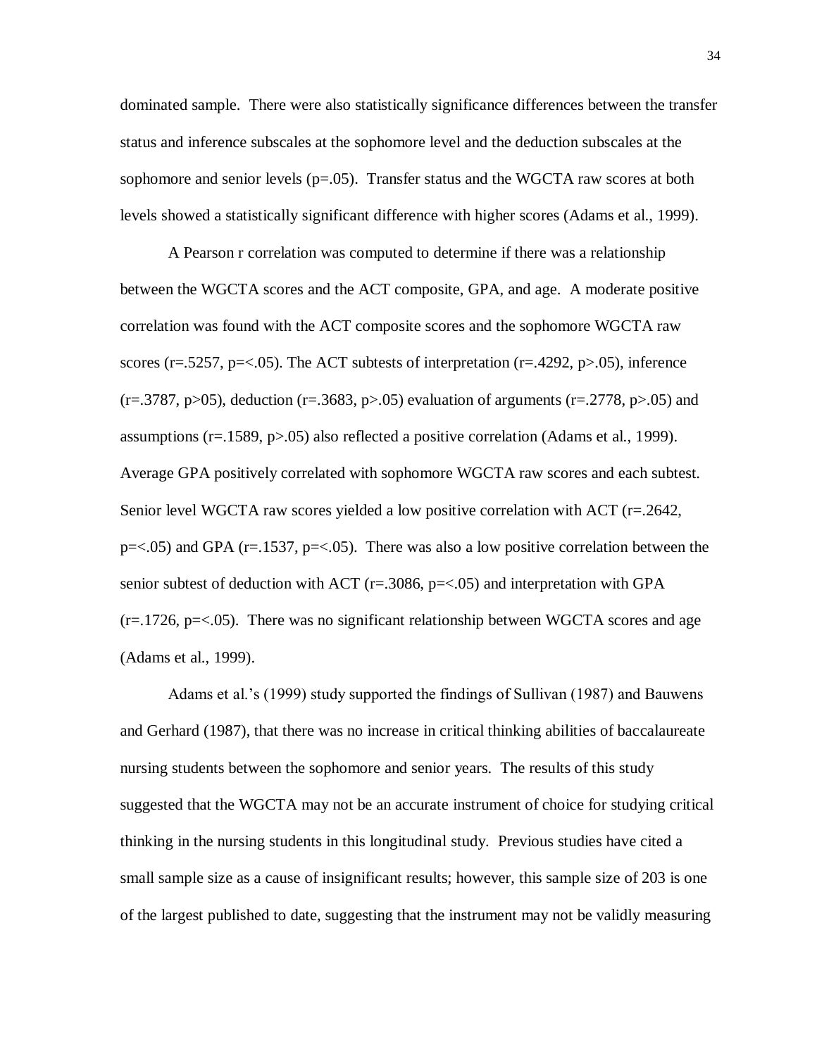dominated sample. There were also statistically significance differences between the transfer status and inference subscales at the sophomore level and the deduction subscales at the sophomore and senior levels  $(p=.05)$ . Transfer status and the WGCTA raw scores at both levels showed a statistically significant difference with higher scores (Adams et al., 1999).

A Pearson r correlation was computed to determine if there was a relationship between the WGCTA scores and the ACT composite, GPA, and age. A moderate positive correlation was found with the ACT composite scores and the sophomore WGCTA raw scores (r=.5257, p=<.05). The ACT subtests of interpretation (r=.4292, p>.05), inference  $(r=.3787, p>05)$ , deduction  $(r=.3683, p>0.05)$  evaluation of arguments  $(r=.2778, p>0.05)$  and assumptions (r=.1589, p>.05) also reflected a positive correlation (Adams et al., 1999). Average GPA positively correlated with sophomore WGCTA raw scores and each subtest. Senior level WGCTA raw scores yielded a low positive correlation with ACT (r=.2642,  $p = 0.05$ ) and GPA ( $r = 0.1537$ ,  $p = 0.05$ ). There was also a low positive correlation between the senior subtest of deduction with ACT ( $r = .3086$ ,  $p = < .05$ ) and interpretation with GPA  $(r=.1726, p=<.05)$ . There was no significant relationship between WGCTA scores and age (Adams et al., 1999).

Adams et al.'s (1999) study supported the findings of Sullivan (1987) and Bauwens and Gerhard (1987), that there was no increase in critical thinking abilities of baccalaureate nursing students between the sophomore and senior years. The results of this study suggested that the WGCTA may not be an accurate instrument of choice for studying critical thinking in the nursing students in this longitudinal study. Previous studies have cited a small sample size as a cause of insignificant results; however, this sample size of 203 is one of the largest published to date, suggesting that the instrument may not be validly measuring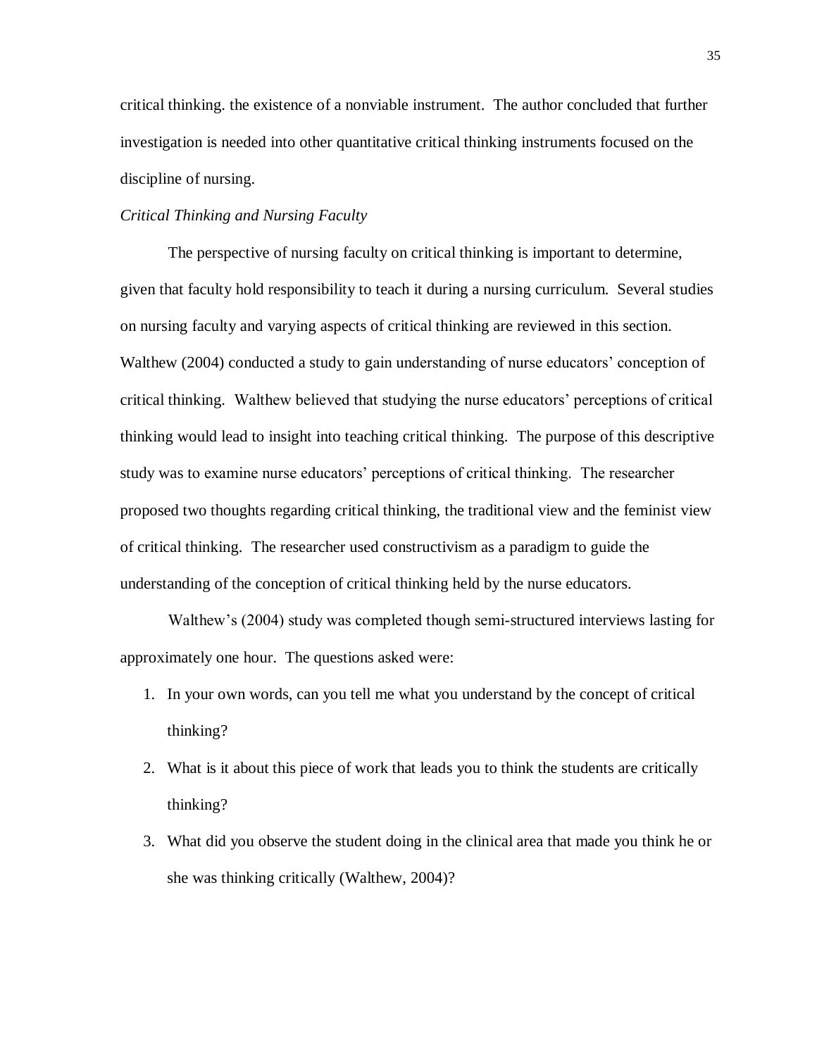critical thinking. the existence of a nonviable instrument. The author concluded that further investigation is needed into other quantitative critical thinking instruments focused on the discipline of nursing.

## *Critical Thinking and Nursing Faculty*

The perspective of nursing faculty on critical thinking is important to determine, given that faculty hold responsibility to teach it during a nursing curriculum. Several studies on nursing faculty and varying aspects of critical thinking are reviewed in this section. Walthew (2004) conducted a study to gain understanding of nurse educators' conception of critical thinking. Walthew believed that studying the nurse educators' perceptions of critical thinking would lead to insight into teaching critical thinking. The purpose of this descriptive study was to examine nurse educators' perceptions of critical thinking. The researcher proposed two thoughts regarding critical thinking, the traditional view and the feminist view of critical thinking. The researcher used constructivism as a paradigm to guide the understanding of the conception of critical thinking held by the nurse educators.

Walthew's (2004) study was completed though semi-structured interviews lasting for approximately one hour. The questions asked were:

- 1. In your own words, can you tell me what you understand by the concept of critical thinking?
- 2. What is it about this piece of work that leads you to think the students are critically thinking?
- 3. What did you observe the student doing in the clinical area that made you think he or she was thinking critically (Walthew, 2004)?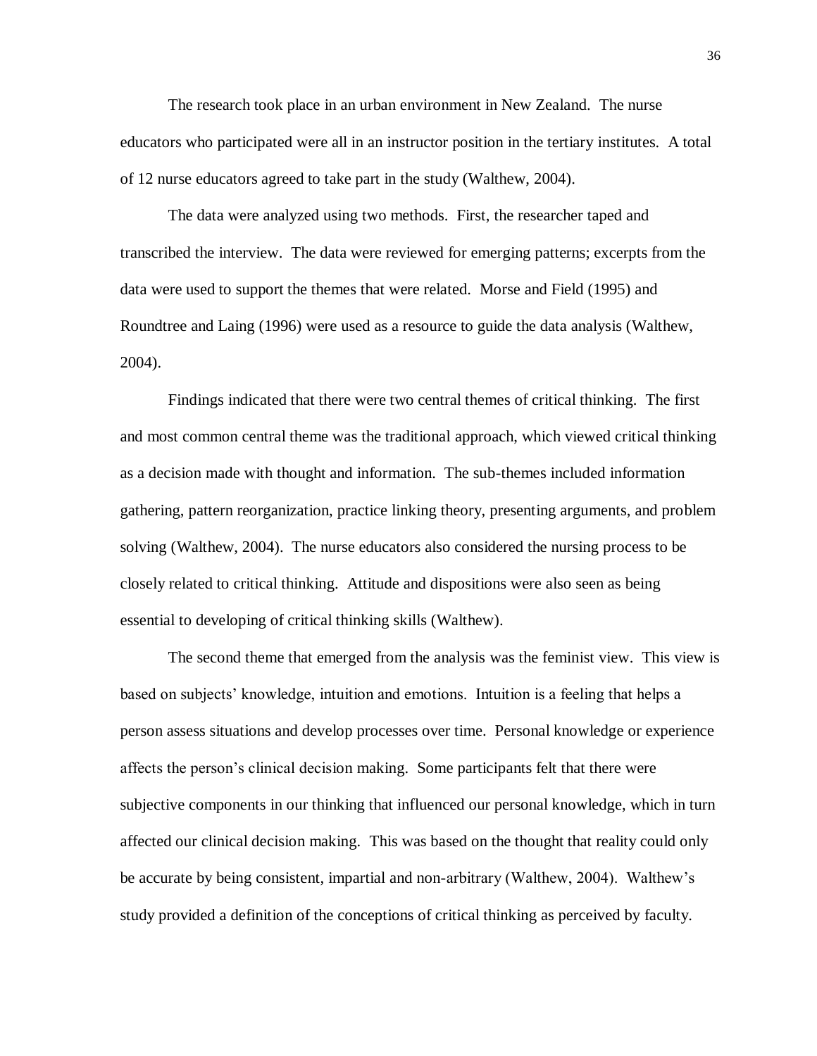The research took place in an urban environment in New Zealand. The nurse educators who participated were all in an instructor position in the tertiary institutes. A total of 12 nurse educators agreed to take part in the study (Walthew, 2004).

The data were analyzed using two methods. First, the researcher taped and transcribed the interview. The data were reviewed for emerging patterns; excerpts from the data were used to support the themes that were related. Morse and Field (1995) and Roundtree and Laing (1996) were used as a resource to guide the data analysis (Walthew, 2004).

Findings indicated that there were two central themes of critical thinking. The first and most common central theme was the traditional approach, which viewed critical thinking as a decision made with thought and information. The sub-themes included information gathering, pattern reorganization, practice linking theory, presenting arguments, and problem solving (Walthew, 2004). The nurse educators also considered the nursing process to be closely related to critical thinking. Attitude and dispositions were also seen as being essential to developing of critical thinking skills (Walthew).

The second theme that emerged from the analysis was the feminist view. This view is based on subjects' knowledge, intuition and emotions. Intuition is a feeling that helps a person assess situations and develop processes over time. Personal knowledge or experience affects the person's clinical decision making. Some participants felt that there were subjective components in our thinking that influenced our personal knowledge, which in turn affected our clinical decision making. This was based on the thought that reality could only be accurate by being consistent, impartial and non-arbitrary (Walthew, 2004). Walthew's study provided a definition of the conceptions of critical thinking as perceived by faculty.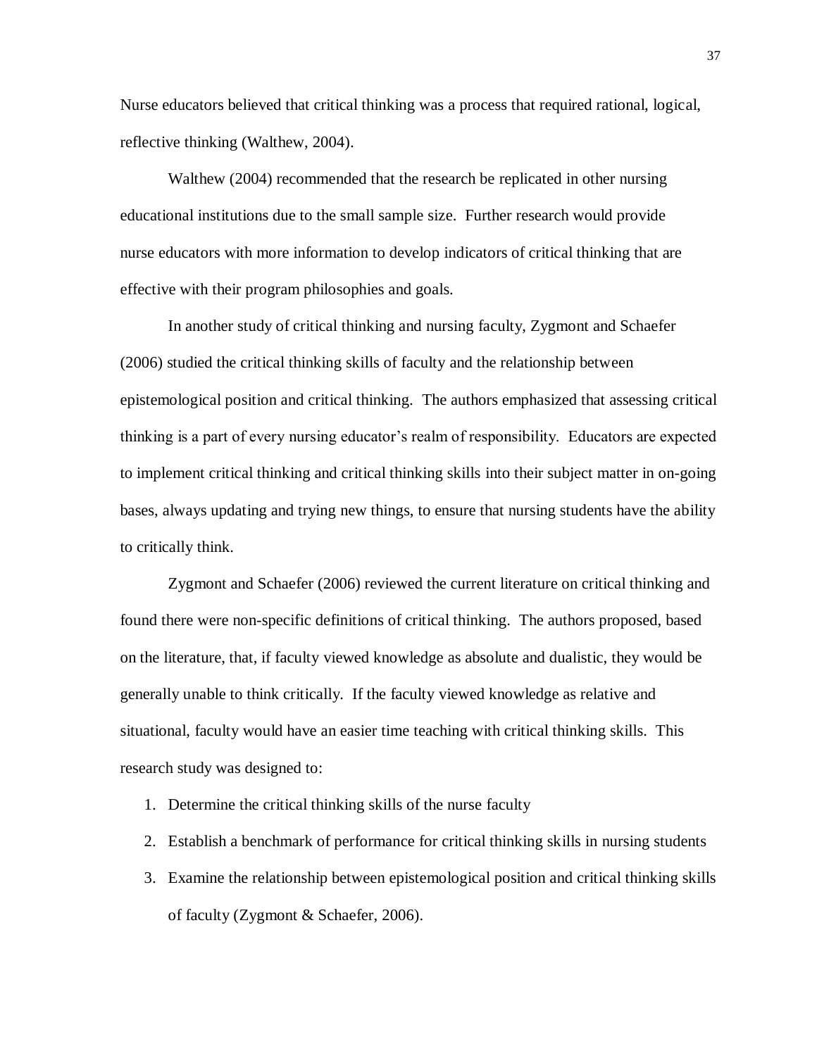Nurse educators believed that critical thinking was a process that required rational, logical, reflective thinking (Walthew, 2004).

Walthew (2004) recommended that the research be replicated in other nursing educational institutions due to the small sample size. Further research would provide nurse educators with more information to develop indicators of critical thinking that are effective with their program philosophies and goals.

In another study of critical thinking and nursing faculty, Zygmont and Schaefer (2006) studied the critical thinking skills of faculty and the relationship between epistemological position and critical thinking. The authors emphasized that assessing critical thinking is a part of every nursing educator's realm of responsibility. Educators are expected to implement critical thinking and critical thinking skills into their subject matter in on-going bases, always updating and trying new things, to ensure that nursing students have the ability to critically think.

Zygmont and Schaefer (2006) reviewed the current literature on critical thinking and found there were non-specific definitions of critical thinking. The authors proposed, based on the literature, that, if faculty viewed knowledge as absolute and dualistic, they would be generally unable to think critically. If the faculty viewed knowledge as relative and situational, faculty would have an easier time teaching with critical thinking skills. This research study was designed to:

- 1. Determine the critical thinking skills of the nurse faculty
- 2. Establish a benchmark of performance for critical thinking skills in nursing students
- 3. Examine the relationship between epistemological position and critical thinking skills of faculty (Zygmont & Schaefer, 2006).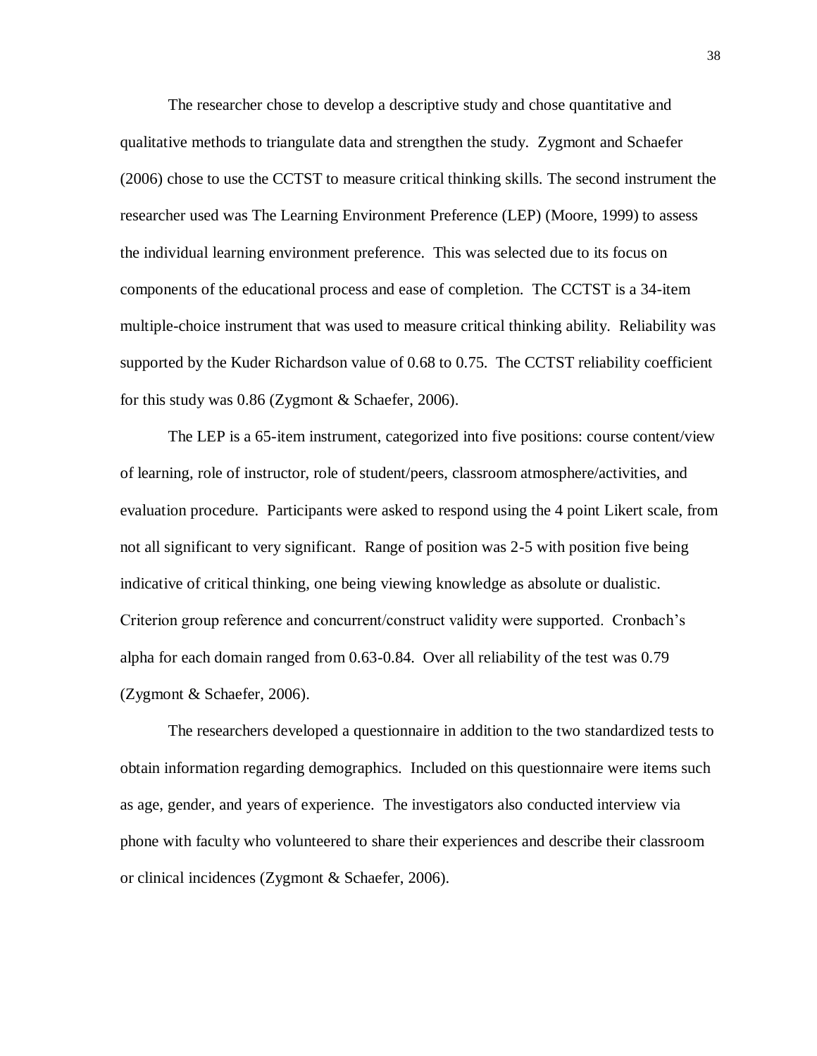The researcher chose to develop a descriptive study and chose quantitative and qualitative methods to triangulate data and strengthen the study. Zygmont and Schaefer (2006) chose to use the CCTST to measure critical thinking skills. The second instrument the researcher used was The Learning Environment Preference (LEP) (Moore, 1999) to assess the individual learning environment preference. This was selected due to its focus on components of the educational process and ease of completion. The CCTST is a 34-item multiple-choice instrument that was used to measure critical thinking ability. Reliability was supported by the Kuder Richardson value of 0.68 to 0.75. The CCTST reliability coefficient for this study was 0.86 (Zygmont & Schaefer, 2006).

The LEP is a 65-item instrument, categorized into five positions: course content/view of learning, role of instructor, role of student/peers, classroom atmosphere/activities, and evaluation procedure. Participants were asked to respond using the 4 point Likert scale, from not all significant to very significant. Range of position was 2-5 with position five being indicative of critical thinking, one being viewing knowledge as absolute or dualistic. Criterion group reference and concurrent/construct validity were supported. Cronbach's alpha for each domain ranged from 0.63-0.84. Over all reliability of the test was 0.79 (Zygmont & Schaefer, 2006).

The researchers developed a questionnaire in addition to the two standardized tests to obtain information regarding demographics. Included on this questionnaire were items such as age, gender, and years of experience. The investigators also conducted interview via phone with faculty who volunteered to share their experiences and describe their classroom or clinical incidences (Zygmont & Schaefer, 2006).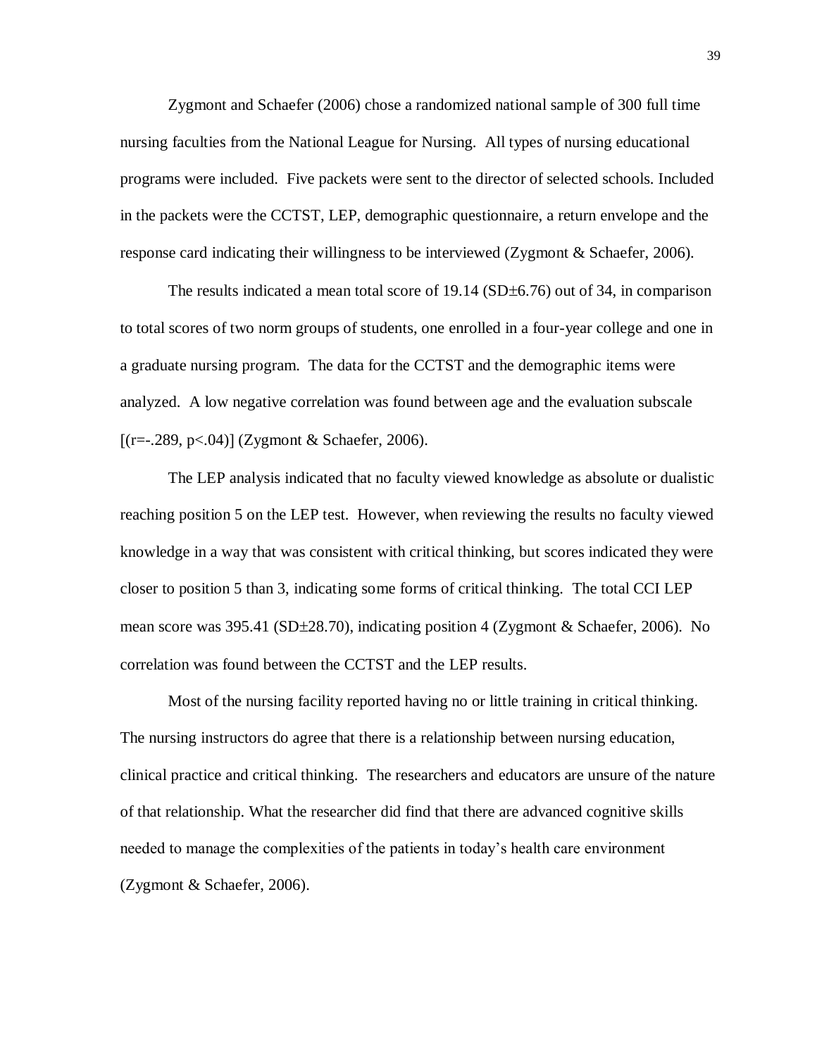Zygmont and Schaefer (2006) chose a randomized national sample of 300 full time nursing faculties from the National League for Nursing. All types of nursing educational programs were included. Five packets were sent to the director of selected schools. Included in the packets were the CCTST, LEP, demographic questionnaire, a return envelope and the response card indicating their willingness to be interviewed (Zygmont & Schaefer, 2006).

The results indicated a mean total score of  $19.14$  (SD $\pm$ 6.76) out of 34, in comparison to total scores of two norm groups of students, one enrolled in a four-year college and one in a graduate nursing program. The data for the CCTST and the demographic items were analyzed. A low negative correlation was found between age and the evaluation subscale  $[(r=.289, p<.04)]$  (Zygmont & Schaefer, 2006).

The LEP analysis indicated that no faculty viewed knowledge as absolute or dualistic reaching position 5 on the LEP test. However, when reviewing the results no faculty viewed knowledge in a way that was consistent with critical thinking, but scores indicated they were closer to position 5 than 3, indicating some forms of critical thinking. The total CCI LEP mean score was  $395.41$  (SD $\pm 28.70$ ), indicating position 4 (Zygmont & Schaefer, 2006). No correlation was found between the CCTST and the LEP results.

Most of the nursing facility reported having no or little training in critical thinking. The nursing instructors do agree that there is a relationship between nursing education, clinical practice and critical thinking. The researchers and educators are unsure of the nature of that relationship. What the researcher did find that there are advanced cognitive skills needed to manage the complexities of the patients in today's health care environment (Zygmont & Schaefer, 2006).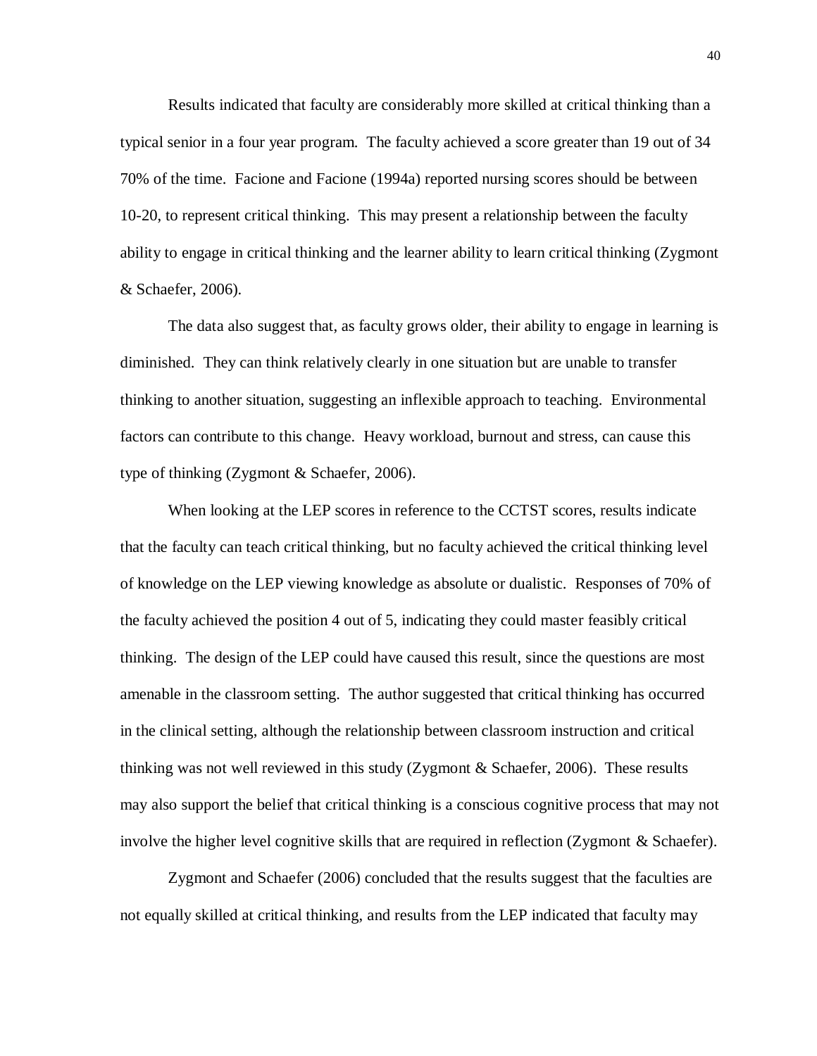Results indicated that faculty are considerably more skilled at critical thinking than a typical senior in a four year program. The faculty achieved a score greater than 19 out of 34 70% of the time. Facione and Facione (1994a) reported nursing scores should be between 10-20, to represent critical thinking. This may present a relationship between the faculty ability to engage in critical thinking and the learner ability to learn critical thinking (Zygmont & Schaefer, 2006).

The data also suggest that, as faculty grows older, their ability to engage in learning is diminished. They can think relatively clearly in one situation but are unable to transfer thinking to another situation, suggesting an inflexible approach to teaching. Environmental factors can contribute to this change. Heavy workload, burnout and stress, can cause this type of thinking (Zygmont & Schaefer, 2006).

When looking at the LEP scores in reference to the CCTST scores, results indicate that the faculty can teach critical thinking, but no faculty achieved the critical thinking level of knowledge on the LEP viewing knowledge as absolute or dualistic. Responses of 70% of the faculty achieved the position 4 out of 5, indicating they could master feasibly critical thinking. The design of the LEP could have caused this result, since the questions are most amenable in the classroom setting. The author suggested that critical thinking has occurred in the clinical setting, although the relationship between classroom instruction and critical thinking was not well reviewed in this study (Zygmont & Schaefer, 2006). These results may also support the belief that critical thinking is a conscious cognitive process that may not involve the higher level cognitive skills that are required in reflection (Zygmont & Schaefer).

Zygmont and Schaefer (2006) concluded that the results suggest that the faculties are not equally skilled at critical thinking, and results from the LEP indicated that faculty may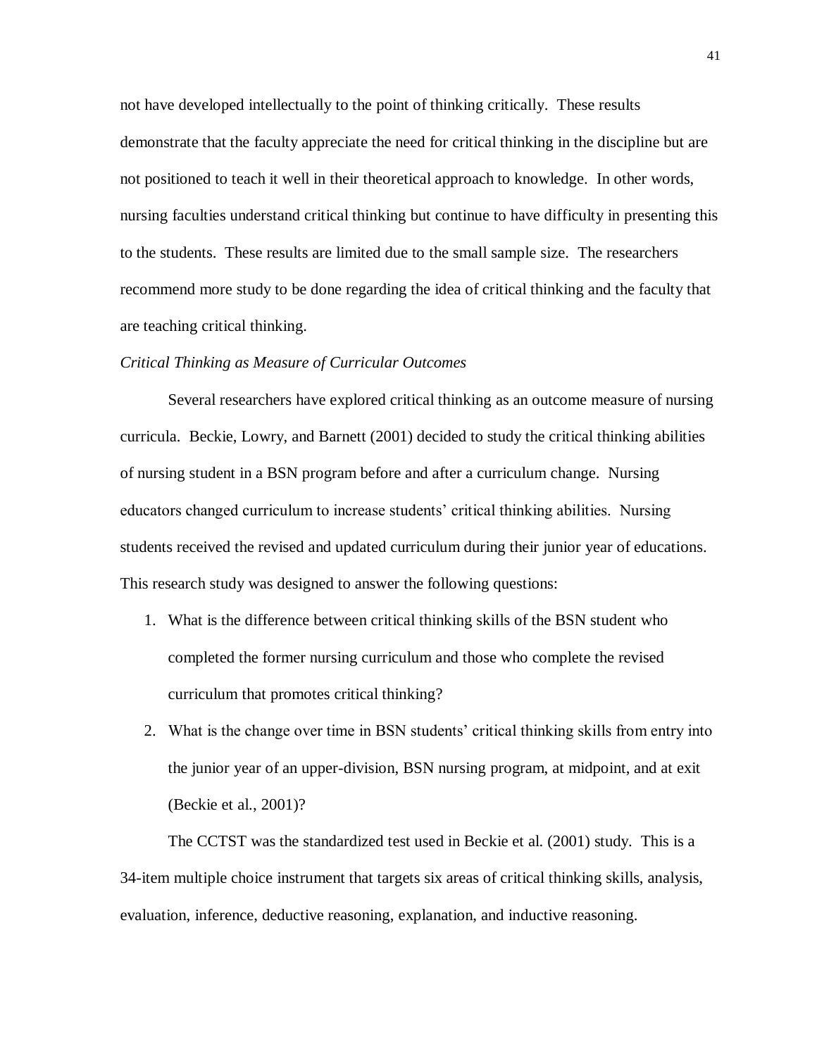not have developed intellectually to the point of thinking critically. These results demonstrate that the faculty appreciate the need for critical thinking in the discipline but are not positioned to teach it well in their theoretical approach to knowledge. In other words, nursing faculties understand critical thinking but continue to have difficulty in presenting this to the students. These results are limited due to the small sample size. The researchers recommend more study to be done regarding the idea of critical thinking and the faculty that are teaching critical thinking.

#### *Critical Thinking as Measure of Curricular Outcomes*

Several researchers have explored critical thinking as an outcome measure of nursing curricula. Beckie, Lowry, and Barnett (2001) decided to study the critical thinking abilities of nursing student in a BSN program before and after a curriculum change. Nursing educators changed curriculum to increase students' critical thinking abilities. Nursing students received the revised and updated curriculum during their junior year of educations. This research study was designed to answer the following questions:

- 1. What is the difference between critical thinking skills of the BSN student who completed the former nursing curriculum and those who complete the revised curriculum that promotes critical thinking?
- 2. What is the change over time in BSN students' critical thinking skills from entry into the junior year of an upper-division, BSN nursing program, at midpoint, and at exit (Beckie et al., 2001)?

The CCTST was the standardized test used in Beckie et al. (2001) study. This is a 34-item multiple choice instrument that targets six areas of critical thinking skills, analysis, evaluation, inference, deductive reasoning, explanation, and inductive reasoning.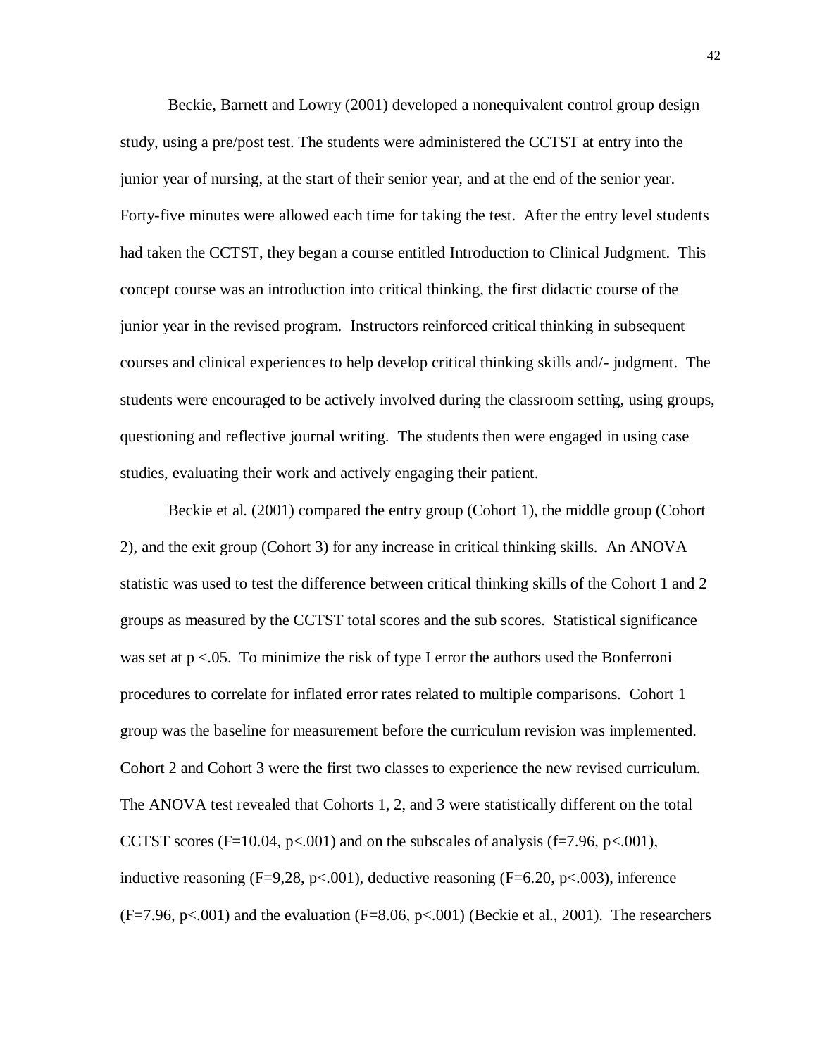Beckie, Barnett and Lowry (2001) developed a nonequivalent control group design study, using a pre/post test. The students were administered the CCTST at entry into the junior year of nursing, at the start of their senior year, and at the end of the senior year. Forty-five minutes were allowed each time for taking the test. After the entry level students had taken the CCTST, they began a course entitled Introduction to Clinical Judgment. This concept course was an introduction into critical thinking, the first didactic course of the junior year in the revised program. Instructors reinforced critical thinking in subsequent courses and clinical experiences to help develop critical thinking skills and/- judgment. The students were encouraged to be actively involved during the classroom setting, using groups, questioning and reflective journal writing. The students then were engaged in using case studies, evaluating their work and actively engaging their patient.

Beckie et al. (2001) compared the entry group (Cohort 1), the middle group (Cohort 2), and the exit group (Cohort 3) for any increase in critical thinking skills. An ANOVA statistic was used to test the difference between critical thinking skills of the Cohort 1 and 2 groups as measured by the CCTST total scores and the sub scores. Statistical significance was set at  $p < 0.05$ . To minimize the risk of type I error the authors used the Bonferroni procedures to correlate for inflated error rates related to multiple comparisons. Cohort 1 group was the baseline for measurement before the curriculum revision was implemented. Cohort 2 and Cohort 3 were the first two classes to experience the new revised curriculum. The ANOVA test revealed that Cohorts 1, 2, and 3 were statistically different on the total CCTST scores (F=10.04, p<.001) and on the subscales of analysis (f=7.96, p<.001), inductive reasoning  $(F=9,28, p<.001)$ , deductive reasoning  $(F=6.20, p<.003)$ , inference  $(F=7.96, p<0.01)$  and the evaluation  $(F=8.06, p<0.01)$  (Beckie et al., 2001). The researchers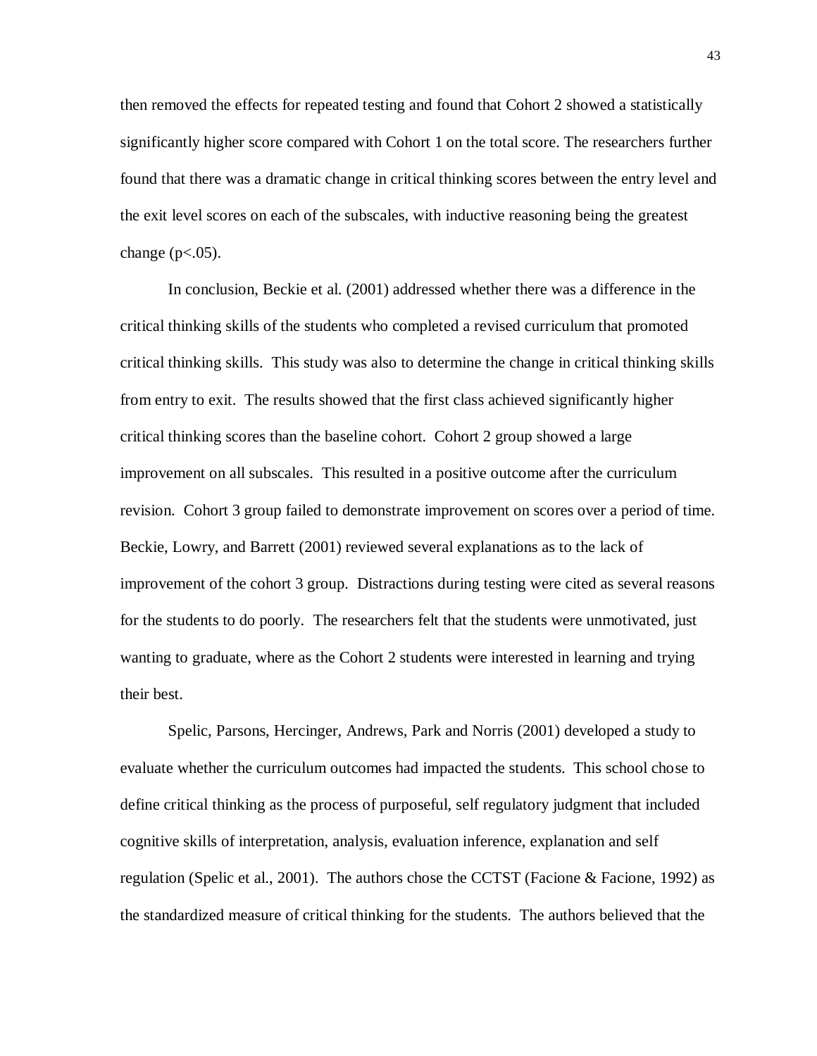then removed the effects for repeated testing and found that Cohort 2 showed a statistically significantly higher score compared with Cohort 1 on the total score. The researchers further found that there was a dramatic change in critical thinking scores between the entry level and the exit level scores on each of the subscales, with inductive reasoning being the greatest change ( $p<.05$ ).

In conclusion, Beckie et al. (2001) addressed whether there was a difference in the critical thinking skills of the students who completed a revised curriculum that promoted critical thinking skills. This study was also to determine the change in critical thinking skills from entry to exit. The results showed that the first class achieved significantly higher critical thinking scores than the baseline cohort. Cohort 2 group showed a large improvement on all subscales. This resulted in a positive outcome after the curriculum revision. Cohort 3 group failed to demonstrate improvement on scores over a period of time. Beckie, Lowry, and Barrett (2001) reviewed several explanations as to the lack of improvement of the cohort 3 group. Distractions during testing were cited as several reasons for the students to do poorly. The researchers felt that the students were unmotivated, just wanting to graduate, where as the Cohort 2 students were interested in learning and trying their best.

Spelic, Parsons, Hercinger, Andrews, Park and Norris (2001) developed a study to evaluate whether the curriculum outcomes had impacted the students. This school chose to define critical thinking as the process of purposeful, self regulatory judgment that included cognitive skills of interpretation, analysis, evaluation inference, explanation and self regulation (Spelic et al., 2001). The authors chose the CCTST (Facione & Facione, 1992) as the standardized measure of critical thinking for the students. The authors believed that the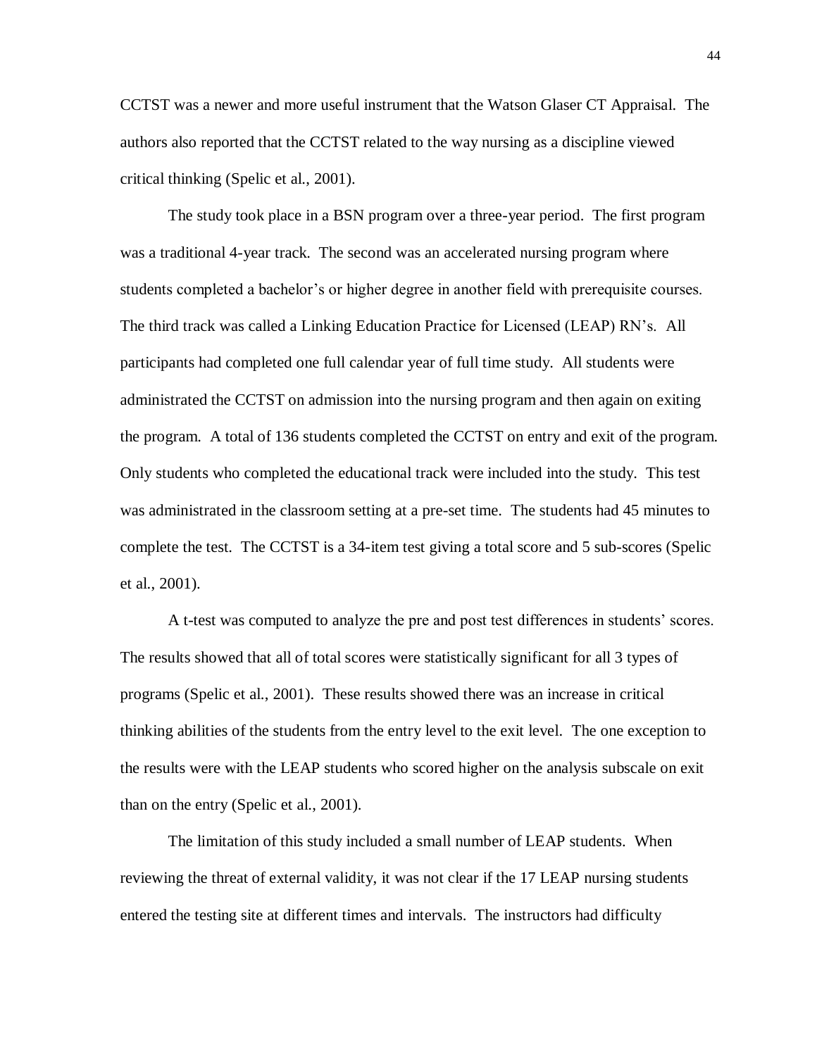CCTST was a newer and more useful instrument that the Watson Glaser CT Appraisal. The authors also reported that the CCTST related to the way nursing as a discipline viewed critical thinking (Spelic et al., 2001).

The study took place in a BSN program over a three-year period. The first program was a traditional 4-year track. The second was an accelerated nursing program where students completed a bachelor's or higher degree in another field with prerequisite courses. The third track was called a Linking Education Practice for Licensed (LEAP) RN's. All participants had completed one full calendar year of full time study. All students were administrated the CCTST on admission into the nursing program and then again on exiting the program. A total of 136 students completed the CCTST on entry and exit of the program. Only students who completed the educational track were included into the study. This test was administrated in the classroom setting at a pre-set time. The students had 45 minutes to complete the test. The CCTST is a 34-item test giving a total score and 5 sub-scores (Spelic et al., 2001).

A t-test was computed to analyze the pre and post test differences in students' scores. The results showed that all of total scores were statistically significant for all 3 types of programs (Spelic et al., 2001). These results showed there was an increase in critical thinking abilities of the students from the entry level to the exit level. The one exception to the results were with the LEAP students who scored higher on the analysis subscale on exit than on the entry (Spelic et al., 2001).

The limitation of this study included a small number of LEAP students. When reviewing the threat of external validity, it was not clear if the 17 LEAP nursing students entered the testing site at different times and intervals. The instructors had difficulty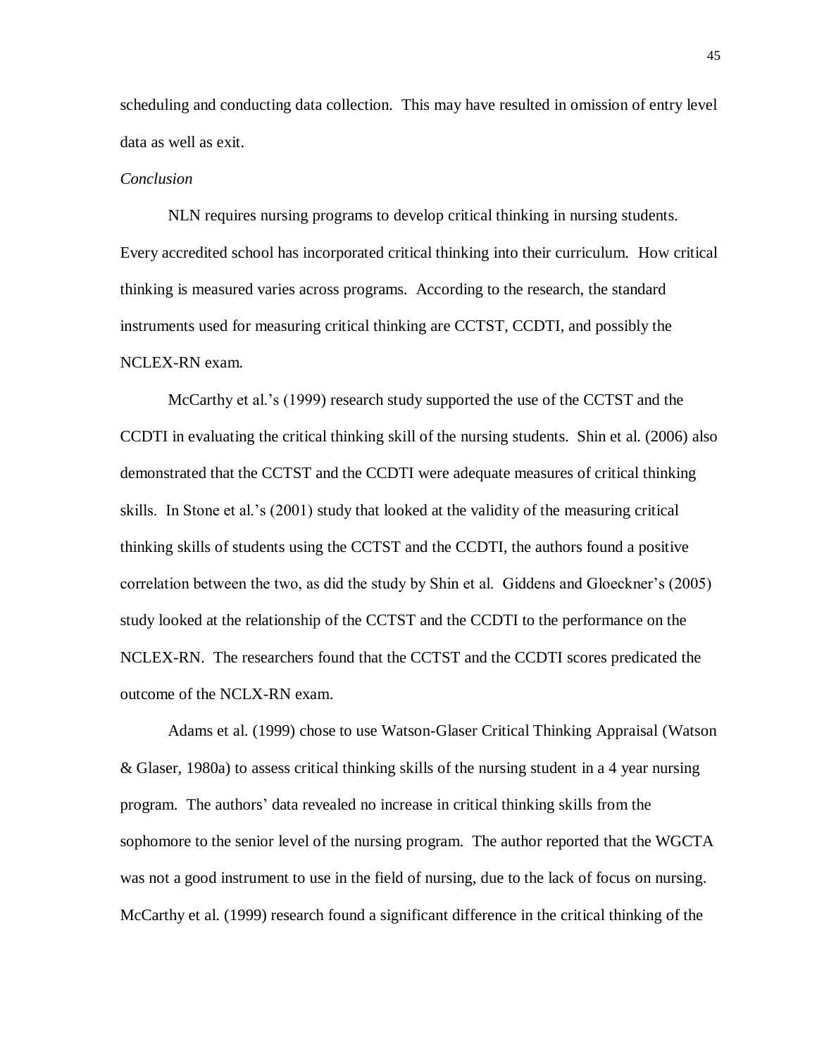scheduling and conducting data collection. This may have resulted in omission of entry level data as well as exit.

### *Conclusion*

NLN requires nursing programs to develop critical thinking in nursing students. Every accredited school has incorporated critical thinking into their curriculum. How critical thinking is measured varies across programs. According to the research, the standard instruments used for measuring critical thinking are CCTST, CCDTI, and possibly the NCLEX-RN exam.

McCarthy et al.'s (1999) research study supported the use of the CCTST and the CCDTI in evaluating the critical thinking skill of the nursing students. Shin et al. (2006) also demonstrated that the CCTST and the CCDTI were adequate measures of critical thinking skills. In Stone et al.'s (2001) study that looked at the validity of the measuring critical thinking skills of students using the CCTST and the CCDTI, the authors found a positive correlation between the two, as did the study by Shin et al. Giddens and Gloeckner's (2005) study looked at the relationship of the CCTST and the CCDTI to the performance on the NCLEX-RN. The researchers found that the CCTST and the CCDTI scores predicated the outcome of the NCLX-RN exam.

Adams et al. (1999) chose to use Watson-Glaser Critical Thinking Appraisal (Watson & Glaser, 1980a) to assess critical thinking skills of the nursing student in a 4 year nursing program. The authors' data revealed no increase in critical thinking skills from the sophomore to the senior level of the nursing program. The author reported that the WGCTA was not a good instrument to use in the field of nursing, due to the lack of focus on nursing. McCarthy et al. (1999) research found a significant difference in the critical thinking of the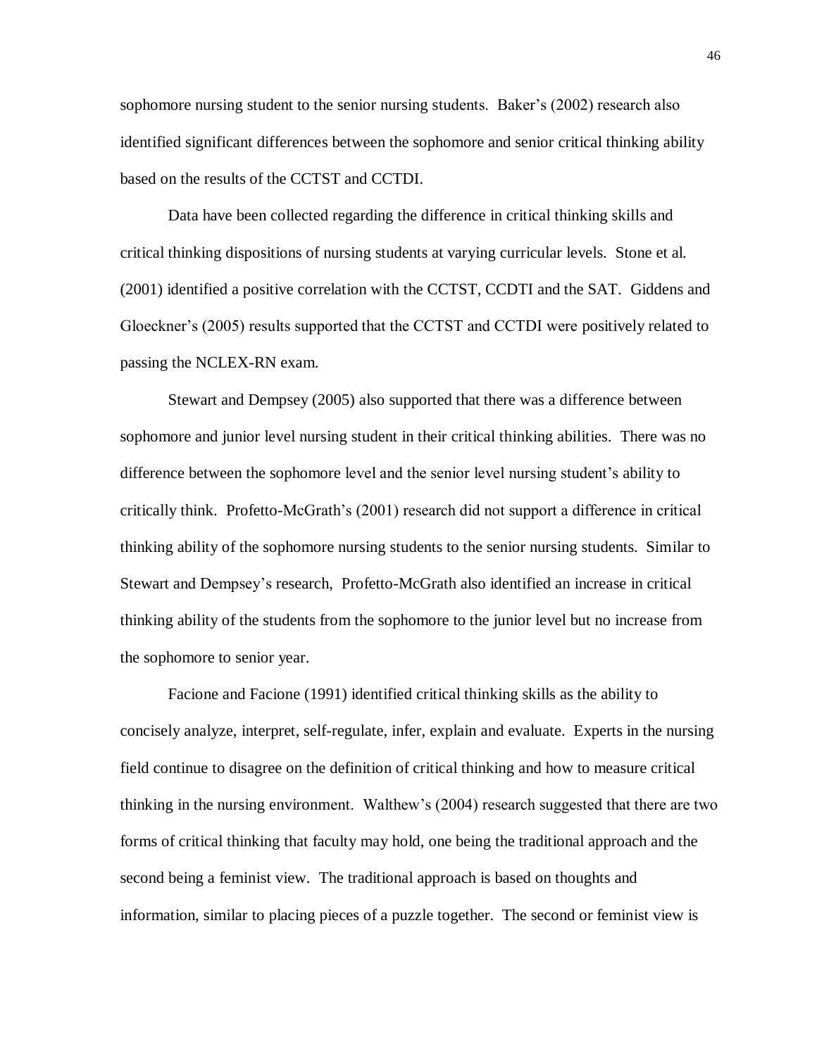sophomore nursing student to the senior nursing students. Baker's (2002) research also identified significant differences between the sophomore and senior critical thinking ability based on the results of the CCTST and CCTDI.

Data have been collected regarding the difference in critical thinking skills and critical thinking dispositions of nursing students at varying curricular levels. Stone et al. (2001) identified a positive correlation with the CCTST, CCDTI and the SAT. Giddens and Gloeckner's (2005) results supported that the CCTST and CCTDI were positively related to passing the NCLEX-RN exam.

Stewart and Dempsey (2005) also supported that there was a difference between sophomore and junior level nursing student in their critical thinking abilities. There was no difference between the sophomore level and the senior level nursing student's ability to critically think. Profetto-McGrath's (2001) research did not support a difference in critical thinking ability of the sophomore nursing students to the senior nursing students. Similar to Stewart and Dempsey's research, Profetto-McGrath also identified an increase in critical thinking ability of the students from the sophomore to the junior level but no increase from the sophomore to senior year.

Facione and Facione (1991) identified critical thinking skills as the ability to concisely analyze, interpret, self-regulate, infer, explain and evaluate. Experts in the nursing field continue to disagree on the definition of critical thinking and how to measure critical thinking in the nursing environment. Walthew's (2004) research suggested that there are two forms of critical thinking that faculty may hold, one being the traditional approach and the second being a feminist view. The traditional approach is based on thoughts and information, similar to placing pieces of a puzzle together. The second or feminist view is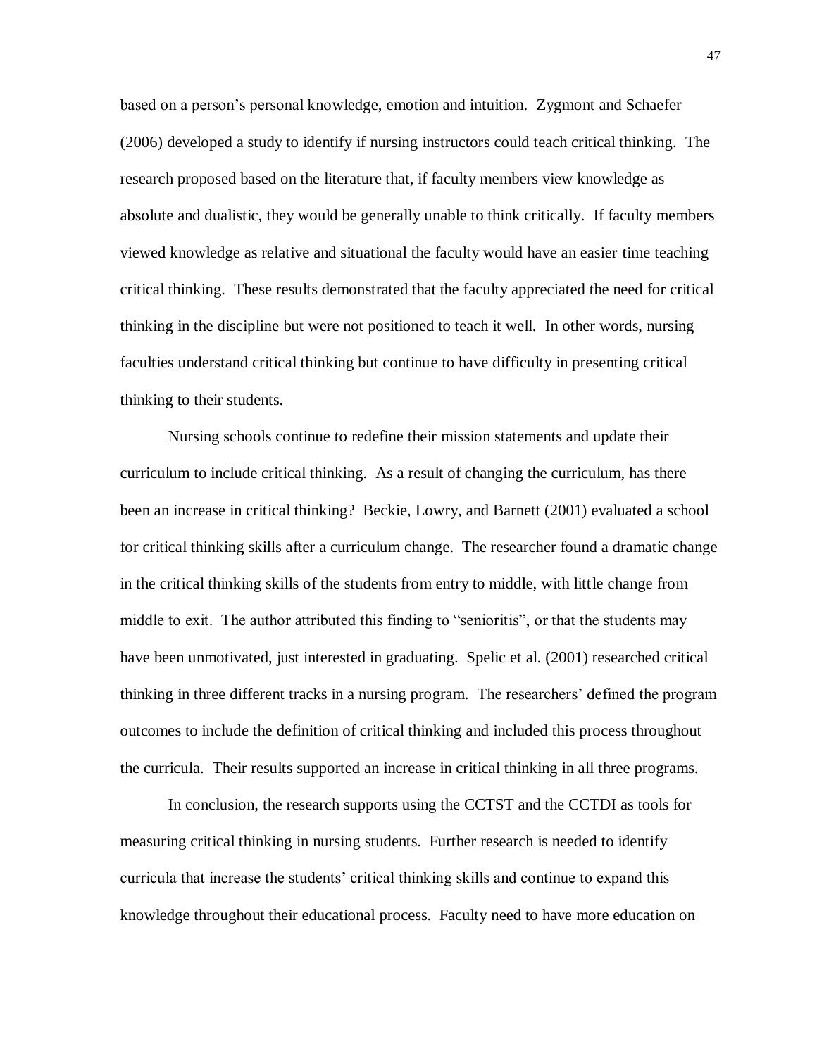based on a person's personal knowledge, emotion and intuition. Zygmont and Schaefer (2006) developed a study to identify if nursing instructors could teach critical thinking. The research proposed based on the literature that, if faculty members view knowledge as absolute and dualistic, they would be generally unable to think critically. If faculty members viewed knowledge as relative and situational the faculty would have an easier time teaching critical thinking. These results demonstrated that the faculty appreciated the need for critical thinking in the discipline but were not positioned to teach it well. In other words, nursing faculties understand critical thinking but continue to have difficulty in presenting critical thinking to their students.

Nursing schools continue to redefine their mission statements and update their curriculum to include critical thinking. As a result of changing the curriculum, has there been an increase in critical thinking? Beckie, Lowry, and Barnett (2001) evaluated a school for critical thinking skills after a curriculum change. The researcher found a dramatic change in the critical thinking skills of the students from entry to middle, with little change from middle to exit. The author attributed this finding to "senioritis", or that the students may have been unmotivated, just interested in graduating. Spelic et al. (2001) researched critical thinking in three different tracks in a nursing program. The researchers' defined the program outcomes to include the definition of critical thinking and included this process throughout the curricula. Their results supported an increase in critical thinking in all three programs.

In conclusion, the research supports using the CCTST and the CCTDI as tools for measuring critical thinking in nursing students. Further research is needed to identify curricula that increase the students' critical thinking skills and continue to expand this knowledge throughout their educational process. Faculty need to have more education on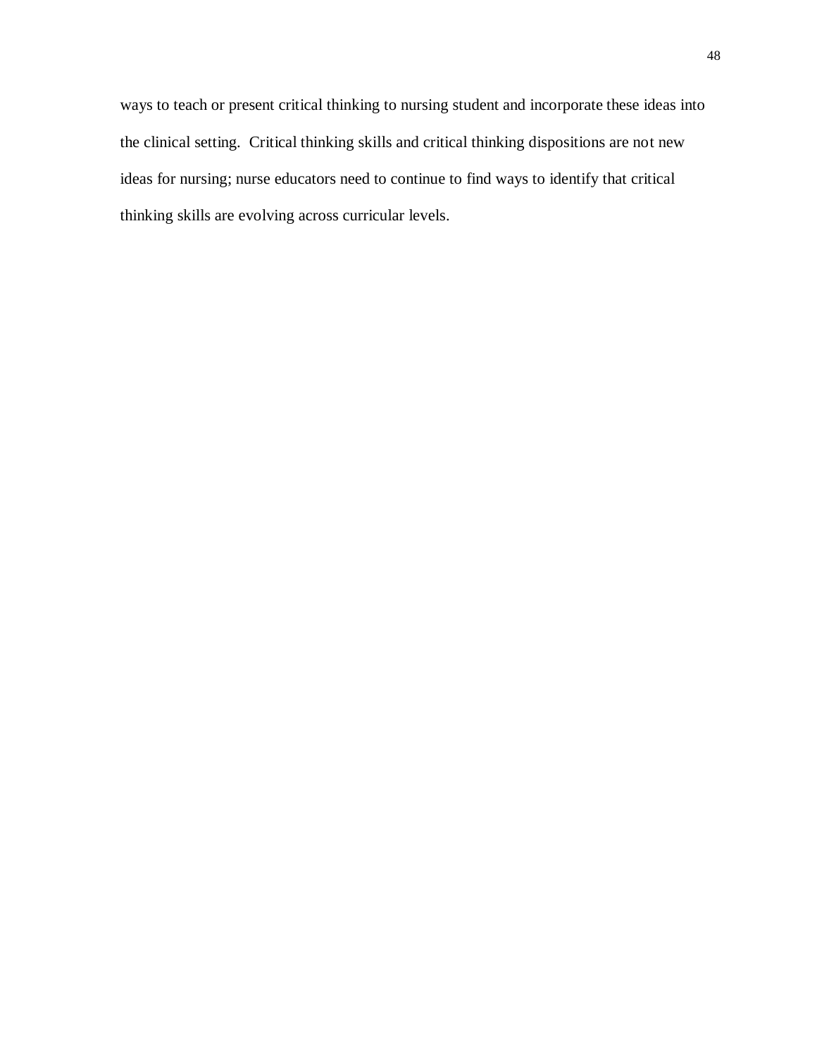ways to teach or present critical thinking to nursing student and incorporate these ideas into the clinical setting. Critical thinking skills and critical thinking dispositions are not new ideas for nursing; nurse educators need to continue to find ways to identify that critical thinking skills are evolving across curricular levels.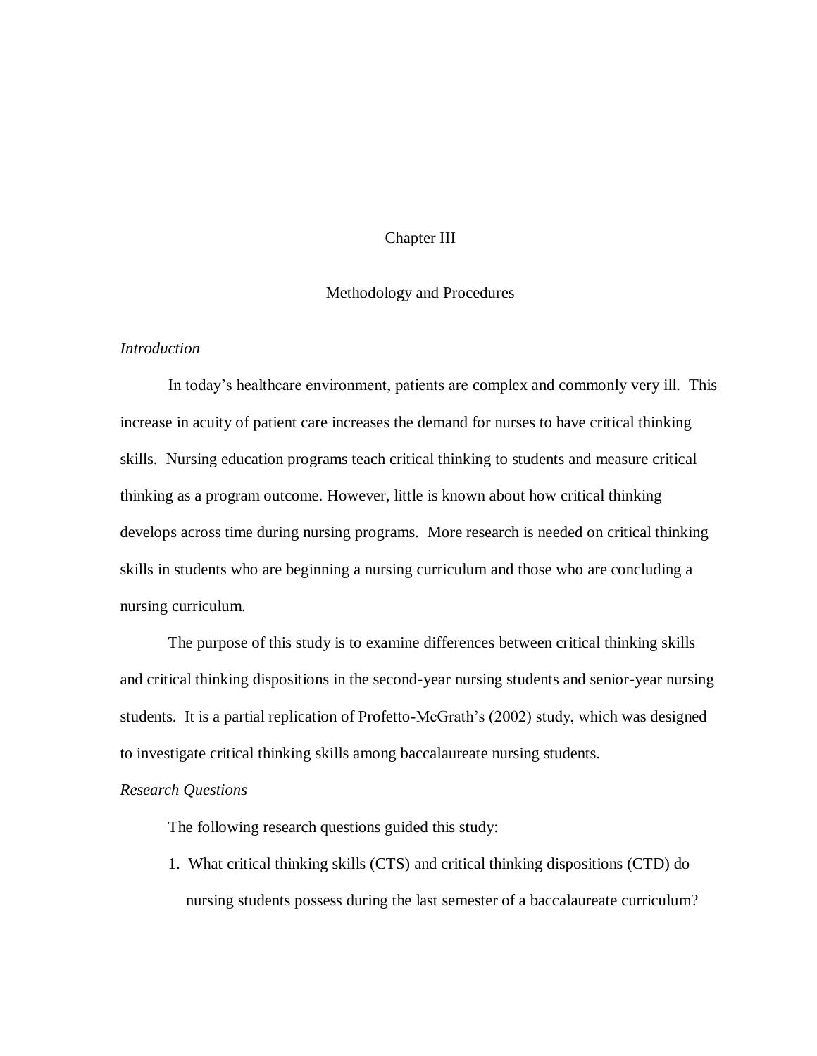## Chapter III

## Methodology and Procedures

### *Introduction*

In today's healthcare environment, patients are complex and commonly very ill. This increase in acuity of patient care increases the demand for nurses to have critical thinking skills. Nursing education programs teach critical thinking to students and measure critical thinking as a program outcome. However, little is known about how critical thinking develops across time during nursing programs. More research is needed on critical thinking skills in students who are beginning a nursing curriculum and those who are concluding a nursing curriculum.

The purpose of this study is to examine differences between critical thinking skills and critical thinking dispositions in the second-year nursing students and senior-year nursing students. It is a partial replication of Profetto-McGrath's (2002) study, which was designed to investigate critical thinking skills among baccalaureate nursing students.

#### *Research Questions*

The following research questions guided this study:

1. What critical thinking skills (CTS) and critical thinking dispositions (CTD) do nursing students possess during the last semester of a baccalaureate curriculum?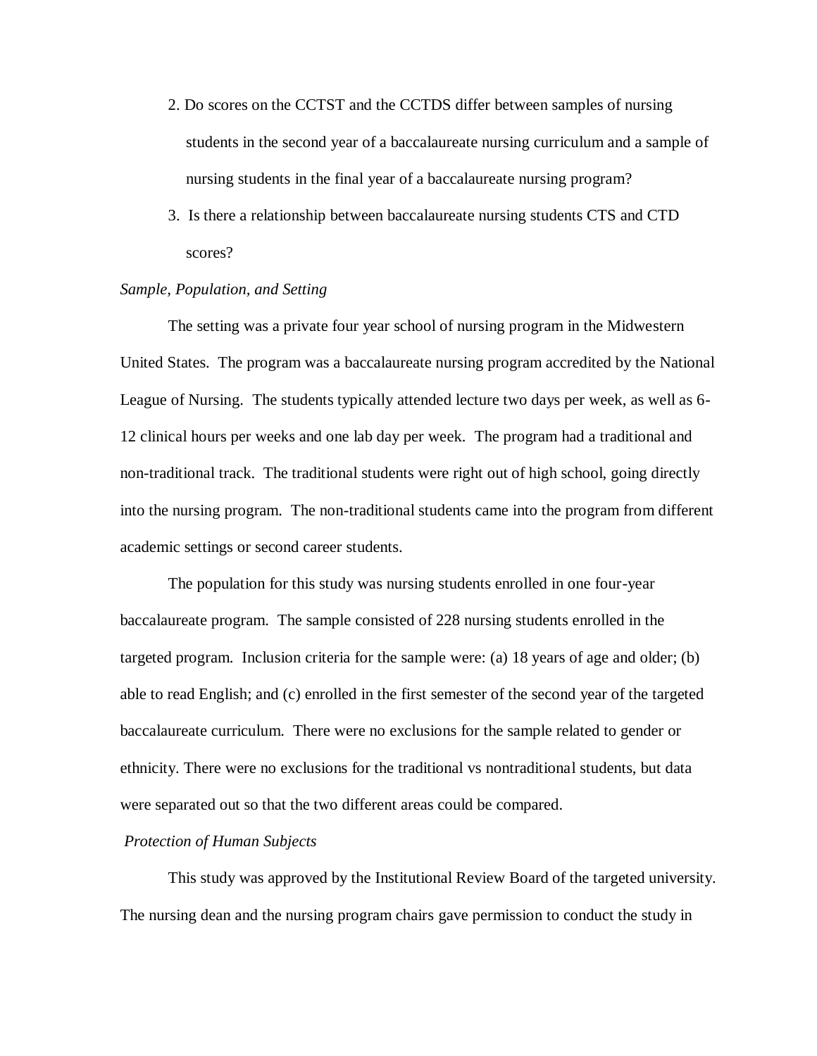- 2. Do scores on the CCTST and the CCTDS differ between samples of nursing students in the second year of a baccalaureate nursing curriculum and a sample of nursing students in the final year of a baccalaureate nursing program?
- 3. Is there a relationship between baccalaureate nursing students CTS and CTD scores?

### *Sample, Population, and Setting*

The setting was a private four year school of nursing program in the Midwestern United States. The program was a baccalaureate nursing program accredited by the National League of Nursing. The students typically attended lecture two days per week, as well as 6- 12 clinical hours per weeks and one lab day per week. The program had a traditional and non-traditional track. The traditional students were right out of high school, going directly into the nursing program. The non-traditional students came into the program from different academic settings or second career students.

The population for this study was nursing students enrolled in one four-year baccalaureate program. The sample consisted of 228 nursing students enrolled in the targeted program. Inclusion criteria for the sample were: (a) 18 years of age and older; (b) able to read English; and (c) enrolled in the first semester of the second year of the targeted baccalaureate curriculum. There were no exclusions for the sample related to gender or ethnicity. There were no exclusions for the traditional vs nontraditional students, but data were separated out so that the two different areas could be compared.

#### *Protection of Human Subjects*

This study was approved by the Institutional Review Board of the targeted university. The nursing dean and the nursing program chairs gave permission to conduct the study in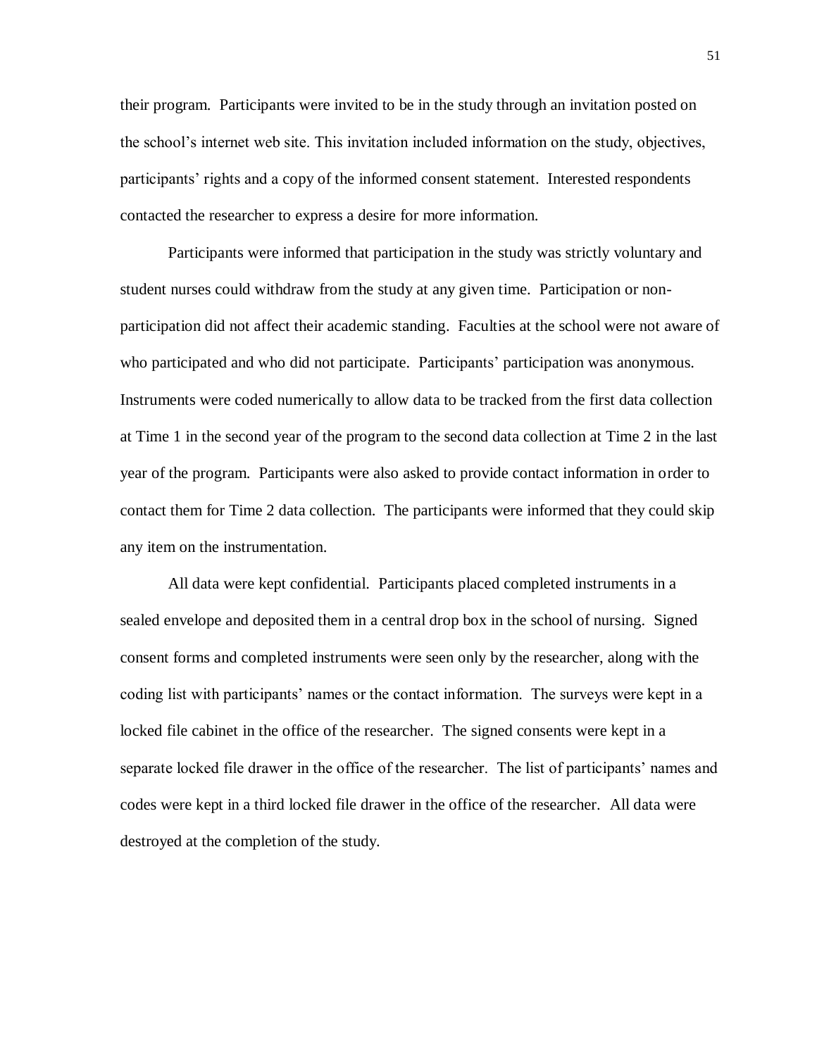their program. Participants were invited to be in the study through an invitation posted on the school's internet web site. This invitation included information on the study, objectives, participants' rights and a copy of the informed consent statement. Interested respondents contacted the researcher to express a desire for more information.

Participants were informed that participation in the study was strictly voluntary and student nurses could withdraw from the study at any given time. Participation or nonparticipation did not affect their academic standing. Faculties at the school were not aware of who participated and who did not participate. Participants' participation was anonymous. Instruments were coded numerically to allow data to be tracked from the first data collection at Time 1 in the second year of the program to the second data collection at Time 2 in the last year of the program. Participants were also asked to provide contact information in order to contact them for Time 2 data collection. The participants were informed that they could skip any item on the instrumentation.

All data were kept confidential. Participants placed completed instruments in a sealed envelope and deposited them in a central drop box in the school of nursing. Signed consent forms and completed instruments were seen only by the researcher, along with the coding list with participants' names or the contact information. The surveys were kept in a locked file cabinet in the office of the researcher. The signed consents were kept in a separate locked file drawer in the office of the researcher. The list of participants' names and codes were kept in a third locked file drawer in the office of the researcher. All data were destroyed at the completion of the study.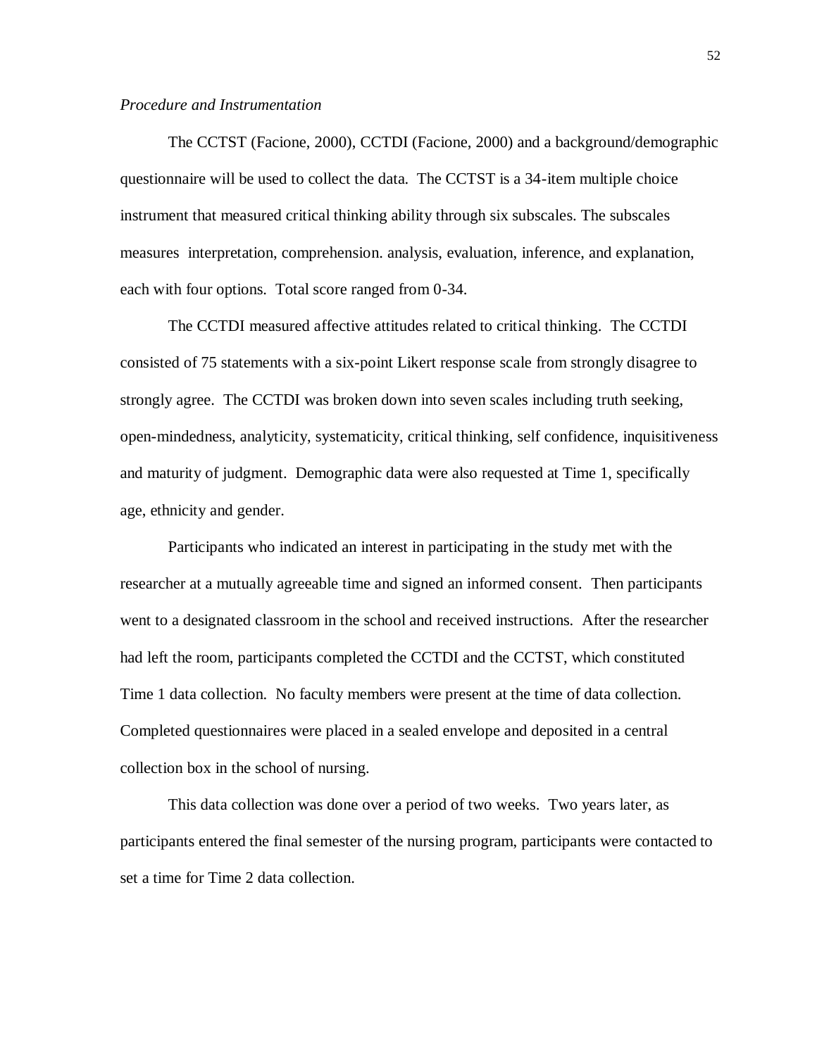#### *Procedure and Instrumentation*

The CCTST (Facione, 2000), CCTDI (Facione, 2000) and a background/demographic questionnaire will be used to collect the data. The CCTST is a 34-item multiple choice instrument that measured critical thinking ability through six subscales. The subscales measures interpretation, comprehension. analysis, evaluation, inference, and explanation, each with four options. Total score ranged from 0-34.

The CCTDI measured affective attitudes related to critical thinking. The CCTDI consisted of 75 statements with a six-point Likert response scale from strongly disagree to strongly agree. The CCTDI was broken down into seven scales including truth seeking, open-mindedness, analyticity, systematicity, critical thinking, self confidence, inquisitiveness and maturity of judgment. Demographic data were also requested at Time 1, specifically age, ethnicity and gender.

Participants who indicated an interest in participating in the study met with the researcher at a mutually agreeable time and signed an informed consent. Then participants went to a designated classroom in the school and received instructions. After the researcher had left the room, participants completed the CCTDI and the CCTST, which constituted Time 1 data collection. No faculty members were present at the time of data collection. Completed questionnaires were placed in a sealed envelope and deposited in a central collection box in the school of nursing.

This data collection was done over a period of two weeks. Two years later, as participants entered the final semester of the nursing program, participants were contacted to set a time for Time 2 data collection.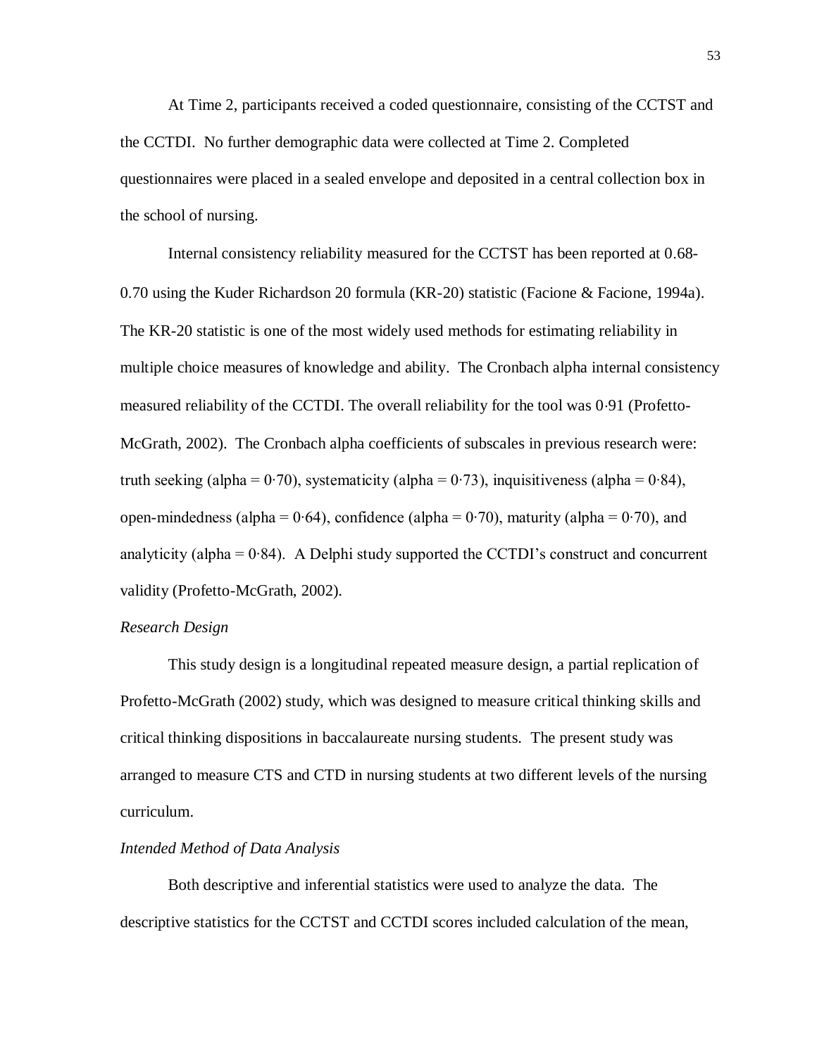At Time 2, participants received a coded questionnaire, consisting of the CCTST and the CCTDI. No further demographic data were collected at Time 2. Completed questionnaires were placed in a sealed envelope and deposited in a central collection box in the school of nursing.

Internal consistency reliability measured for the CCTST has been reported at 0.68-070 using the Kuder Richardson 20 formula (KR-20) statistic (Facione & Facione, 1994a). The KR-20 statistic is one of the most widely used methods for estimating reliability in multiple choice measures of knowledge and ability. The Cronbach alpha internal consistency measured reliability of the CCTDI. The overall reliability for the tool was 0.91 (Profetto-McGrath, 2002). The Cronbach alpha coefficients of subscales in previous research were: truth seeking (alpha =  $0.70$ ), systematicity (alpha =  $0.73$ ), inquisitiveness (alpha =  $0.84$ ), open-mindedness (alpha =  $0.64$ ), confidence (alpha =  $0.70$ ), maturity (alpha =  $0.70$ ), and analyticity (alpha = 0∙84). A Delphi study supported the CCTDI's construct and concurrent validity (Profetto-McGrath, 2002).

#### *Research Design*

This study design is a longitudinal repeated measure design, a partial replication of Profetto-McGrath (2002) study, which was designed to measure critical thinking skills and critical thinking dispositions in baccalaureate nursing students. The present study was arranged to measure CTS and CTD in nursing students at two different levels of the nursing curriculum.

#### *Intended Method of Data Analysis*

Both descriptive and inferential statistics were used to analyze the data. The descriptive statistics for the CCTST and CCTDI scores included calculation of the mean,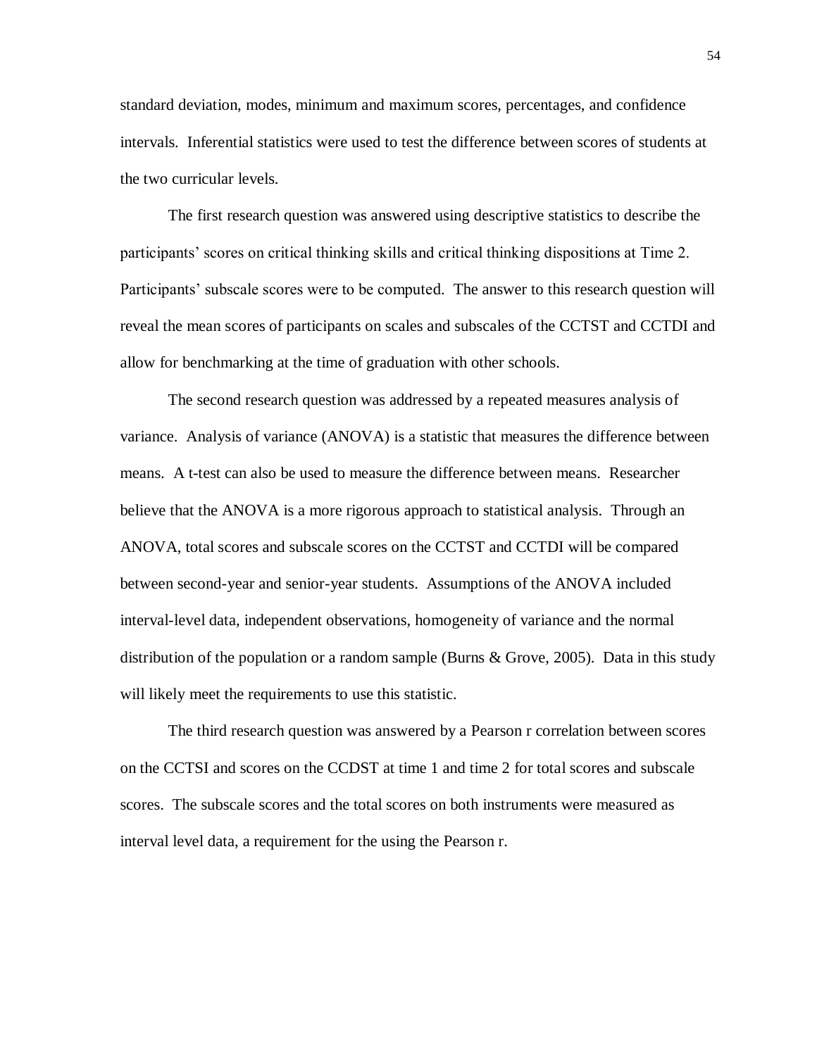standard deviation, modes, minimum and maximum scores, percentages, and confidence intervals. Inferential statistics were used to test the difference between scores of students at the two curricular levels.

The first research question was answered using descriptive statistics to describe the participants' scores on critical thinking skills and critical thinking dispositions at Time 2. Participants' subscale scores were to be computed. The answer to this research question will reveal the mean scores of participants on scales and subscales of the CCTST and CCTDI and allow for benchmarking at the time of graduation with other schools.

The second research question was addressed by a repeated measures analysis of variance. Analysis of variance (ANOVA) is a statistic that measures the difference between means. A t-test can also be used to measure the difference between means. Researcher believe that the ANOVA is a more rigorous approach to statistical analysis. Through an ANOVA, total scores and subscale scores on the CCTST and CCTDI will be compared between second-year and senior-year students. Assumptions of the ANOVA included interval-level data, independent observations, homogeneity of variance and the normal distribution of the population or a random sample (Burns & Grove, 2005). Data in this study will likely meet the requirements to use this statistic.

The third research question was answered by a Pearson r correlation between scores on the CCTSI and scores on the CCDST at time 1 and time 2 for total scores and subscale scores. The subscale scores and the total scores on both instruments were measured as interval level data, a requirement for the using the Pearson r.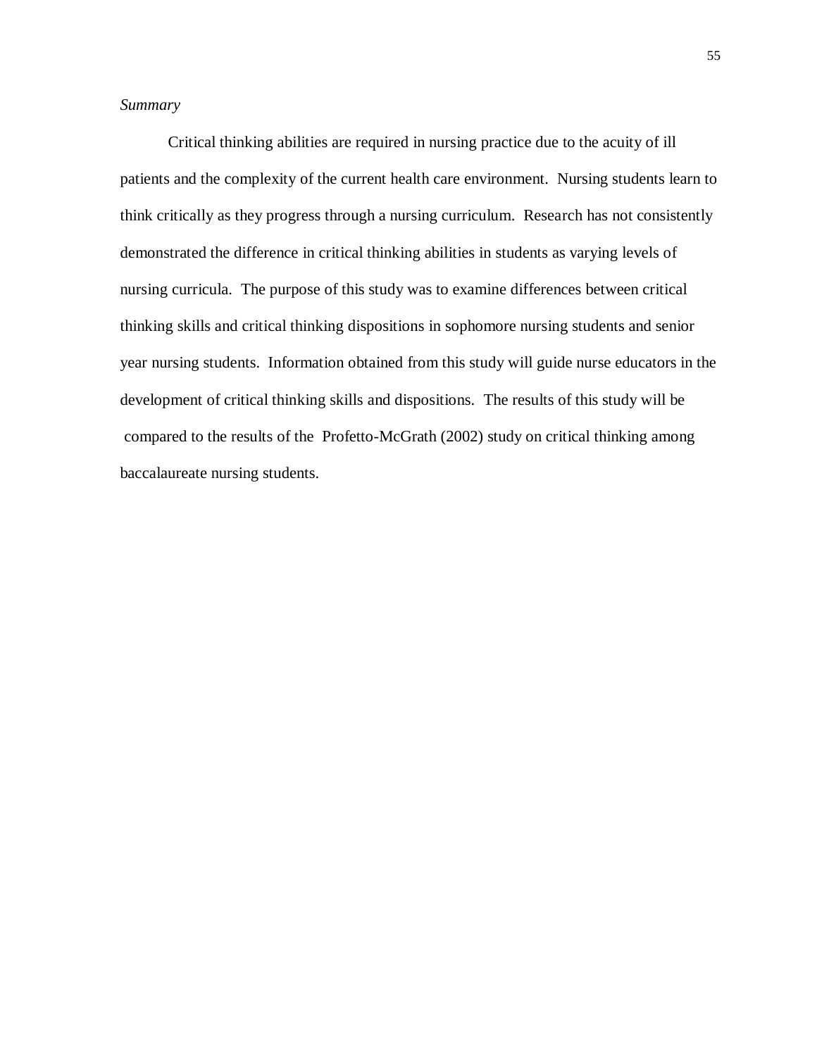# *Summary*

Critical thinking abilities are required in nursing practice due to the acuity of ill patients and the complexity of the current health care environment. Nursing students learn to think critically as they progress through a nursing curriculum. Research has not consistently demonstrated the difference in critical thinking abilities in students as varying levels of nursing curricula. The purpose of this study was to examine differences between critical thinking skills and critical thinking dispositions in sophomore nursing students and senior year nursing students. Information obtained from this study will guide nurse educators in the development of critical thinking skills and dispositions. The results of this study will be compared to the results of the Profetto-McGrath (2002) study on critical thinking among baccalaureate nursing students.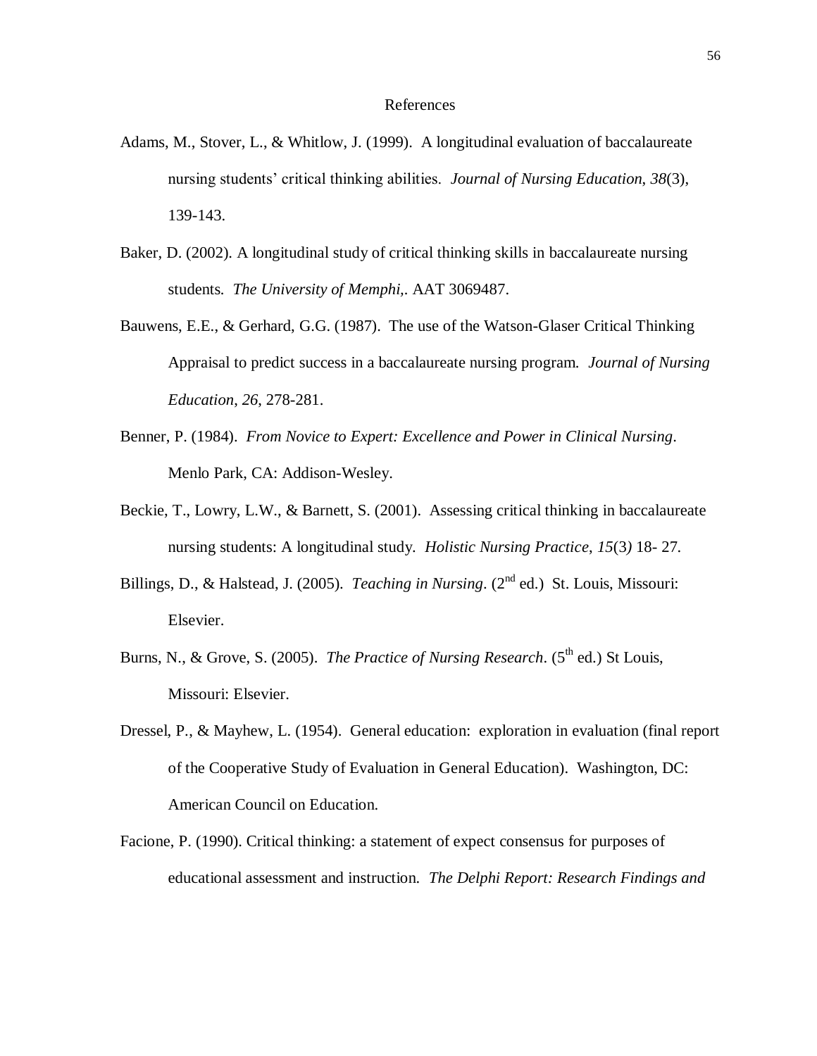#### References

- Adams, M., Stover, L., & Whitlow, J. (1999). A longitudinal evaluation of baccalaureate nursing students' critical thinking abilities. *Journal of Nursing Education*, *38*(3), 139-143.
- Baker, D. (2002). A longitudinal study of critical thinking skills in baccalaureate nursing students*. The University of Memphi,.* AAT 3069487.
- Bauwens, E.E., & Gerhard, G.G. (1987). The use of the Watson-Glaser Critical Thinking Appraisal to predict success in a baccalaureate nursing program. *Journal of Nursing Education*, *26*, 278-281.
- Benner, P. (1984). *From Novice to Expert: Excellence and Power in Clinical Nursing*. Menlo Park, CA: Addison-Wesley.
- Beckie, T., Lowry, L.W., & Barnett, S. (2001). Assessing critical thinking in baccalaureate nursing students: A longitudinal study. *Holistic Nursing Practice*, *15*(3*)* 18- 27.
- Billings, D., & Halstead, J. (2005). *Teaching in Nursing*. (2<sup>nd</sup> ed.) St. Louis, Missouri: Elsevier.
- Burns, N., & Grove, S. (2005). *The Practice of Nursing Research*. (5<sup>th</sup> ed.) St Louis, Missouri: Elsevier.
- Dressel, P., & Mayhew, L. (1954). General education: exploration in evaluation (final report of the Cooperative Study of Evaluation in General Education). Washington, DC: American Council on Education.
- Facione, P. (1990). Critical thinking: a statement of expect consensus for purposes of educational assessment and instruction. *The Delphi Report: Research Findings and*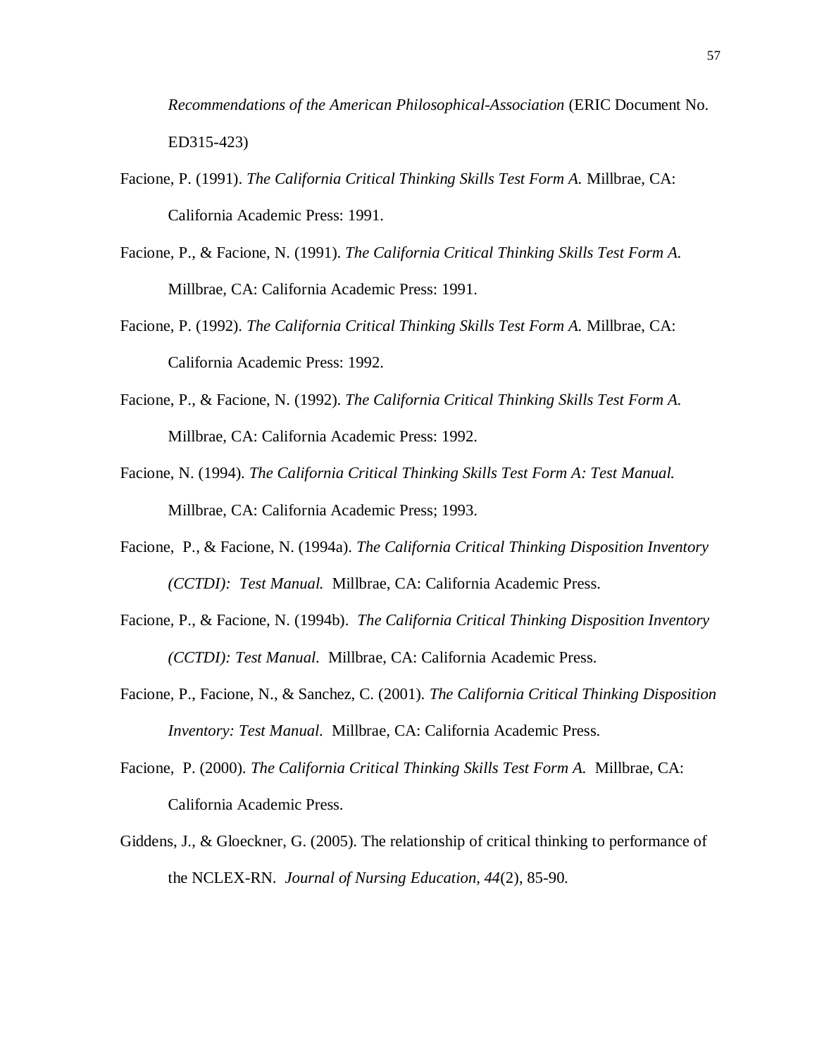*Recommendations of the American Philosophical-Association* (ERIC Document No. ED315-423)

- Facione, P. (1991). *The California Critical Thinking Skills Test Form A.* Millbrae, CA: California Academic Press: 1991.
- Facione, P., & Facione, N. (1991). *The California Critical Thinking Skills Test Form A.* Millbrae, CA: California Academic Press: 1991.
- Facione, P. (1992). *The California Critical Thinking Skills Test Form A.* Millbrae, CA: California Academic Press: 1992.
- Facione, P., & Facione, N. (1992). *The California Critical Thinking Skills Test Form A.* Millbrae, CA: California Academic Press: 1992.
- Facione, N. (1994). *The California Critical Thinking Skills Test Form A: Test Manual.* Millbrae, CA: California Academic Press; 1993.
- Facione, P., & Facione, N. (1994a). *The California Critical Thinking Disposition Inventory (CCTDI): Test Manual.* Millbrae, CA: California Academic Press.
- Facione, P., & Facione, N. (1994b). *The California Critical Thinking Disposition Inventory (CCTDI): Test Manual.* Millbrae, CA: California Academic Press.
- Facione, P., Facione, N., & Sanchez, C. (2001). *The California Critical Thinking Disposition Inventory: Test Manual.* Millbrae, CA: California Academic Press.
- Facione, P. (2000). *The California Critical Thinking Skills Test Form A.* Millbrae, CA: California Academic Press.
- Giddens, J., & Gloeckner, G. (2005). The relationship of critical thinking to performance of the NCLEX-RN. *Journal of Nursing Education, 44*(2), 85-90.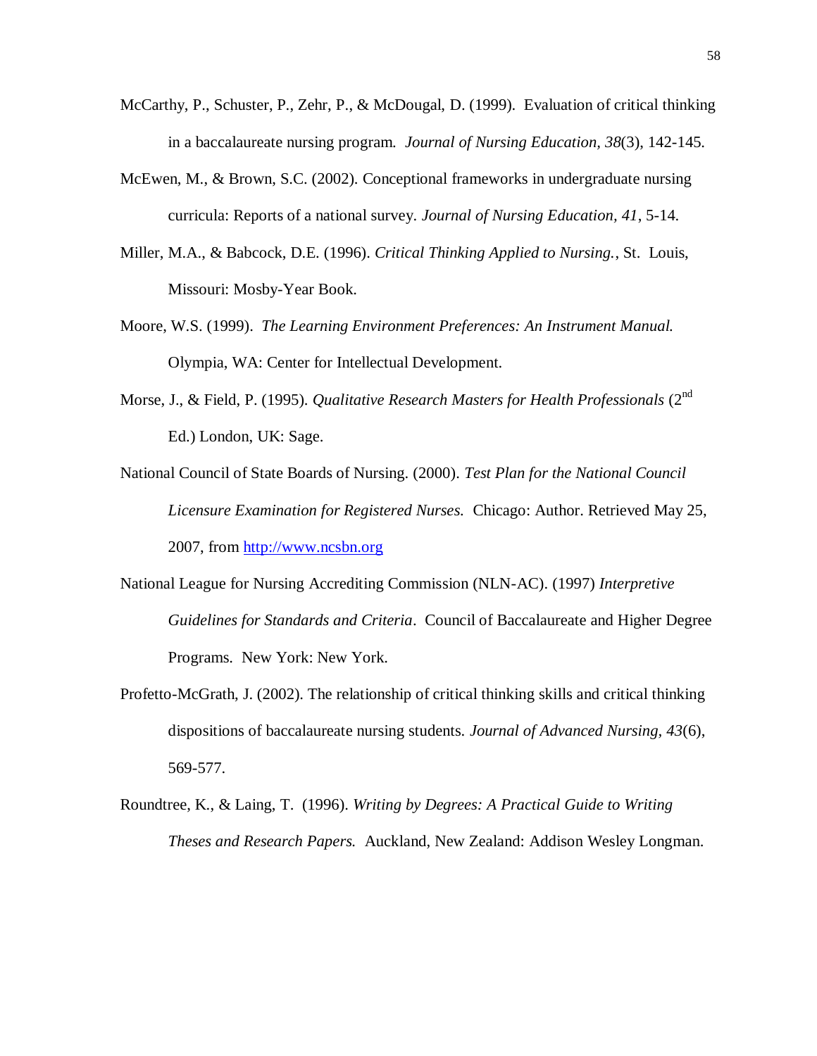- McCarthy, P., Schuster, P., Zehr, P., & McDougal, D. (1999). Evaluation of critical thinking in a baccalaureate nursing program. *Journal of Nursing Education, 38*(3), 142-145.
- McEwen, M., & Brown, S.C. (2002). Conceptional frameworks in undergraduate nursing curricula: Reports of a national survey. *Journal of Nursing Education, 41*, 5-14.
- Miller, M.A., & Babcock, D.E. (1996). *Critical Thinking Applied to Nursing.*, St. Louis, Missouri: Mosby-Year Book.
- Moore, W.S. (1999). *The Learning Environment Preferences: An Instrument Manual.* Olympia, WA: Center for Intellectual Development.
- Morse, J., & Field, P. (1995). *Qualitative Research Masters for Health Professionals* (2<sup>nd</sup> Ed.) London, UK: Sage.
- National Council of State Boards of Nursing. (2000). *Test Plan for the National Council Licensure Examination for Registered Nurses.* Chicago: Author. Retrieved May 25, 2007, from [http://www.ncsbn.org](http://www.ncsbn.org/)
- National League for Nursing Accrediting Commission (NLN-AC). (1997) *Interpretive Guidelines for Standards and Criteria*. Council of Baccalaureate and Higher Degree Programs. New York: New York.
- Profetto-McGrath, J. (2002). The relationship of critical thinking skills and critical thinking dispositions of baccalaureate nursing students. *Journal of Advanced Nursing, 43*(6), 569-577.
- Roundtree, K., & Laing, T. (1996). *Writing by Degrees: A Practical Guide to Writing Theses and Research Papers.* Auckland, New Zealand: Addison Wesley Longman.